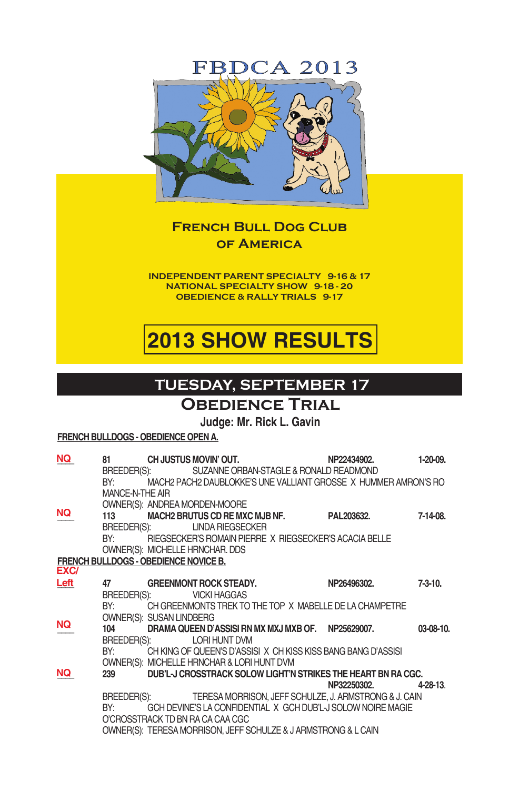## **FBDCA 2013**



### **French Bull Dog Club of America**

**Independent Parent Specialty 9-16 & 17 National Specialty Show 9-18 - 20 Obedience & Rally Trials 9-17**

# **2013 SHOW RESULTS**

## **tuesday, september 17**

### **OBEDIENCE TRIAL**

### **Judge: Mr. Rick L. Gavin**

#### **FRENCH BULLDOGS - OBEDIENCE OPEN A.**

| NQ.                                          | 81<br>BY:                 |                          | CH JUSTUS MOVIN' OUT.<br>BREEDER(S): SUZANNE ORBAN-STAGLE & RONALD READMOND                                                                                                                 | NP22434902.<br>MACH2 PACH2 DAUBLOKKE'S UNE VALLIANT GROSSE X HUMMER AMRON'S RO                                                                                                                                    | 1-20-09.   |
|----------------------------------------------|---------------------------|--------------------------|---------------------------------------------------------------------------------------------------------------------------------------------------------------------------------------------|-------------------------------------------------------------------------------------------------------------------------------------------------------------------------------------------------------------------|------------|
| NQ.                                          | MANCE-N-THE AIR<br>BY:    | BREEDER(S):              | OWNER(S): ANDREA MORDEN-MOORE<br>113 MACH2 BRUTUS CD RE MXC MJB NF.<br><b>LINDA RIEGSECKER</b><br>RIEGSECKER'S ROMAIN PIERRE X RIEGSECKER'S ACACIA BELLE<br>OWNER(S): MICHELLE HRNCHAR. DDS | PAL203632.                                                                                                                                                                                                        | 7-14-08.   |
| <b>FRENCH BULLDOGS - OBEDIENCE NOVICE B.</b> |                           |                          |                                                                                                                                                                                             |                                                                                                                                                                                                                   |            |
| EXC/                                         |                           |                          |                                                                                                                                                                                             |                                                                                                                                                                                                                   |            |
| Left                                         | 47<br>BREEDER(S):<br>BY:  | OWNER(S): SUSAN LINDBERG | <b>GREENMONT ROCK STEADY.</b><br><b>VICKI HAGGAS</b>                                                                                                                                        | NP26496302.<br>CH GREENMONTS TREK TO THE TOP X MABELLE DE LA CHAMPETRE                                                                                                                                            | $7-3-10$ . |
| NQ.                                          | 104<br>BREEDER(S):<br>BY: |                          | DRAMA QUEEN D'ASSISI RN MX MXJ MXB OF NP25629007.<br><b>LORI HUNT DVM</b>                                                                                                                   | CH KING OF QUEEN'S D'ASSISIX CH KISS KISS BANG BANG D'ASSISI                                                                                                                                                      | 03-08-10.  |
|                                              |                           |                          | OWNER(S): MICHELLE HRNCHAR & LORI HUNT DVM                                                                                                                                                  |                                                                                                                                                                                                                   |            |
| NQ.                                          | 239<br>BY:                |                          | O'CROSSTRACK TD BN RA CA CAA CGC                                                                                                                                                            | DUB'L-J CROSSTRACK SOLOW LIGHT'N STRIKES THE HEART BN RA CGC.<br>NP32250302.<br>BREEDER(S): TERESA MORRISON, JEFF SCHULZE, J. ARMSTRONG & J. CAIN<br>GCH DEVINE'S LA CONFIDENTIAL X GCH DUB'L-J SOLOW NOIRE MAGIE | $4-28-13$  |
|                                              |                           |                          | OWNER(S): TERESA MORRISON, JEFF SCHULZE & J ARMSTRONG & L CAIN                                                                                                                              |                                                                                                                                                                                                                   |            |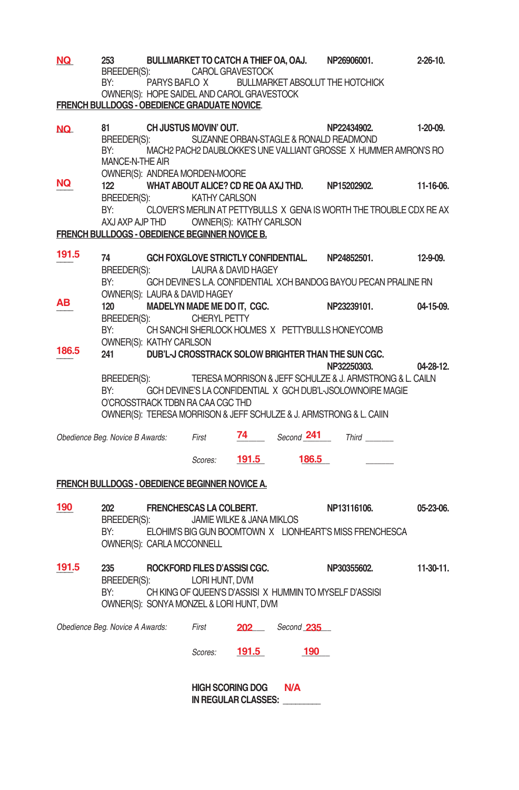| NQ    | 253                                            |                                                             |                              |                             | BULLMARKET TO CATCH A THIEF OA, OAJ.                 | NP26906001.                                                         | 2-26-10.    |
|-------|------------------------------------------------|-------------------------------------------------------------|------------------------------|-----------------------------|------------------------------------------------------|---------------------------------------------------------------------|-------------|
|       | BREEDER(S):                                    |                                                             | CAROL GRAVESTOCK             |                             |                                                      |                                                                     |             |
|       | BY:                                            | PARYS BAFLO X<br>OWNER(S): HOPE SAIDEL AND CAROL GRAVESTOCK |                              |                             |                                                      | <b>BULLMARKET ABSOLUT THE HOTCHICK</b>                              |             |
|       | FRENCH BULLDOGS - OBEDIENCE GRADUATE NOVICE.   |                                                             |                              |                             |                                                      |                                                                     |             |
|       |                                                |                                                             |                              |                             |                                                      |                                                                     |             |
| NQ.   | 81                                             | CH JUSTUS MOVIN' OUT.                                       |                              |                             |                                                      | NP22434902.                                                         | 1-20-09.    |
|       | BREEDER(S):                                    |                                                             |                              |                             |                                                      | SUZANNE ORBAN-STAGLE & RONALD READMOND                              |             |
|       | BY:                                            |                                                             |                              |                             |                                                      | MACH2 PACH2 DAUBLOKKE'S UNE VALLIANT GROSSE X HUMMER AMRON'S RO     |             |
|       | MANCE-N-THE AIR                                |                                                             |                              |                             |                                                      |                                                                     |             |
| NQ    |                                                | OWNER(S): ANDREA MORDEN-MOORE                               |                              |                             |                                                      |                                                                     |             |
|       | 122                                            |                                                             |                              |                             |                                                      | WHAT ABOUT ALICE? CD RE OA AXJ THD. NP15202902.                     | 11-16-06.   |
|       | BREEDER(S):                                    |                                                             | KATHY CARLSON                |                             |                                                      |                                                                     |             |
|       | BY:                                            |                                                             |                              |                             |                                                      | CLOVER'S MERLIN AT PETTYBULLS X GENA IS WORTH THE TROUBLE CDX RE AX |             |
|       |                                                | AXJ AXP AJP THD OWNER(S): KATHY CARLSON                     |                              |                             |                                                      |                                                                     |             |
|       | FRENCH BULLDOGS - OBEDIENCE BEGINNER NOVICE B. |                                                             |                              |                             |                                                      |                                                                     |             |
| 191.5 | 74                                             |                                                             |                              |                             |                                                      | GCH FOXGLOVE STRICTLY CONFIDENTIAL. NP24852501.                     | 12-9-09.    |
|       |                                                | BREEDER(S): LAURA & DAVID HAGEY                             |                              |                             |                                                      |                                                                     |             |
|       | BY:                                            |                                                             |                              |                             |                                                      | GCH DEVINE'S L.A. CONFIDENTIAL XCH BANDOG BAYOU PECAN PRALINE RN    |             |
|       |                                                | OWNER(S): LAURA & DAVID HAGEY                               |                              |                             |                                                      |                                                                     |             |
| ΑВ    | 120                                            |                                                             |                              | MADELYN MADE ME DO IT, CGC. |                                                      | NP23239101.                                                         | 04-15-09.   |
|       | BREEDER(S):                                    |                                                             | <b>CHERYL PETTY</b>          |                             |                                                      |                                                                     |             |
|       | BY:                                            |                                                             |                              |                             |                                                      | CH SANCHI SHERLOCK HOLMES X PETTYBULLS HONEYCOMB                    |             |
|       |                                                | OWNER(S): KATHY CARLSON                                     |                              |                             |                                                      |                                                                     |             |
| 186.5 | 241                                            |                                                             |                              |                             |                                                      | DUB'L-J CROSSTRACK SOLOW BRIGHTER THAN THE SUN CGC.                 |             |
|       |                                                |                                                             |                              |                             |                                                      | NP32250303.                                                         | 04-28-12.   |
|       | BREEDER(S):                                    |                                                             |                              |                             |                                                      | TERESA MORRISON & JEFF SCHULZE & J. ARMSTRONG & L. CAILN            |             |
|       | BY:                                            |                                                             |                              |                             |                                                      | GCH DEVINE'S LA CONFIDENTIAL X GCH DUB'L-JSOLOWNOIRE MAGIE          |             |
|       |                                                | O'CROSSTRACK TDBN RA CAA CGC THD                            |                              |                             |                                                      |                                                                     |             |
|       |                                                |                                                             |                              |                             |                                                      | OWNER(S): TERESA MORRISON & JEFF SCHULZE & J. ARMSTRONG & L. CAIIN  |             |
|       |                                                |                                                             |                              |                             |                                                      | 74 Second 241 Third                                                 |             |
|       | Obedience Beg. Novice B Awards: First          |                                                             |                              |                             |                                                      |                                                                     |             |
|       |                                                |                                                             | Scores: 191.5                |                             | 186.5                                                |                                                                     |             |
|       |                                                |                                                             |                              |                             |                                                      |                                                                     |             |
|       | FRENCH BULLDOGS - OBEDIENCE BEGINNER NOVICE A. |                                                             |                              |                             |                                                      |                                                                     |             |
|       |                                                |                                                             |                              |                             |                                                      |                                                                     |             |
| 190   | 202                                            | <b>FRENCHESCAS LA COLBERT.</b>                              |                              |                             |                                                      | NP13116106.                                                         | 05-23-06.   |
|       | BREEDER(S):                                    |                                                             |                              | JAMIE WILKE & JANA MIKLOS   |                                                      |                                                                     |             |
|       | BY:                                            |                                                             |                              |                             |                                                      | ELOHIM'S BIG GUN BOOMTOWN X LIONHEART'S MISS FRENCHESCA             |             |
|       |                                                | OWNER(S): CARLA MCCONNELL                                   |                              |                             |                                                      |                                                                     |             |
|       |                                                |                                                             |                              |                             |                                                      |                                                                     |             |
| 191.5 | 235                                            |                                                             | ROCKFORD FILES D'ASSISI CGC. |                             |                                                      | NP30355602.                                                         | $11-30-11.$ |
|       | BREEDER(S):                                    |                                                             | LORI HUNT, DVM               |                             |                                                      |                                                                     |             |
|       | BY:                                            |                                                             |                              |                             |                                                      | CH KING OF QUEEN'S D'ASSISI X HUMMIN TO MYSELF D'ASSISI             |             |
|       |                                                | OWNER(S): SONYA MONZEL & LORI HUNT, DVM                     |                              |                             |                                                      |                                                                     |             |
|       |                                                |                                                             |                              |                             |                                                      |                                                                     |             |
|       |                                                |                                                             |                              |                             | Obedience Beg. Novice A Awards: First 202 Second 235 |                                                                     |             |
|       |                                                |                                                             |                              |                             | 190                                                  |                                                                     |             |
|       |                                                |                                                             | Scores: <b>191.5</b>         |                             |                                                      |                                                                     |             |
|       |                                                |                                                             |                              |                             |                                                      |                                                                     |             |
|       |                                                |                                                             | <b>HIGH SCORING DOG</b>      |                             | <b>N/A</b>                                           |                                                                     |             |
|       |                                                |                                                             |                              | IN REGULAR CLASSES:         |                                                      |                                                                     |             |
|       |                                                |                                                             |                              |                             |                                                      |                                                                     |             |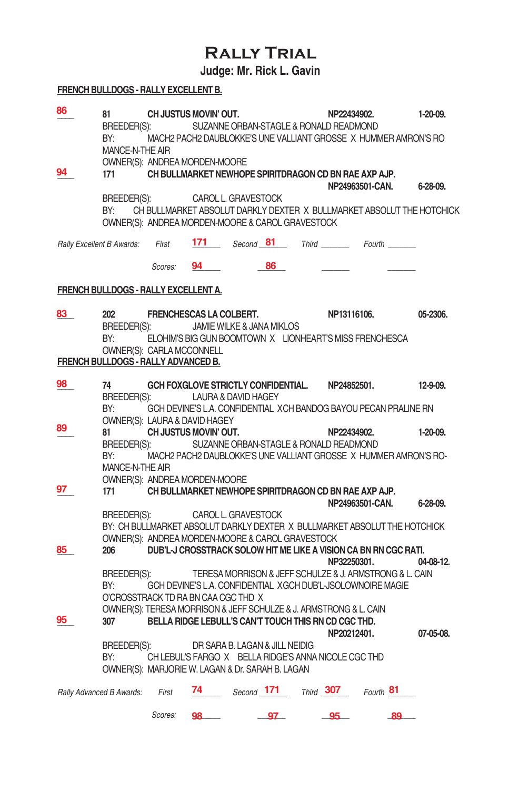# **Rally Trial**

**Judge: Mr. Rick L. Gavin**

### **FRENCH BULLDOGS - RALLY EXCELLENT B.**

| 86                        | 81<br>BREEDER(S):<br>BY:<br>MANCE-N-THE AIR | CH JUSTUS MOVIN' OUT.<br>OWNER(S): ANDREA MORDEN-MOORE |    | SUZANNE ORBAN-STAGLE & RONALD READMOND<br>MACH2 PACH2 DAUBLOKKE'S UNE VALLIANT GROSSE X HUMMER AMRON'S RO                     | NP22434902.     |    | $1-20-09.$      |
|---------------------------|---------------------------------------------|--------------------------------------------------------|----|-------------------------------------------------------------------------------------------------------------------------------|-----------------|----|-----------------|
| 94                        | 171<br>BREEDER(S):                          |                                                        |    | CH BULLMARKET NEWHOPE SPIRITDRAGON CD BN RAE AXP AJP.<br>CAROL L. GRAVESTOCK                                                  | NP24963501-CAN. |    | $6 - 28 - 09$ . |
|                           | BY:                                         |                                                        |    | CH BULLMARKET ABSOLUT DARKLY DEXTER X BULLMARKET ABSOLUT THE HOTCHICK<br>OWNER(S): ANDREA MORDEN-MOORE & CAROL GRAVESTOCK     |                 |    |                 |
| Rally Excellent B Awards: |                                             | First                                                  |    | <b>171</b> Second 81 Third Fourth                                                                                             |                 |    |                 |
|                           |                                             | Scores: <b>94</b>                                      |    | 86                                                                                                                            |                 |    |                 |
|                           |                                             | FRENCH BULLDOGS - RALLY EXCELLENT A.                   |    |                                                                                                                               |                 |    |                 |
| 83                        | 202<br>BREEDER(S):                          | FRENCHESCAS LA COLBERT.                                |    | JAMIE WILKE & JANA MIKLOS                                                                                                     | NP13116106.     |    | 05-2306.        |
|                           | BY:                                         | OWNER(S): CARLA MCCONNELL                              |    | ELOHIM'S BIG GUN BOOMTOWN X LIONHEART'S MISS FRENCHESCA                                                                       |                 |    |                 |
|                           |                                             | FRENCH BULLDOGS - RALLY ADVANCED B.                    |    |                                                                                                                               |                 |    |                 |
| 98                        | 74<br>BREEDER(S):                           |                                                        |    | GCH FOXGLOVE STRICTLY CONFIDENTIAL. NP24852501.<br>LAURA & DAVID HAGEY                                                        |                 |    | $12-9-09$ .     |
|                           | BY:                                         |                                                        |    | GCH DEVINE'S L.A. CONFIDENTIAL XCH BANDOG BAYOU PECAN PRALINE RN                                                              |                 |    |                 |
| 89                        | 81<br>BREEDER(S):                           | OWNER(S): LAURA & DAVID HAGEY<br>CH JUSTUS MOVIN' OUT. |    | SUZANNE ORBAN-STAGLE & RONALD READMOND                                                                                        | NP22434902.     |    | 1-20-09.        |
|                           | BY:<br>MANCE-N-THE AIR                      |                                                        |    | MACH2 PACH2 DAUBLOKKE'S UNE VALLIANT GROSSE X HUMMER AMRON'S RO-                                                              |                 |    |                 |
| 97                        | 171                                         | OWNER(S): ANDREA MORDEN-MOORE                          |    | CH BULLMARKET NEWHOPE SPIRITDRAGON CD BN RAE AXP AJP.                                                                         |                 |    |                 |
|                           | BREEDER(S):                                 |                                                        |    | CAROL L. GRAVESTOCK                                                                                                           | NP24963501-CAN. |    | $6 - 28 - 09$ . |
|                           |                                             |                                                        |    | BY: CH BULLMARKET ABSOLUT DARKLY DEXTER X BULLMARKET ABSOLUT THE HOTCHICK<br>OWNER(S): ANDREA MORDEN-MOORE & CAROL GRAVESTOCK |                 |    |                 |
| 85                        | 206                                         |                                                        |    | DUB'L-J CROSSTRACK SOLOW HIT ME LIKE A VISION CA BN RN CGC RATI.                                                              | NP32250301.     |    | 04-08-12.       |
|                           | BREEDER(S):<br>BY:                          |                                                        |    | TERESA MORRISON & JEFF SCHULZE & J. ARMSTRONG & L. CAIN<br>GCH DEVINE'S L.A. CONFIDENTIAL XGCH DUB'L-JSOLOWNOIRE MAGIE        |                 |    |                 |
|                           |                                             | O'CROSSTRACK TD RA BN CAA CGC THD X                    |    | OWNER(S): TERESA MORRISON & JEFF SCHULZE & J. ARMSTRONG & L. CAIN                                                             |                 |    |                 |
| 95                        | 307                                         |                                                        |    | BELLA RIDGE LEBULL'S CAN'T TOUCH THIS RN CD CGC THD.                                                                          | NP20212401.     |    | 07-05-08.       |
|                           | BREEDER(S):<br>BY:                          |                                                        |    | DR SARA B. LAGAN & JILL NEIDIG<br>CH LEBUL'S FARGO X BELLA RIDGE'S ANNA NICOLE CGC THD                                        |                 |    |                 |
|                           |                                             |                                                        |    | OWNER(S): MARJORIE W. LAGAN & Dr. SARAH B. LAGAN                                                                              |                 |    |                 |
|                           | Rally Advanced B Awards: First              |                                                        |    | 74 Second 171 Third 307 Fourth 81                                                                                             |                 |    |                 |
|                           |                                             | Scores:                                                | 98 | __97_                                                                                                                         | $-95$           | 89 |                 |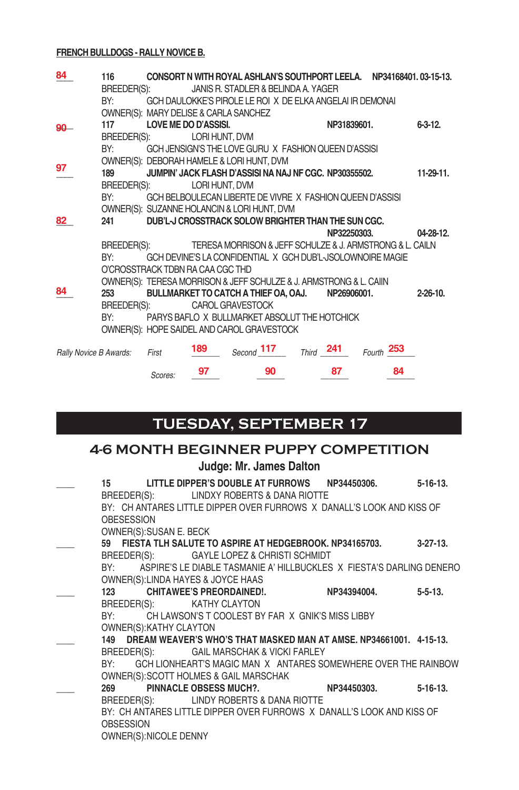#### **FRENCH BULLDOGS - RALLY NOVICE B.**

| 84                     | 116                                                                                                                                                                                                                            |                                       |                | CONSORT N WITH ROYAL ASHLAN'S SOUTHPORT LEELA. NP34168401.03-15-13. |             |            |                 |
|------------------------|--------------------------------------------------------------------------------------------------------------------------------------------------------------------------------------------------------------------------------|---------------------------------------|----------------|---------------------------------------------------------------------|-------------|------------|-----------------|
|                        | BREEDER(S):                                                                                                                                                                                                                    |                                       |                | JANIS R. STADLER & BELINDA A. YAGER                                 |             |            |                 |
|                        | BY:                                                                                                                                                                                                                            |                                       |                | GCH DAULOKKE'S PIROLE LE ROI X DE ELKA ANGELAI IR DEMONAI           |             |            |                 |
|                        |                                                                                                                                                                                                                                | OWNER(S): MARY DELISE & CARLA SANCHEZ |                |                                                                     |             |            |                 |
| 90                     | 117                                                                                                                                                                                                                            | <b>LOVE ME DO D'ASSISI.</b>           |                |                                                                     | NP31839601. |            | $6 - 3 - 12$ .  |
|                        | BREEDER(S):                                                                                                                                                                                                                    |                                       | LORI HUNT, DVM |                                                                     |             |            |                 |
|                        | BY:                                                                                                                                                                                                                            |                                       |                | GCH JENSIGN'S THE LOVE GURU X FASHION QUEEN D'ASSISI                |             |            |                 |
|                        |                                                                                                                                                                                                                                |                                       |                | OWNER(S): DEBORAH HAMELE & LORI HUNT, DVM                           |             |            |                 |
| 97                     | 189                                                                                                                                                                                                                            |                                       |                | JUMPIN' JACK FLASH D'ASSISI NA NAJ NF CGC. NP30355502.              |             |            | $11-29-11.$     |
|                        | BREEDER(S):                                                                                                                                                                                                                    |                                       | LORI HUNT, DVM |                                                                     |             |            |                 |
|                        | BY:                                                                                                                                                                                                                            |                                       |                | GCH BELBOULECAN LIBERTE DE VIVRE X FASHION QUEEN D'ASSISI           |             |            |                 |
|                        |                                                                                                                                                                                                                                |                                       |                | OWNER(S): SUZANNE HOLANCIN & LORI HUNT, DVM                         |             |            |                 |
| 82                     | 241                                                                                                                                                                                                                            |                                       |                | DUB'L-J CROSSTRACK SOLOW BRIGHTER THAN THE SUN CGC.                 |             |            |                 |
|                        |                                                                                                                                                                                                                                |                                       |                |                                                                     | NP32250303. |            | $04 - 28 - 12$  |
|                        | BREEDER(S):                                                                                                                                                                                                                    |                                       |                | TERESA MORRISON & JEFF SCHULZE & J. ARMSTRONG & L. CAILN            |             |            |                 |
|                        | BY:                                                                                                                                                                                                                            |                                       |                | GCH DEVINE'S LA CONFIDENTIAL X GCH DUB'L-JSOLOWNOIRE MAGIE          |             |            |                 |
|                        |                                                                                                                                                                                                                                | O'CROSSTRACK TDBN RA CAA CGC THD      |                |                                                                     |             |            |                 |
|                        |                                                                                                                                                                                                                                |                                       |                | OWNER(S): TERESA MORRISON & JEFF SCHULZE & J. ARMSTRONG & L. CAIIN  |             |            |                 |
| 84                     | 253                                                                                                                                                                                                                            |                                       |                | BULLMARKET TO CATCH A THIEF OA, OAJ.                                | NP26906001. |            | $2 - 26 - 10$ . |
|                        | BREEDER(S):                                                                                                                                                                                                                    |                                       |                | CAROL GRAVESTOCK                                                    |             |            |                 |
|                        | BY: and the state of the state of the state of the state of the state of the state of the state of the state of the state of the state of the state of the state of the state of the state of the state of the state of the st |                                       |                | PARYS BAFLO X BULLMARKET ABSOLUT THE HOTCHICK                       |             |            |                 |
|                        |                                                                                                                                                                                                                                |                                       |                | OWNER(S): HOPE SAIDEL AND CAROL GRAVESTOCK                          |             |            |                 |
|                        |                                                                                                                                                                                                                                |                                       |                |                                                                     |             |            |                 |
| Rally Novice B Awards: |                                                                                                                                                                                                                                | First                                 | 189            | Second $117$ Third 241                                              |             | Fourth 253 |                 |
|                        |                                                                                                                                                                                                                                |                                       | 97             | 90                                                                  | 87          | 84         |                 |
|                        |                                                                                                                                                                                                                                | Scores:                               |                |                                                                     |             |            |                 |

# **TUEsday, september 17**

# **4-6 MONTH BEGINNER PUPPY COMPETITION**

**Judge: Mr. James Dalton**

| 15 LITTLE DIPPER'S DOUBLE AT FURROWS NP34450306.                         |             | $5 - 16 - 13$ . |
|--------------------------------------------------------------------------|-------------|-----------------|
| BREEDER(S): LINDXY ROBERTS & DANA RIOTTE                                 |             |                 |
| BY: CH ANTARES LITTLE DIPPER OVER FURROWS X DANALL'S LOOK AND KISS OF    |             |                 |
| <b>OBESESSION</b>                                                        |             |                 |
| OWNER(S): SUSAN E. BECK                                                  |             |                 |
| 59 FIESTA TLH SALUTE TO ASPIRE AT HEDGEBROOK. NP34165703. 3-27-13.       |             |                 |
| BREEDER(S): GAYLE LOPEZ & CHRISTI SCHMIDT                                |             |                 |
| BY: ASPIRE'S LE DIABLE TASMANIE A' HILLBUCKLES X FIESTA'S DARLING DENERO |             |                 |
| OWNER(S): LINDA HAYES & JOYCE HAAS                                       |             |                 |
| 123 CHITAWEE'S PREORDAINED!.                                             | NP34394004. | $5 - 5 - 13$ .  |
| BREEDER(S): KATHY CLAYTON                                                |             |                 |
| BY: CH LAWSON'S T COOLEST BY FAR X GNIK'S MISS LIBBY                     |             |                 |
| OWNER(S): KATHY CLAYTON                                                  |             |                 |
| 149 DREAM WEAVER'S WHO'S THAT MASKED MAN AT AMSE. NP34661001. 4-15-13.   |             |                 |
| BREEDER(S): GAIL MARSCHAK & VICKI FARLEY                                 |             |                 |
| BY: GCH LIONHEART'S MAGIC MAN X ANTARES SOMEWHERE OVER THE RAINBOW       |             |                 |
| OWNER(S): SCOTT HOLMES & GAIL MARSCHAK                                   |             |                 |
| 269 PINNACLE OBSESS MUCH?. NP34450303.                                   |             | $5 - 16 - 13$ . |
| BREEDER(S): LINDY ROBERTS & DANA RIOTTE                                  |             |                 |
| BY: CH ANTARES LITTLE DIPPER OVER FURROWS X DANALL'S LOOK AND KISS OF    |             |                 |
| <b>OBSESSION</b>                                                         |             |                 |
| OWNER(S): NICOLE DENNY                                                   |             |                 |
|                                                                          |             |                 |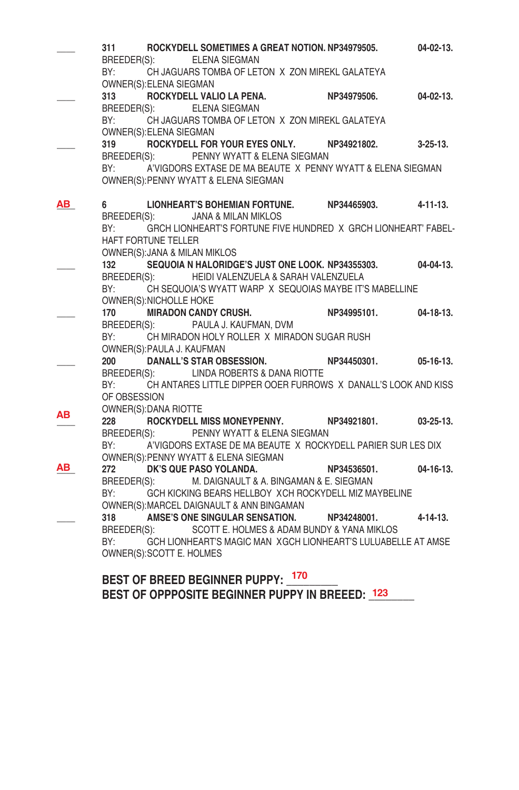|    | 311          |                            | ROCKYDELL SOMETIMES A GREAT NOTION. NP34979505.                    |             | $04 - 02 - 13$ . |
|----|--------------|----------------------------|--------------------------------------------------------------------|-------------|------------------|
|    |              |                            | BREEDER(S): ELENA SIEGMAN                                          |             |                  |
|    |              |                            | BY: CH JAGUARS TOMBA OF LETON X ZON MIREKL GALATEYA                |             |                  |
|    |              | OWNER(S): ELENA SIEGMAN    |                                                                    |             |                  |
|    |              |                            | 313 ROCKYDELL VALIO LA PENA. NP34979506. 04-02-13.                 |             |                  |
|    |              |                            | BREEDER(S): ELENA SIEGMAN                                          |             |                  |
|    |              |                            | BY: CH JAGUARS TOMBA OF LETON X ZON MIREKL GALATEYA                |             |                  |
|    |              | OWNER(S): ELENA SIEGMAN    |                                                                    |             |                  |
|    |              |                            | 319 ROCKYDELL FOR YOUR EYES ONLY. NP34921802.                      |             | $3 - 25 - 13$ .  |
|    |              |                            | BREEDER(S): PENNY WYATT & ELENA SIEGMAN                            |             |                  |
|    |              |                            | BY: A'VIGDORS EXTASE DE MA BEAUTE X PENNY WYATT & ELENA SIEGMAN    |             |                  |
|    |              |                            | OWNER(S): PENNY WYATT & ELENA SIEGMAN                              |             |                  |
| ΑВ | 6            |                            | LIONHEART'S BOHEMIAN FORTUNE. NP34465903.                          |             | 4-11-13.         |
|    |              |                            | BREEDER(S): JANA & MILAN MIKLOS                                    |             |                  |
|    | BY:          |                            | GRCH LIONHEART'S FORTUNE FIVE HUNDRED X GRCH LIONHEART' FABEL-     |             |                  |
|    |              | HAFT FORTUNE TELLER        |                                                                    |             |                  |
|    |              |                            | OWNER(S): JANA & MILAN MIKLOS                                      |             |                  |
|    |              |                            | 132 SEQUOIA N HALORIDGE'S JUST ONE LOOK. NP34355303.               |             | 04-04-13.        |
|    |              |                            | BREEDER(S): HEIDI VALENZUELA & SARAH VALENZUELA                    |             |                  |
|    |              |                            | BY: CH SEQUOIA'S WYATT WARP X SEQUOIAS MAYBE IT'S MABELLINE        |             |                  |
|    |              | OWNER(S): NICHOLLE HOKE    |                                                                    |             |                  |
|    |              |                            | 170 MIRADON CANDY CRUSH.                                           | NP34995101. | $04 - 18 - 13$ . |
|    |              |                            | BREEDER(S): PAULA J. KAUFMAN, DVM                                  |             |                  |
|    |              |                            | BY: CH MIRADON HOLY ROLLER X MIRADON SUGAR RUSH                    |             |                  |
|    |              | OWNER(S): PAULA J. KAUFMAN |                                                                    |             |                  |
|    |              |                            | 200 DANALL'S STAR OBSESSION. NP34450301.                           |             | $05-16-13.$      |
|    |              |                            | BREEDER(S): LINDA ROBERTS & DANA RIOTTE                            |             |                  |
|    |              |                            | BY: CH ANTARES LITTLE DIPPER OOER FURROWS X DANALL'S LOOK AND KISS |             |                  |
|    | OF OBSESSION |                            |                                                                    |             |                  |
| AВ |              | OWNER(S): DANA RIOTTE      |                                                                    |             |                  |
|    | 228          |                            | ROCKYDELL MISS MONEYPENNY. NP34921801.                             |             | $03 - 25 - 13$ . |
|    |              |                            | BREEDER(S): PENNY WYATT & ELENA SIEGMAN                            |             |                  |
|    |              |                            | BY: A'VIGDORS EXTASE DE MA BEAUTE X ROCKYDELL PARIER SUR LES DIX   |             |                  |
|    |              |                            | OWNER(S): PENNY WYATT & ELENA SIEGMAN                              |             |                  |
| ΑВ |              |                            | 272 DK'S QUE PASO YOLANDA.                                         | NP34536501. | $04 - 16 - 13$ . |
|    |              |                            | BREEDER(S): M. DAIGNAULT & A. BINGAMAN & E. SIEGMAN                |             |                  |
|    |              |                            | BY: GCH KICKING BEARS HELLBOY XCH ROCKYDELL MIZ MAYBELINE          |             |                  |
|    |              |                            | OWNER(S): MARCEL DAIGNAULT & ANN BINGAMAN                          |             |                  |
|    |              |                            | 318 AMSE'S ONE SINGULAR SENSATION. NP34248001.                     |             | $4 - 14 - 13$ .  |
|    | BREEDER(S):  |                            | SCOTT E. HOLMES & ADAM BUNDY & YANA MIKLOS                         |             |                  |
|    | BY:          |                            | GCH LIONHEART'S MAGIC MAN XGCH LIONHEART'S LULUABELLE AT AMSE      |             |                  |
|    |              | OWNER(S): SCOTT E. HOLMES  |                                                                    |             |                  |
|    |              |                            |                                                                    |             |                  |
|    |              |                            | BEST OF BREED BEGINNER PUPPY: 170                                  |             |                  |
|    |              |                            | BEST OF OPPPOSITE BEGINNER PUPPY IN BREEED: 123                    |             |                  |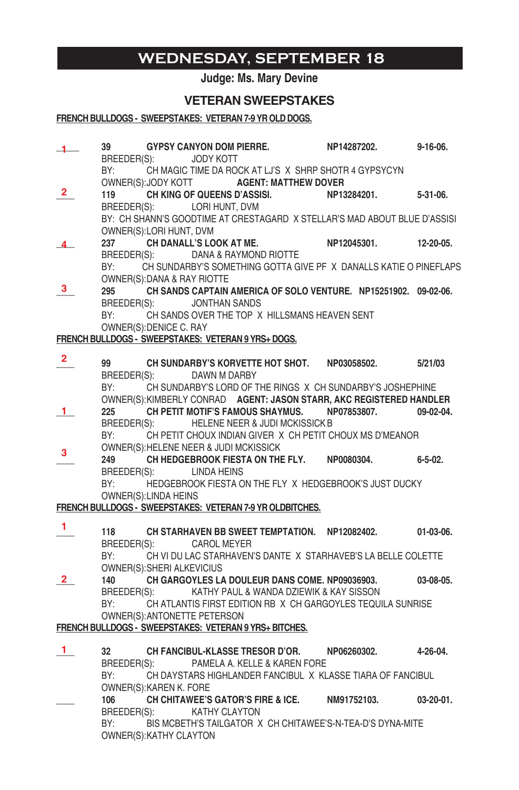### **wednesday, september 18**

#### **Judge: Ms. Mary Devine**

#### **VETERAN SWEEPSTAKES**

#### **FRENCH BULLDOGS - SWEEPSTAKES: VETERAN 7-9 YR OLD DOGS.**

- **\_\_\_\_\_ 39 GYPSY CANYON DOM PIERRE. NP14287202. 9-16-06.**  BREEDER(S): JODY KOTT BY: CH MAGIC TIME DA ROCK AT LJ'S X SHRP SHOTR 4 GYPSYCYN OWNER(S):JODY KOTT **AGENT: MATTHEW DOVER \_\_\_\_ 119 CH KING OF QUEENS D'ASSISI. NP13284201. 5-31-06.**  BREEDER(S): LORI HUNT, DVM BY: CH SHANN'S GOODTIME AT CRESTAGARD X STELLAR'S MAD ABOUT BLUE D'ASSISI OWNER(S):LORI HUNT, DVM **\_\_\_\_ 237 CH DANALL'S LOOK AT ME. NP12045301. 12-20-05.**  BREEDER(S): DANA & RAYMOND RIOTTE BY: CH SUNDARBY'S SOMETHING GOTTA GIVE PF X DANALLS KATIE O PINEFLAPS OWNER(S): DANA & RAY RIOTTE **\_\_\_\_ 295 CH SANDS CAPTAIN AMERICA OF SOLO VENTURE. NP15251902. 09-02-06.** BREEDER(S): JONTHAN SANDS BY: CH SANDS OVER THE TOP X HILLSMANS HEAVEN SENT OWNER(S): DENICE C. RAY **FRENCH BULLDOGS - SWEEPSTAKES: VETERAN 9 YRS+ DOGS. \_\_\_\_ 99 CH SUNDARBY'S KORVETTE HOT SHOT. NP03058502. 5/21/03** BREEDER(S): DAWN M DARBY BY: CH SUNDARBY'S LORD OF THE RINGS X CH SUNDARBY'S JOSHEPHINE OWNER(S): KIMBERLY CONRAD **AGENT: JASON STARR, AKC REGISTERED HANDLER \_\_\_\_ 225 CH PETIT MOTIF'S FAMOUS SHAYMUS. NP07853807. 09-02-04.** BREEDER(S): HELENE NEER & JUDI MCKISSICK B BY: CH PETIT CHOUX INDIAN GIVER X CH PETIT CHOUX MS D'MEANOR OWNER(S): HELENE NEER & JUDI MCKISSICK **\_\_\_\_ 249 CH HEDGEBROOK FIESTA ON THE FLY. NP0080304. 6-5-02.** BREEDER(S): LINDA HEINS BY: HEDGEBROOK FIESTA ON THE FLY X HEDGEBROOK'S JUST DUCKY OWNER(S): LINDA HEINS **FRENCH BULLDOGS - SWEEPSTAKES: VETERAN 7-9 YR OLDBITCHES. \_\_\_\_ 118 CH STARHAVEN BB SWEET TEMPTATION. NP12082402. 01-03-06.** BREEDER(S): CAROL MEYER BY: CH VI DU LAC STARHAVEN'S DANTE X STARHAVEB'S LA BELLE COLETTE OWNER(S): SHERI ALKEVICIUS **\_\_\_\_ 140 CH GARGOYLES LA DOULEUR DANS COME. NP09036903. 03-08-05.** BREEDER(S): KATHY PAUL & WANDA DZIEWIK & KAY SISSON BY: CH ATLANTIS FIRST EDITION RB X CH GARGOYLES TEQUILA SUNRISE OWNER(S): ANTONETTE PETERSON **FRENCH BULLDOGS - SWEEPSTAKES: VETERAN 9 YRS+ BITCHES. \_\_\_\_ 32 CH FANCIBUL-KLASSE TRESOR D'OR. NP06260302. 4-26-04.** BREEDER(S): PAMELA A. KELLE & KAREN FORE BY: CH DAYSTARS HIGHLANDER FANCIBUL X KLASSE TIARA OF FANCIBUL OWNER(S): KAREN K. FORE **\_\_\_\_ 106 CH CHITAWEE'S GATOR'S FIRE & ICE. NM91752103. 03-20-01.**  BREEDER(S): KATHY CLAYTON **1 2 4 3 2 1 3 1 2 1** 
	- BY: BIS MCBETH'S TAILGATOR X CH CHITAWEE'S-N-TEA-D'S DYNA-MITE OWNER(S): KATHY CLAYTON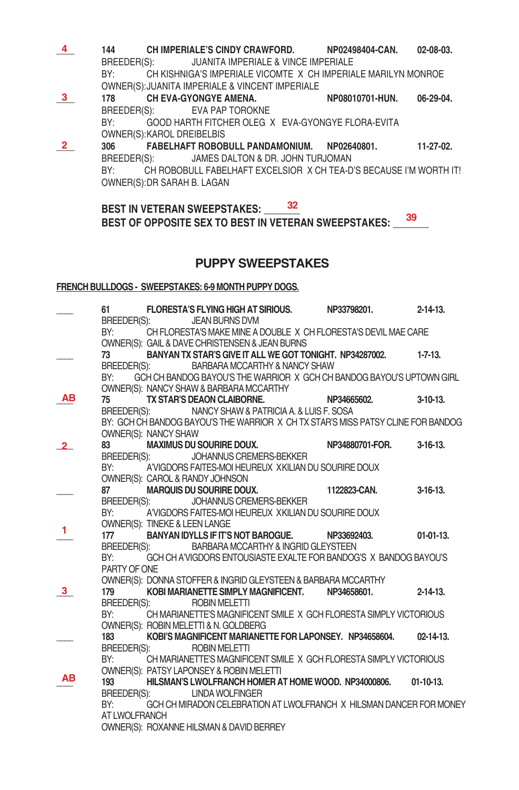**\_\_\_\_ 144 CH IMPERIALE'S CINDY CRAWFORD. NP02498404-CAN. 02-08-03.** BREEDER(S): JUANITA IMPERIALE & VINCE IMPERIALE BY: CH KISHNIGA'S IMPERIALE VICOMTE X CH IMPERIALE MARILYN MONROE OWNER(S): JUANITA IMPERIALE & VINCENT IMPERIALE 178 **CH EVA-GYONGYE AMENA.** NP08010701-HUN. 06-29-04. BREEDER(S): EVA PAP TOROKNE BY: GOOD HARTH FITCHER OLEG X EVA-GYONGYE FLORA-EVITA OWNER(S): KAROL DREIBELBIS **\_\_\_\_ 306 FABELHAFT ROBOBULL PANDAMONIUM. NP02640801. 11-27-02.** BREEDER(S): JAMES DALTON & DR. JOHN TURJOMAN BY: CH ROBOBULL FABELHAFT EXCELSIOR X CH TEA-D'S BECAUSE I'M WORTH IT! OWNER(S): DR SARAH B. LAGAN **4 3 2**

#### **BEST IN VETERAN SWEEPSTAKES: \_\_\_\_\_\_\_ 32** BEST OF OPPOSITE SEX TO BEST IN VETERAN SWEEPSTAKES:  $\frac{39}{2}$

#### **PUPPY SWEEPSTAKES**

#### **FRENCH BULLDOGS - SWEEPSTAKES: 6-9 MONTH PUPPY DOGS.**

|    |               |                      | BREEDER(S): JEAN BURNS DVM                                                       |                                                          | 61 FLORESTA'S FLYING HIGH AT SIRIOUS. NP33798201. 2-14-13.                           |                  |
|----|---------------|----------------------|----------------------------------------------------------------------------------|----------------------------------------------------------|--------------------------------------------------------------------------------------|------------------|
|    | BY:           |                      | OWNER(S): GAIL & DAVE CHRISTENSEN & JEAN BURNS                                   |                                                          | CH FLORESTA'S MAKE MINE A DOUBLE X CH FLORESTA'S DEVIL MAE CARE                      |                  |
|    | 73            |                      |                                                                                  | BREEDER(S): BARBARA MCCARTHY & NANCY SHAW                | BANYAN TX STAR'S GIVE IT ALL WE GOT TONIGHT. NP34287002.                     1-7-13. |                  |
|    | BY:           |                      | OWNER(S): NANCY SHAW & BARBARA MCCARTHY                                          |                                                          | GCH CH BANDOG BAYOU'S THE WARRIOR X GCH CH BANDOG BAYOU'S UPTOWN GIRL                |                  |
| AВ | 75 — 17       |                      | TX STAR'S DEAON CLAIBORNE.                                                       |                                                          | NP34665602.                                                                          | $3-10-13$        |
|    |               |                      |                                                                                  | BREEDER(S): NANCY SHAW & PATRICIA A. & LUIS F. SOSA      |                                                                                      |                  |
|    |               | OWNER(S): NANCY SHAW |                                                                                  |                                                          | BY: GCH CH BANDOG BAYOU'S THE WARRIOR X CH TX STAR'S MISS PATSY CLINE FOR BANDOG     |                  |
|    |               |                      |                                                                                  |                                                          | MAXIMUS DU SOURIRE DOUX. NP34880701-FOR.                                             | $3-16-13$ .      |
|    | BY:           |                      | BREEDER(S): JOHANNUS CREMERS-BEKKER<br>OWNER(S): CAROL & RANDY JOHNSON           | A'VIGDORS FAITES-MOI HEUREUX XKILIAN DU SOURIRE DOUX     |                                                                                      |                  |
|    | 87            |                      | MARQUIS DU SOURIRE DOUX.<br>MARQUIS DU SOURIRE DOUX.<br>DER(S): DELIANNING COUX. |                                                          | 1122823-CAN.                                                                         | $3-16-13.$       |
|    |               |                      | BREEDER(S): JOHANNUS CREMERS-BEKKER                                              |                                                          |                                                                                      |                  |
|    |               |                      |                                                                                  | BY: A'VIGDORS FAITES-MOI HEUREUX XKILIAN DU SOURIRE DOUX |                                                                                      |                  |
| 1. |               |                      | OWNER(S): TINEKE & LEEN LANGE                                                    |                                                          |                                                                                      |                  |
|    | 177           |                      |                                                                                  | BANYAN IDYLLS IF IT'S NOT BAROGUE. NP33692403.           |                                                                                      | $01-01-13.$      |
|    |               |                      |                                                                                  | BREEDER(S): BARBARA MCCARTHY & INGRID GLEYSTEEN          | BY: GCH CH A'VIGDORS ENTOUSIASTE EXALTE FOR BANDOG'S X BANDOG BAYOU'S                |                  |
|    | PARTY OF ONE  |                      |                                                                                  |                                                          |                                                                                      |                  |
|    |               |                      |                                                                                  |                                                          | OWNER(S): DONNA STOFFER & INGRID GLEYSTEEN & BARBARA MCCARTHY                        |                  |
| 3  | 179 — 179     |                      |                                                                                  | KOBI MARIANETTE SIMPLY MAGNIFICENT.                      | NP34658601.                                                                          | $2 - 14 - 13$ .  |
|    | BREEDER(S):   |                      | <b>ROBIN MELETTI</b>                                                             |                                                          |                                                                                      |                  |
|    |               |                      |                                                                                  |                                                          | BY: CH MARIANETTE'S MAGNIFICENT SMILE X GCH FLORESTA SIMPLY VICTORIOUS               |                  |
|    |               |                      | OWNER(S): ROBIN MELETTI & N. GOLDBERG                                            |                                                          |                                                                                      |                  |
|    | 183           |                      |                                                                                  |                                                          | KOBI'S MAGNIFICENT MARIANETTE FOR LAPONSEY. NP34658604.                              | $02 - 14 - 13$ . |
|    | BREEDER(S):   |                      | <b>ROBIN MELETTI</b>                                                             |                                                          | BY: CH MARIANETTE'S MAGNIFICENT SMILE X GCH FLORESTA SIMPLY VICTORIOUS               |                  |
|    |               |                      | OWNER(S): PATSY LAPONSEY & ROBIN MELETTI                                         |                                                          |                                                                                      |                  |
| AВ | 193           |                      |                                                                                  |                                                          | HILSMAN'S LWOLFRANCH HOMER AT HOME WOOD, NP34000806. 01-10-13.                       |                  |
|    |               |                      | BREEDER(S): LINDA WOLFINGER                                                      |                                                          |                                                                                      |                  |
|    | BY:           |                      |                                                                                  |                                                          | GCH CH MIRADON CELEBRATION AT LWOLFRANCH X HILSMAN DANCER FOR MONEY                  |                  |
|    | AT LWOLFRANCH |                      |                                                                                  |                                                          |                                                                                      |                  |
|    |               |                      | OWNER(S): ROXANNE HILSMAN & DAVID BERREY                                         |                                                          |                                                                                      |                  |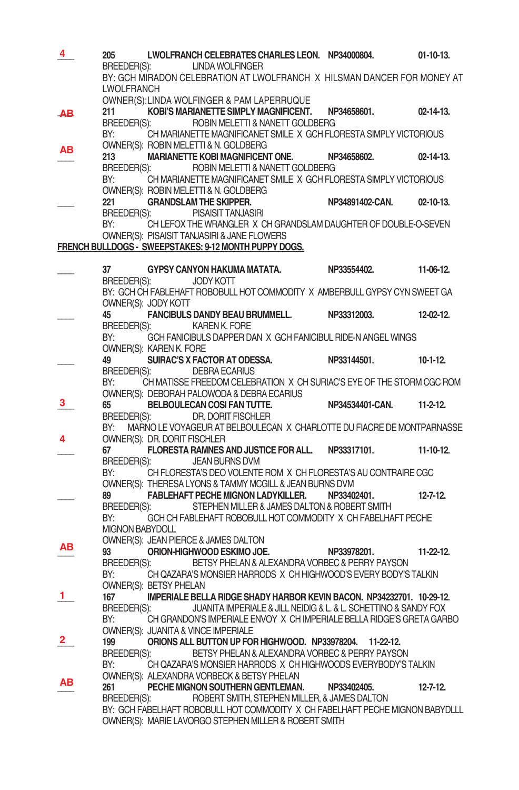| 4  | 205               |                               | LWOLFRANCH CELEBRATES CHARLES LEON. NP34000804.                              |                                                                                                                               | $01-10-13.$      |
|----|-------------------|-------------------------------|------------------------------------------------------------------------------|-------------------------------------------------------------------------------------------------------------------------------|------------------|
|    |                   |                               | BREEDER(S): LINDA WOLFINGER                                                  |                                                                                                                               |                  |
|    |                   |                               |                                                                              | BY: GCH MIRADON CELEBRATION AT LWOLFRANCH X HILSMAN DANCER FOR MONEY AT                                                       |                  |
|    | <b>LWOLFRANCH</b> |                               |                                                                              |                                                                                                                               |                  |
|    |                   |                               | OWNER(S):LINDA WOLFINGER & PAM LAPERRUQUE                                    |                                                                                                                               |                  |
| AB | 211               |                               | KOBI'S MARIANETTE SIMPLY MAGNIFICENT. NP34658601.                            |                                                                                                                               | $02 - 14 - 13$ . |
|    |                   |                               | BREEDER(S): ROBIN MELETTI & NANETT GOLDBERG                                  |                                                                                                                               |                  |
|    | BY:               |                               |                                                                              | CH MARIANETTE MAGNIFICANET SMILE X GCH FLORESTA SIMPLY VICTORIOUS                                                             |                  |
| ΑВ |                   |                               | OWNER(S): ROBIN MELETTI & N. GOLDBERG                                        |                                                                                                                               |                  |
|    |                   |                               | 213 MARIANETTE KOBI MAGNIFICENT ONE. NP34658602.                             |                                                                                                                               | $02 - 14 - 13$ . |
|    |                   |                               | BREEDER(S): ROBIN MELETTI & NANETT GOLDBERG                                  |                                                                                                                               |                  |
|    | BY:               |                               |                                                                              | CH MARIANETTE MAGNIFICANET SMILE X GCH FLORESTA SIMPLY VICTORIOUS                                                             |                  |
|    |                   |                               | OWNER(S): ROBIN MELETTI & N. GOLDBERG                                        |                                                                                                                               |                  |
|    |                   |                               | 221 GRANDSLAM THE SKIPPER.                                                   | NP34891402-CAN.                                                                                                               | $02 - 10 - 13$ . |
|    |                   |                               | BREEDER(S): PISAISIT TANJASIRI                                               |                                                                                                                               |                  |
|    | BY:               |                               |                                                                              | CH LEFOX THE WRANGLER X CH GRANDSLAM DAUGHTER OF DOUBLE-O-SEVEN                                                               |                  |
|    |                   |                               | OWNER(S): PISAISIT TANJASIRI & JANE FLOWERS                                  |                                                                                                                               |                  |
|    |                   |                               | FRENCH BULLDOGS - SWEEPSTAKES: 9-12 MONTH PUPPY DOGS.                        |                                                                                                                               |                  |
|    |                   |                               |                                                                              | 37 GYPSY CANYON HAKUMA MATATA. NP33554402. 11-06-12.                                                                          |                  |
|    |                   |                               | BREEDER(S): JODY KOTT                                                        |                                                                                                                               |                  |
|    |                   |                               |                                                                              | BY: GCH CH FABLEHAFT ROBOBULL HOT COMMODITY X AMBERBULL GYPSY CYN SWEET GA                                                    |                  |
|    |                   | OWNER(S): JODY KOTT           |                                                                              |                                                                                                                               |                  |
|    | 45                |                               |                                                                              | FANCIBULS DANDY BEAU BRUMMELL. NP33312003. 12-02-12.                                                                          |                  |
|    |                   |                               | BREEDER(S): KAREN K. FORE                                                    |                                                                                                                               |                  |
|    |                   |                               |                                                                              | BY: GCH FANICIBULS DAPPER DAN X GCH FANICIBUL RIDE-N ANGEL WINGS                                                              |                  |
|    |                   | OWNER(S): KAREN K. FORE       |                                                                              |                                                                                                                               |                  |
|    | 49                |                               |                                                                              | $\sim$ SUIRAC'S X FACTOR AT ODESSA. NP33144501.                                                                               | $10-1-12$        |
|    |                   |                               | BREEDER(S): DEBRA ECARIUS                                                    |                                                                                                                               |                  |
|    |                   |                               |                                                                              | BY: CH MATISSE FREEDOM CELEBRATION X CH SURIAC'S EYE OF THE STORM CGC ROM                                                     |                  |
|    |                   |                               |                                                                              |                                                                                                                               |                  |
| з. |                   |                               |                                                                              |                                                                                                                               | $11-2-12$ .      |
|    |                   |                               | BREEDER(S): DR. DORIT FISCHLER                                               |                                                                                                                               |                  |
|    | BY:               |                               |                                                                              | MARNO LE VOYAGEUR AT BELBOULECAN X CHARLOTTE DU FIACRE DE MONTPARNASSE                                                        |                  |
|    |                   | OWNER(S): DR. DORIT FISCHLER  |                                                                              |                                                                                                                               |                  |
|    | 67                |                               |                                                                              | FLORESTA RAMNES AND JUSTICE FOR ALL. NP33317101.                                                                              | $11-10-12.$      |
|    |                   |                               | BREEDER(S): JEAN BURNS DVM                                                   |                                                                                                                               |                  |
|    |                   |                               |                                                                              | BY: CH FLORESTA'S DEO VOLENTE ROM X CH FLORESTA'S AU CONTRAIRE CGC                                                            |                  |
|    |                   |                               | OWNER(S): THERESA LYONS & TAMMY MCGILL & JEAN BURNS DVM                      |                                                                                                                               |                  |
|    |                   |                               | FABLEHAFT PECHE MIGNON LADYKILLER. NP33402401.                               |                                                                                                                               | $12 - 7 - 12$ .  |
|    |                   |                               | BREEDER(S): STEPHEN MILLER & JAMES DALTON & ROBERT SMITH                     |                                                                                                                               |                  |
|    | BY:               |                               |                                                                              | GCH CH FABLEHAFT ROBOBULL HOT COMMODITY X CH FABELHAFT PECHE                                                                  |                  |
|    | MIGNON BABYDOLL   |                               |                                                                              |                                                                                                                               |                  |
| ΑВ |                   |                               | OWNER(S): JEAN PIERCE & JAMES DALTON<br>93 <b>ORION-HIGHWOOD ESKIMO JOE.</b> |                                                                                                                               |                  |
|    |                   |                               |                                                                              | NP33978201.                                                                                                                   | $11-22-12$       |
|    |                   |                               |                                                                              | BREEDER(S): BETSY PHELAN & ALEXANDRA VORBEC & PERRY PAYSON<br>CH QAZARA'S MONSIER HARRODS X CH HIGHWOOD'S EVERY BODY'S TALKIN |                  |
|    | BY:               | <b>OWNER(S): BETSY PHELAN</b> |                                                                              |                                                                                                                               |                  |
| 1. | 167               |                               |                                                                              | IMPERIALE BELLA RIDGE SHADY HARBOR KEVIN BACON. NP34232701. 10-29-12.                                                         |                  |
|    |                   |                               |                                                                              | BREEDER(S): JUANITA IMPERIALE & JILL NEIDIG & L. & L. SCHETTINO & SANDY FOX                                                   |                  |
|    | BY:               |                               |                                                                              | CH GRANDON'S IMPERIALE ENVOY X CH IMPERIALE BELLA RIDGE'S GRETA GARBO                                                         |                  |
|    |                   |                               | OWNER(S): JUANITA & VINCE IMPERIALE                                          |                                                                                                                               |                  |
| 2  | 199               |                               | ORIONS ALL BUTTON UP FOR HIGHWOOD. NP33978204.                               | $11-22-12$ .                                                                                                                  |                  |
|    | BREEDER(S):       |                               |                                                                              | BETSY PHELAN & ALEXANDRA VORBEC & PERRY PAYSON                                                                                |                  |
|    | BY:               |                               |                                                                              | CH QAZARA'S MONSIER HARRODS X CH HIGHWOODS EVERYBODY'S TALKIN                                                                 |                  |
|    |                   |                               | OWNER(S): ALEXANDRA VORBECK & BETSY PHELAN                                   |                                                                                                                               |                  |
| ΑВ | 261               |                               | PECHE MIGNON SOUTHERN GENTLEMAN.                                             | NP33402405.                                                                                                                   | $12 - 7 - 12$ .  |
|    | BREEDER(S):       |                               | ROBERT SMITH, STEPHEN MILLER, & JAMES DALTON                                 |                                                                                                                               |                  |
|    |                   |                               |                                                                              | BY: GCH FABELHAFT ROBOBULL HOT COMMODITY X CH FABELHAFT PECHE MIGNON BABYDLLL                                                 |                  |
|    |                   |                               | OWNER(S): MARIE LAVORGO STEPHEN MILLER & ROBERT SMITH                        |                                                                                                                               |                  |
|    |                   |                               |                                                                              |                                                                                                                               |                  |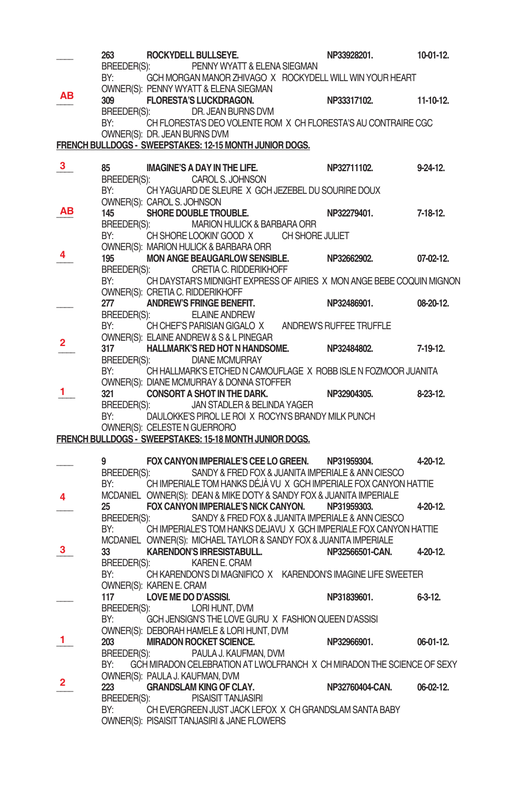|              | 263                |                              | ROCKYDELL BULLSEYE.                                                                                                               | NP33928201.     | $10-01-12.$    |
|--------------|--------------------|------------------------------|-----------------------------------------------------------------------------------------------------------------------------------|-----------------|----------------|
|              | BREEDER(S):        |                              | PENNY WYATT & ELENA SIEGMAN                                                                                                       |                 |                |
|              | BY:                |                              | GCH MORGAN MANOR ZHIVAGO X ROCKYDELL WILL WIN YOUR HEART                                                                          |                 |                |
| ΑВ           | 309                |                              | OWNER(S): PENNY WYATT & ELENA SIEGMAN<br><b>FLORESTA'S LUCKDRAGON.</b>                                                            | NP33317102.     | 11-10-12.      |
|              | BREEDER(S):        |                              | DR. JEAN BURNS DVM                                                                                                                |                 |                |
|              | BY:                |                              | CH FLORESTA'S DEO VOLENTE ROM X CH FLORESTA'S AU CONTRAIRE CGC                                                                    |                 |                |
|              |                    | OWNER(S): DR. JEAN BURNS DVM |                                                                                                                                   |                 |                |
|              |                    |                              | FRENCH BULLDOGS - SWEEPSTAKES: 12-15 MONTH JUNIOR DOGS.                                                                           |                 |                |
|              |                    |                              |                                                                                                                                   |                 |                |
| 3            | 85.                |                              | <b>IMAGINE'S A DAY IN THE LIFE.</b>                                                                                               | NP32711102.     | $9-24-12$ .    |
|              | BREEDER(S):        |                              | CAROL S. JOHNSON                                                                                                                  |                 |                |
|              | BY:                |                              | CH YAGUARD DE SLEURE X GCH JEZEBEL DU SOURIRE DOUX                                                                                |                 |                |
| ΑВ           | 145                | OWNER(S): CAROL S. JOHNSON   | SHORE DOUBLE TROUBLE.                                                                                                             | NP32279401.     | $7-18-12$ .    |
|              | BREEDER(S):        |                              | MARION HULICK & BARBARA ORR                                                                                                       |                 |                |
|              | BY:                |                              | CH SHORE LOOKIN' GOOD X CH SHORE JULIET                                                                                           |                 |                |
|              |                    |                              | OWNER(S): MARION HULICK & BARBARA ORR                                                                                             |                 |                |
|              | 195                |                              | <b>MON ANGE BEAUGARLOW SENSIBLE.</b>                                                                                              | NP32662902.     | 07-02-12.      |
|              | BREEDER(S):        |                              | CRETIA C. RIDDERIKHOFF                                                                                                            |                 |                |
|              | BY:                |                              | CH DAYSTAR'S MIDNIGHT EXPRESS OF AIRIES X MON ANGE BEBE COQUIN MIGNON                                                             |                 |                |
|              |                    |                              | OWNER(S): CRETIA C. RIDDERIKHOFF                                                                                                  |                 |                |
|              | 277                |                              | ANDREW'S FRINGE BENEFIT.                                                                                                          | NP32486901.     | 08-20-12.      |
|              | BREEDER(S):        |                              | <b>ELAINE ANDREW</b><br>CH CHEF'S PARISIAN GIGALO X ANDREW'S RUFFEE TRUFFLE                                                       |                 |                |
|              | BY:                |                              | OWNER(S): ELAINE ANDREW & S & L PINEGAR                                                                                           |                 |                |
| 2            | 317                |                              |                                                                                                                                   |                 | 7-19-12.       |
|              | BREEDER(S):        |                              | <b>DIANE MCMURRAY</b>                                                                                                             |                 |                |
|              | BY:                |                              | CH HALLMARK'S ETCHED N CAMOUFLAGE X ROBB ISLE N FOZMOOR JUANITA                                                                   |                 |                |
|              |                    |                              | OWNER(S): DIANE MCMURRAY & DONNA STOFFER                                                                                          |                 |                |
| ı            | 321                |                              | <b>CONSORT A SHOT IN THE DARK.</b>                                                                                                | NP32904305.     | $8-23-12$ .    |
|              | BREEDER(S):        |                              | JAN STADLER & BELINDA YAGER                                                                                                       |                 |                |
|              | BY:                |                              | DAULOKKE'S PIROL LE ROI X ROCYN'S BRANDY MILK PUNCH                                                                               |                 |                |
|              |                    |                              | OWNER(S): CELESTE N GUERRORO<br>FRENCH BULLDOGS - SWEEPSTAKES: 15-18 MONTH JUNIOR DOGS.                                           |                 |                |
|              |                    |                              |                                                                                                                                   |                 |                |
|              | 9                  |                              | FOX CANYON IMPERIALE'S CEE LO GREEN. NP31959304.                                                                                  |                 |                |
|              |                    |                              |                                                                                                                                   |                 |                |
|              | BY:                |                              |                                                                                                                                   |                 | 4-20-12.       |
| Δ            |                    |                              | BREEDER(S): SANDY & FRED FOX & JUANITA IMPERIALE & ANN CIESCO<br>CH IMPERIALE TOM HANKS DÉJÀ VU X GCH IMPERIALE FOX CANYON HATTIE |                 |                |
|              |                    |                              | MCDANIEL OWNER(S): DEAN & MIKE DOTY & SANDY FOX & JUANITA IMPERIALE                                                               |                 |                |
|              | 25                 |                              | FOX CANYON IMPERIALE'S NICK CANYON.                                                                                               | NP31959303.     | 4-20-12.       |
|              | BREEDER(S):        |                              | SANDY & FRED FOX & JUANITA IMPERIALE & ANN CIESCO                                                                                 |                 |                |
|              | BY:                |                              | CH IMPERIALE'S TOM HANKS DEJAVU X GCH IMPERIALE FOX CANYON HATTIE                                                                 |                 |                |
|              |                    |                              | MCDANIEL OWNER(S): MICHAEL TAYLOR & SANDY FOX & JUANITA IMPERIALE                                                                 |                 |                |
| з            | 33                 |                              | <b>KARENDON'S IRRESISTABULL.</b>                                                                                                  | NP32566501-CAN. | 4-20-12.       |
|              |                    |                              | BREEDER(S): KAREN E. CRAM                                                                                                         |                 |                |
|              | BY:                | OWNER(S): KAREN E. CRAM      | CH KARENDON'S DI MAGNIFICO X KARENDON'S IMAGINE LIFE SWEETER                                                                      |                 |                |
|              | 117                | <b>LOVE ME DO D'ASSISI.</b>  |                                                                                                                                   | NP31839601.     | $6 - 3 - 12$ . |
|              | BREEDER(S):        |                              | LORI HUNT, DVM                                                                                                                    |                 |                |
|              | BY:                |                              | GCH JENSIGN'S THE LOVE GURU X FASHION QUEEN D'ASSISI                                                                              |                 |                |
|              |                    |                              | OWNER(S): DEBORAH HAMELE & LORI HUNT, DVM                                                                                         |                 |                |
| 1.           | 203                |                              | <b>MIRADON ROCKET SCIENCE.</b>                                                                                                    | NP32966901.     | 06-01-12.      |
|              | BREEDER(S):        |                              | PAULA J. KAUFMAN, DVM                                                                                                             |                 |                |
|              | BY:                |                              | GCH MIRADON CELEBRATION AT LWOLFRANCH X CH MIRADON THE SCIENCE OF SEXY                                                            |                 |                |
| $\mathbf{2}$ |                    |                              | OWNER(S): PAULA J. KAUFMAN, DVM                                                                                                   |                 |                |
|              | 223                |                              | <b>GRANDSLAM KING OF CLAY.</b>                                                                                                    | NP32760404-CAN. | $06-02-12.$    |
|              | BREEDER(S):<br>BY: |                              | PISAISIT TANJASIRI<br>CH EVERGREEN JUST JACK LEFOX X CH GRANDSLAM SANTA BABY                                                      |                 |                |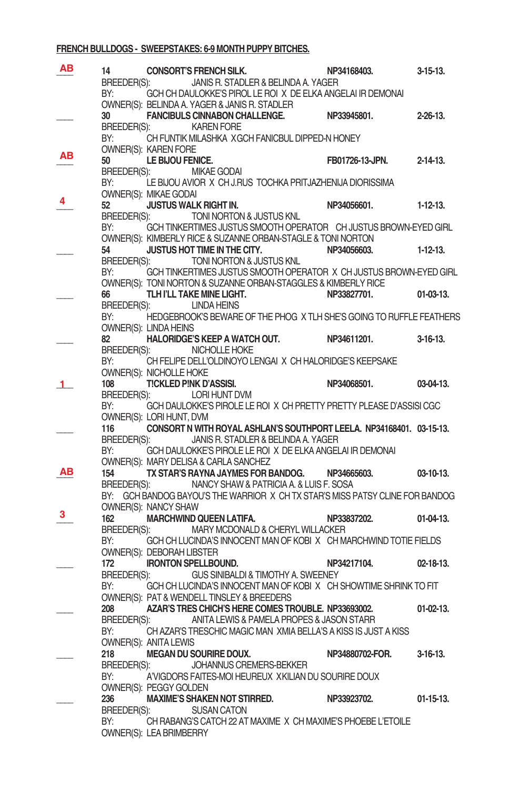#### **FRENCH BULLDOGS - SWEEPSTAKES: 6-9 MONTH PUPPY BITCHES.**

| AB | 14                 | CONSORT'S FRENCH SILK.                                                                                                               | NP34168403.              | $3-15-13.$       |
|----|--------------------|--------------------------------------------------------------------------------------------------------------------------------------|--------------------------|------------------|
|    |                    | BREEDER(S): JANIS R. STADLER & BELINDA A. YAGER                                                                                      |                          |                  |
|    | BY:                | GCH CH DAULOKKE'S PIROL LE ROI X DE ELKA ANGELAI IR DEMONAI                                                                          |                          |                  |
|    | 30                 | OWNER(S): BELINDA A. YAGER & JANIS R. STADLER<br>FANCIBULS CINNABON CHALLENGE. NP33945801.                                           |                          | $2 - 26 - 13$ .  |
|    |                    | BREEDER(S): KAREN FORE                                                                                                               |                          |                  |
|    |                    | BY: CH FUNTIK MILASHKA XGCH FANICBUL DIPPED-N HONEY                                                                                  |                          |                  |
| АΒ |                    | OWNER(S): KAREN FORE                                                                                                                 |                          |                  |
|    | 50                 | LE BIJOU FENICE.                                                                                                                     | FB01726-13-JPN. 2-14-13. |                  |
|    |                    | BREEDER(S): MIKAE GODAI<br>BY: LE BIJOU AVIOR X CH J.RUS TOCHKA PRITJAZHENIJA DIORISSIMA                                             |                          |                  |
|    |                    | <b>OWNER(S): MIKAE GODAI</b>                                                                                                         |                          |                  |
|    |                    | <b>JUSTUS WALK RIGHT IN.</b>                                                                                                         | NP34056601.              | $1-12-13$        |
|    |                    | BREEDER(S): TONI NORTON & JUSTUS KNL                                                                                                 |                          |                  |
|    |                    | BY: GCH TINKERTIMES JUSTUS SMOOTH OPERATOR CH JUSTUS BROWN-EYED GIRL<br>OWNER(S): KIMBERLY RICE & SUZANNE ORBAN-STAGLE & TONI NORTON |                          |                  |
|    | 54 —               | JUSTUS HOT TIME IN THE CITY. NP34056603.                                                                                             |                          | $1-12-13.$       |
|    |                    | BREEDER(S): TONI NORTON & JUSTUS KNL                                                                                                 |                          |                  |
|    |                    | BY: GCH TINKERTIMES JUSTUS SMOOTH OPERATOR X CH JUSTUS BROWN-EYED GIRL                                                               |                          |                  |
|    |                    | OWNER(S): TONI NORTON & SUZANNE ORBAN-STAGGLES & KIMBERLY RICE                                                                       |                          |                  |
|    | 66                 | TLH I'LL TAKE MINE LIGHT.<br>BREEDER(S): LINDA HEINS                                                                                 | NP33827701.              | $01-03-13.$      |
|    |                    | BY: HEDGEBROOK'S BEWARE OF THE PHOG X TLH SHE'S GOING TO RUFFLE FEATHERS                                                             |                          |                  |
|    |                    | OWNER(S): LINDA HEINS                                                                                                                |                          |                  |
|    | 82                 | HALORIDGE'S KEEP A WATCH OUT. NP34611201.                                                                                            |                          | $3-16-13$ .      |
|    |                    | BREEDER(S): NICHOLLE HOKE                                                                                                            |                          |                  |
|    |                    | BY: CH FELIPE DELL'OLDINOYO LENGAIX CH HALORIDGE'S KEEPSAKE<br>OWNER(S): NICHOLLE HOKE                                               |                          |                  |
|    | 108                | <b>TICKLED PINK D'ASSISI.</b>                                                                                                        | NP34068501.              | 03-04-13.        |
|    |                    | BREEDER(S): LORI HUNT DVM                                                                                                            |                          |                  |
|    | BY:                | GCH DAULOKKE'S PIROLE LE ROI X CH PRETTY PRETTY PLEASE D'ASSISI CGC                                                                  |                          |                  |
|    |                    | OWNER(S): LORI HUNT, DVM                                                                                                             |                          |                  |
|    | 116                | CONSORT N WITH ROYAL ASHLAN'S SOUTHPORT LEELA. NP34168401. 03-15-13.<br>BREEDER(S): JANIS R. STADLER & BELINDA A. YAGER              |                          |                  |
|    | BY:                | GCH DAULOKKE'S PIROLE LE ROI X DE ELKA ANGELAI IR DEMONAI                                                                            |                          |                  |
|    |                    | OWNER(S): MARY DELISA & CARLA SANCHEZ                                                                                                |                          |                  |
| AВ | 154                | TX STAR'S RAYNA JAYMES FOR BANDOG. NP34665603.                                                                                       |                          | $03-10-13.$      |
|    |                    | BREEDER(S): NANCY SHAW & PATRICIA A. & LUIS F. SOSA                                                                                  |                          |                  |
|    |                    | BY: GCH BANDOG BAYOU'S THE WARRIOR X CH TX STAR'S MISS PATSY CLINE FOR BANDOG<br>OWNER(S): NANCY SHAW                                |                          |                  |
| з  | 162                | <b>MARCHWIND QUEEN LATIFA.</b>                                                                                                       | NP33837202.              | $01-04-13.$      |
|    |                    | BREEDER(S): MARY MCDONALD & CHERYL WILLACKER                                                                                         |                          |                  |
|    | BY:                | GCH CH LUCINDA'S INNOCENT MAN OF KOBIX CH MARCHWIND TOTIE FIELDS                                                                     |                          |                  |
|    |                    | OWNER(S): DEBORAH LIBSTER                                                                                                            |                          |                  |
|    | 172                | <b>IRONTON SPELLBOUND.</b><br>BREEDER(S): GUS SINIBALDI & TIMOTHY A. SWEENEY                                                         | NP34217104.              | $02 - 18 - 13$ . |
|    | BY:                | GCH CH LUCINDA'S INNOCENT MAN OF KOBIX CH SHOWTIME SHRINK TO FIT                                                                     |                          |                  |
|    |                    | OWNER(S): PAT & WENDELL TINSLEY & BREEDERS                                                                                           |                          |                  |
|    | 208                | AZAR'S TRES CHICH'S HERE COMES TROUBLE. NP33693002.                                                                                  |                          | $01-02-13.$      |
|    |                    | BREEDER(S): ANITA LEWIS & PAMELA PROPES & JASON STARR                                                                                |                          |                  |
|    | BY:                | CH AZAR'S TRESCHIC MAGIC MAN XMIA BELLA'S A KISS IS JUST A KISS<br>OWNER(S): ANITA LEWIS                                             |                          |                  |
|    | 218                | <b>MEGAN DU SOURIRE DOUX.</b>                                                                                                        | NP34880702-FOR.          | 3-16-13.         |
|    | BREEDER(S):        | JOHANNUS CREMERS-BEKKER                                                                                                              |                          |                  |
|    | BY:                | A'VIGDORS FAITES-MOI HEUREUX XKILIAN DU SOURIRE DOUX                                                                                 |                          |                  |
|    |                    | OWNER(S): PEGGY GOLDEN                                                                                                               |                          |                  |
|    | 236<br>BREEDER(S): | <b>MAXIME'S SHAKEN NOT STIRRED.</b><br><b>SUSAN CATON</b>                                                                            | NP33923702.              | $01-15-13.$      |
|    | BY:                | CH RABANG'S CATCH 22 AT MAXIME X CH MAXIME'S PHOEBE L'ETOILE                                                                         |                          |                  |
|    |                    | OWNER(S): LEA BRIMBERRY                                                                                                              |                          |                  |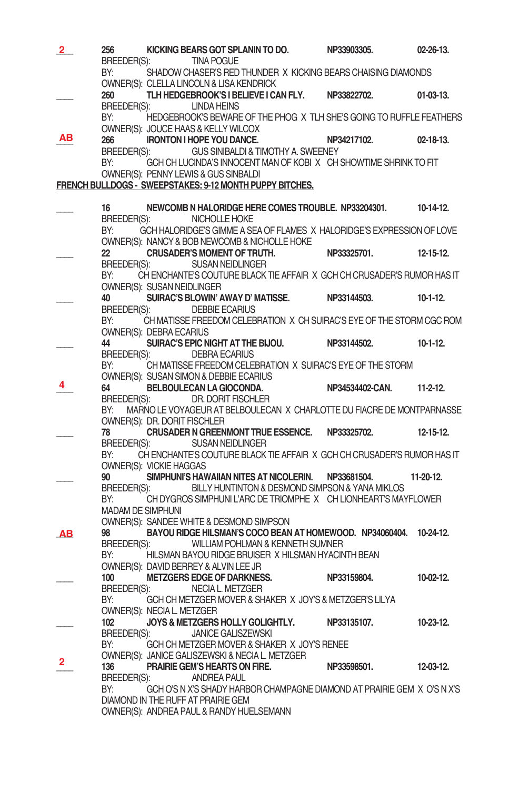| $\overline{2}$ | 256                               | KICKING BEARS GOT SPLANIN TO DO. NP33903305.<br>BREEDER(S): TINA POGUE                                                                                        |                       | $02 - 26 - 13$ . |
|----------------|-----------------------------------|---------------------------------------------------------------------------------------------------------------------------------------------------------------|-----------------------|------------------|
|                | BY:                               | SHADOW CHASER'S RED THUNDER X KICKING BEARS CHAISING DIAMONDS<br>OWNER(S): CLELLA LINCOLN & LISA KENDRICK                                                     |                       |                  |
|                | 260                               | TLH HEDGEBROOK'S I BELIEVE I CAN FLY. NP33822702.<br>BREEDER(S): LINDA HEINS                                                                                  |                       | $01-03-13.$      |
|                | BY:                               | HEDGEBROOK'S BEWARE OF THE PHOG X TLH SHE'S GOING TO RUFFLE FEATHERS<br>OWNER(S): JOUCE HAAS & KELLY WILCOX                                                   |                       |                  |
| ΑВ             | 266                               | IRONTON I HOPE YOU DANCE. NP34217102.<br>BREEDER(S): GUS SINIBALDI & TIMOTHY A. SWEENEY                                                                       |                       | $02 - 18 - 13$ . |
|                | BY:                               | GCH CH LUCINDA'S INNOCENT MAN OF KOBIX CH SHOWTIME SHRINK TO FIT<br>OWNER(S): PENNY LEWIS & GUS SINBALDI                                                      |                       |                  |
|                |                                   | FRENCH BULLDOGS - SWEEPSTAKES: 9-12 MONTH PUPPY BITCHES.                                                                                                      |                       |                  |
|                | 16                                | NEWCOMB N HALORIDGE HERE COMES TROUBLE. NP33204301. 10-14-12.                                                                                                 |                       |                  |
|                | BREEDER(S):<br>BY:                | NICHOLLE HOKE<br>GCH HALORIDGE'S GIMME A SEA OF FLAMES X HALORIDGE'S EXPRESSION OF LOVE                                                                       |                       |                  |
|                |                                   | OWNER(S): NANCY & BOB NEWCOMB & NICHOLLE HOKE<br>22 CRUSADER'S MOMENT OF TRUTH.                                                                               | NP33325701. 12-15-12. |                  |
|                | BY:                               | BREEDER(S): SUSAN NEIDLINGER<br>CH ENCHANTE'S COUTURE BLACK TIE AFFAIR X GCH CH CRUSADER'S RUMOR HAS IT                                                       |                       |                  |
|                | OWNER(S): SUSAN NEIDLINGER        | 40 SUIRAC'S BLOWIN' AWAY D' MATISSE. NP33144503. 10-1-12.                                                                                                     |                       |                  |
|                |                                   | BREEDER(S): DEBBIE ECARIUS                                                                                                                                    |                       |                  |
|                | BY:<br>OWNER(S): DEBRA ECARIUS    | CH MATISSE FREEDOM CELEBRATION X CH SUIRAC'S EYE OF THE STORM CGC ROM                                                                                         |                       |                  |
|                |                                   | 44 SUIRAC'S EPIC NIGHT AT THE BIJOU. NP33144502. 10-1-12.                                                                                                     |                       |                  |
|                | BREEDER(S):<br>BY:                | DEBRA ECARIUS<br>CH MATISSE FREEDOM CELEBRATION X SUIRAC'S EYE OF THE STORM                                                                                   |                       |                  |
|                |                                   |                                                                                                                                                               |                       |                  |
| 4              |                                   |                                                                                                                                                               |                       |                  |
|                |                                   |                                                                                                                                                               |                       |                  |
|                | BY:                               | MARNO LE VOYAGEUR AT BELBOULECAN X CHARLOTTE DU FIACRE DE MONTPARNASSE                                                                                        |                       |                  |
|                |                                   | OWNER(S): DR. DORIT FISCHLER<br>78 CRUSADER N GREENMONT TRUE ESSENCE. NP33325702. 12-15-12.                                                                   |                       |                  |
|                | BREEDER(S):<br>BY:                | <b>SUSAN NEIDLINGER</b><br>CH ENCHANTE'S COUTURE BLACK TIE AFFAIR X GCH CH CRUSADER'S RUMOR HAS IT                                                            |                       |                  |
|                | OWNER(S): VICKIE HAGGAS           | 90 SIMPHUNI'S HAWAIIAN NITES AT NICOLERIN. NP33681504.                                                                                                        |                       | 11-20-12.        |
|                | BREEDER(S):<br>BY:                | BILLY HUNTINTON & DESMOND SIMPSON & YANA MIKLOS<br>CH DYGROS SIMPHUNI L'ARC DE TRIOMPHE X CH LIONHEART'S MAYFLOWER                                            |                       |                  |
|                | <b>MADAM DE SIMPHUNI</b>          |                                                                                                                                                               |                       |                  |
|                |                                   | OWNER(S): SANDEE WHITE & DESMOND SIMPSON                                                                                                                      |                       |                  |
| AВ             | 98<br>BREEDER(S):<br>BY:          | BAYOU RIDGE HILSMAN'S COCO BEAN AT HOMEWOOD. NP34060404. 10-24-12.<br>WILLIAM POHLMAN & KENNETH SUMNER<br>HILSMAN BAYOU RIDGE BRUISER X HILSMAN HYACINTH BEAN |                       |                  |
|                |                                   | OWNER(S): DAVID BERREY & ALVIN LEE JR                                                                                                                         |                       |                  |
|                | 100                               | METZGERS EDGE OF DARKNESS. NP33159804.                                                                                                                        |                       | 10-02-12.        |
|                | BREEDER(S):<br>BY:                | NECIA L. METZGER<br>GCH CH METZGER MOVER & SHAKER X JOY'S & METZGER'S LILYA                                                                                   |                       |                  |
|                | OWNER(S): NECIA L. METZGER<br>102 | JOYS & METZGERS HOLLY GOLIGHTLY.                                                                                                                              | NP33135107.           | $10 - 23 - 12$ . |
|                | BREEDER(S):<br>BY:                | <b>JANICE GALISZEWSKI</b><br>GCH CH METZGER MOVER & SHAKER X JOY'S RENEE                                                                                      |                       |                  |
| 2              |                                   | OWNER(S): JANICE GALISZEWSKI & NECIA L. METZGER                                                                                                               |                       |                  |
|                | 136<br>BREEDER(S):                | <b>PRAIRIE GEM'S HEARTS ON FIRE.</b><br>ANDREA PAUL                                                                                                           | NP33598501.           | 12-03-12.        |
|                | BY:                               | GCH O'S N X'S SHADY HARBOR CHAMPAGNE DIAMOND AT PRAIRIE GEM X O'S N X'S<br>DIAMOND IN THE RUFF AT PRAIRIE GEM                                                 |                       |                  |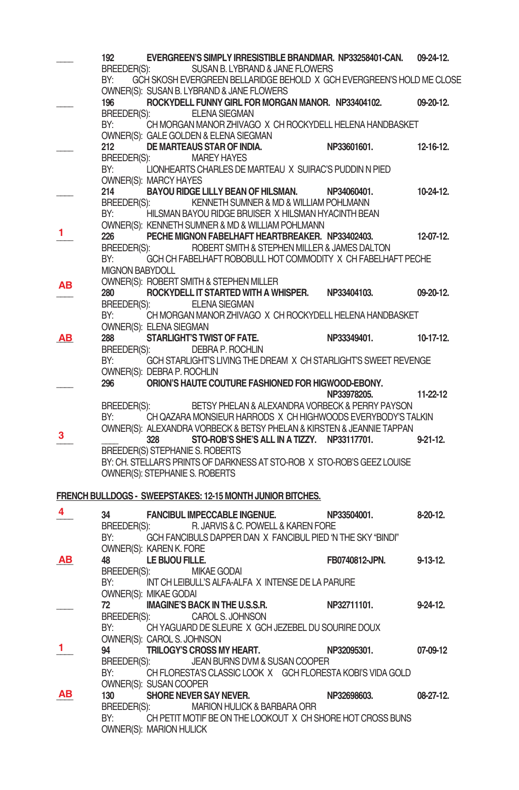|           | 192                    | EVERGREEN'S SIMPLY IRRESISTIBLE BRANDMAR. NP33258401-CAN.                                         |                | $09-24-12.$      |
|-----------|------------------------|---------------------------------------------------------------------------------------------------|----------------|------------------|
|           | BREEDER(S):            | SUSAN B. LYBRAND & JANE FLOWERS                                                                   |                |                  |
|           | BY:                    | GCH SKOSH EVERGREEN BELLARIDGE BEHOLD X GCH EVERGREEN'S HOLD ME CLOSE                             |                |                  |
|           |                        | OWNER(S): SUSAN B. LYBRAND & JANE FLOWERS                                                         |                |                  |
|           | 196                    | ROCKYDELL FUNNY GIRL FOR MORGAN MANOR. NP33404102.                                                |                | $09 - 20 - 12$ . |
|           | BREEDER(S):            | <b>ELENA SIEGMAN</b>                                                                              |                |                  |
|           | BY:                    | CH MORGAN MANOR ZHIVAGO X CH ROCKYDELL HELENA HANDBASKET                                          |                |                  |
|           |                        | OWNER(S): GALE GOLDEN & ELENA SIEGMAN                                                             |                |                  |
|           | 212<br>BREEDER(S):     | DE MARTEAUS STAR OF INDIA.<br><b>MAREY HAYES</b>                                                  | NP33601601.    | $12 - 16 - 12$ . |
|           | BY:                    | LIONHEARTS CHARLES DE MARTEAU X SUIRAC'S PUDDIN N PIED                                            |                |                  |
|           |                        | OWNER(S): MARCY HAYES                                                                             |                |                  |
|           | 214                    | BAYOU RIDGE LILLY BEAN OF HILSMAN. NP34060401.                                                    |                | $10 - 24 - 12$ . |
|           | BREEDER(S):            | KENNETH SUMNER & MD & WILLIAM POHLMANN                                                            |                |                  |
|           | BY:                    | HILSMAN BAYOU RIDGE BRUISER X HILSMAN HYACINTH BEAN                                               |                |                  |
|           |                        | OWNER(S): KENNETH SUMNER & MD & WILLIAM POHLMANN                                                  |                |                  |
| 1         | 226                    | PECHE MIGNON FABELHAFT HEARTBREAKER. NP33402403.                                                  |                | 12-07-12.        |
|           | BREEDER(S):            | ROBERT SMITH & STEPHEN MILLER & JAMES DALTON                                                      |                |                  |
|           | BY:                    | GCH CH FABELHAFT ROBOBULL HOT COMMODITY X CH FABELHAFT PECHE                                      |                |                  |
|           | <b>MIGNON BABYDOLL</b> |                                                                                                   |                |                  |
| AВ        |                        | OWNER(S): ROBERT SMITH & STEPHEN MILLER                                                           |                |                  |
|           | 280<br>BREEDER(S):     | ROCKYDELL IT STARTED WITH A WHISPER.<br><b>ELENA SIEGMAN</b>                                      | NP33404103.    | 09-20-12.        |
|           | BY:                    | CH MORGAN MANOR ZHIVAGO X CH ROCKYDELL HELENA HANDBASKET                                          |                |                  |
|           |                        | OWNER(S): ELENA SIEGMAN                                                                           |                |                  |
| AВ        | 288                    | STARLIGHT'S TWIST OF FATE.                                                                        | NP33349401.    | $10-17-12$       |
|           | BREEDER(S):            | DEBRA P. ROCHLIN                                                                                  |                |                  |
|           | BY:                    | GCH STARLIGHT'S LIVING THE DREAM X CH STARLIGHT'S SWEET REVENGE                                   |                |                  |
|           |                        | OWNER(S): DEBRA P. ROCHLIN                                                                        |                |                  |
|           | 296                    | ORION'S HAUTE COUTURE FASHIONED FOR HIGWOOD-EBONY.                                                |                |                  |
|           |                        |                                                                                                   | NP33978205.    | 11-22-12         |
|           | BREEDER(S):            | BETSY PHELAN & ALEXANDRA VORBECK & PERRY PAYSON                                                   |                |                  |
|           | BY:                    | CH QAZARA MONSIEUR HARRODS X CH HIGHWOODS EVERYBODY'S TALKIN                                      |                |                  |
| з         |                        | OWNER(S): ALEXANDRA VORBECK & BETSY PHELAN & KIRSTEN & JEANNIE TAPPAN                             |                |                  |
|           |                        | STO-ROB'S SHE'S ALL IN A TIZZY. NP33117701.<br>328<br>BREEDER(S) STEPHANIE S. ROBERTS             |                | $9 - 21 - 12$ .  |
|           |                        | BY: CH. STELLAR'S PRINTS OF DARKNESS AT STO-ROB X STO-ROB'S GEEZ LOUISE                           |                |                  |
|           |                        | OWNER(S): STEPHANIE S. ROBERTS                                                                    |                |                  |
|           |                        |                                                                                                   |                |                  |
|           |                        | FRENCH BULLDOGS - SWEEPSTAKES: 12-15 MONTH JUNIOR BITCHES.                                        |                |                  |
| 4         |                        |                                                                                                   |                |                  |
|           | 34                     | <b>FANCIBUL IMPECCABLE INGENUE.</b>                                                               | NP33504001.    | $8-20-12$ .      |
|           | BREEDER(S):<br>BY:     | R. JARVIS & C. POWELL & KAREN FORE<br>GCH FANCIBULS DAPPER DAN X FANCIBUL PIED 'N THE SKY "BINDI" |                |                  |
|           |                        | OWNER(S): KAREN K. FORE                                                                           |                |                  |
| <b>AB</b> | 48                     | LE BIJOU FILLE.                                                                                   | FB0740812-JPN. | 9-13-12.         |
|           | BREEDER(S):            | <b>MIKAE GODAI</b>                                                                                |                |                  |
|           | BY:                    | INT CH LEIBULL'S ALFA-ALFA X INTENSE DE LA PARURE                                                 |                |                  |
|           |                        | OWNER(S): MIKAE GODAI                                                                             |                |                  |
|           | 72                     | <b>IMAGINE'S BACK IN THE U.S.S.R.</b>                                                             | NP32711101.    | $9-24-12$ .      |
|           | BREEDER(S):            | <b>CAROL S. JOHNSON</b>                                                                           |                |                  |
|           | BY:                    | CH YAGUARD DE SLEURE X GCH JEZEBEL DU SOURIRE DOUX                                                |                |                  |
| 1.        |                        | OWNER(S): CAROL S. JOHNSON                                                                        |                |                  |
|           | 94                     | TRILOGY'S CROSS MY HEART.                                                                         | NP32095301.    | 07-09-12         |
|           | BREEDER(S):            | JEAN BURNS DVM & SUSAN COOPER                                                                     |                |                  |
|           | BY:                    | CH FLORESTA'S CLASSIC LOOK X GCH FLORESTA KOBI'S VIDA GOLD<br>OWNER(S): SUSAN COOPER              |                |                  |
| AВ        | 130                    | SHORE NEVER SAY NEVER.                                                                            | NP32698603.    | 08-27-12.        |
|           | BREEDER(S):            | MARION HULICK & BARBARA ORR                                                                       |                |                  |
|           | BY:                    | CH PETIT MOTIF BE ON THE LOOKOUT X CH SHORE HOT CROSS BUNS                                        |                |                  |
|           |                        | OWNER(S): MARION HULICK                                                                           |                |                  |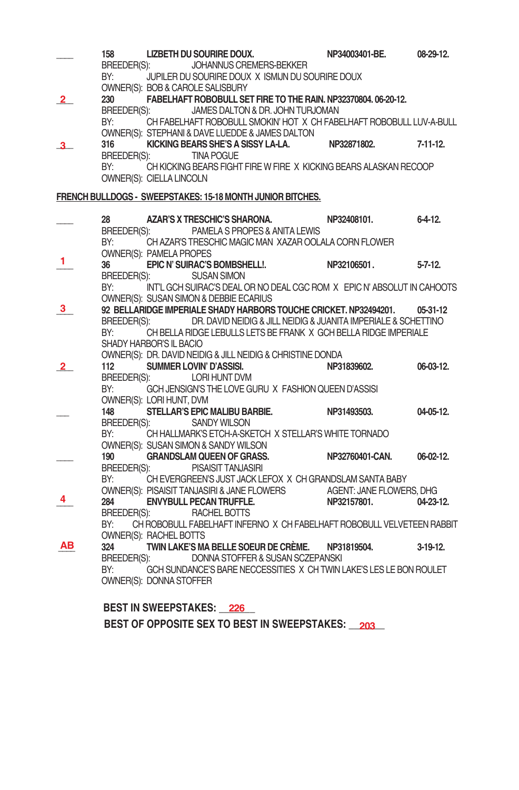|    | 158         | <b>LIZBETH DU SOURIRE DOUX.</b>                                                                       | NP34003401-BE.  | 08-29-12.      |
|----|-------------|-------------------------------------------------------------------------------------------------------|-----------------|----------------|
|    | BREEDER(S): | JOHANNUS CREMERS-BEKKER                                                                               |                 |                |
|    | BY:         | JUPILER DU SOURIRE DOUX X ISMIJN DU SOURIRE DOUX<br>OWNER(S): BOB & CAROLE SALISBURY                  |                 |                |
| 2. | 230         | FABELHAFT ROBOBULL SET FIRE TO THE RAIN. NP32370804. 06-20-12.                                        |                 |                |
|    | BREEDER(S): | JAMES DALTON & DR. JOHN TURJOMAN                                                                      |                 |                |
|    | BY:         | CH FABELHAFT ROBOBULL SMOKIN' HOT X CH FABELHAFT ROBOBULL LUV-A-BULL                                  |                 |                |
|    |             | OWNER(S): STEPHANI & DAVE LUEDDE & JAMES DALTON                                                       |                 |                |
|    | 316         | KICKING BEARS SHE'S A SISSY LA-LA.                                                                    | NP32871802.     | $7-11-12$ .    |
|    | BY:         | BREEDER(S): TINA POGUE<br>CH KICKING BEARS FIGHT FIRE W FIRE X KICKING BEARS ALASKAN RECOOP           |                 |                |
|    |             | OWNER(S): CIELLA LINCOLN                                                                              |                 |                |
|    |             |                                                                                                       |                 |                |
|    |             | FRENCH BULLDOGS - SWEEPSTAKES: 15-18 MONTH JUNIOR BITCHES.                                            |                 |                |
|    | 28          | AZAR'S X TRESCHIC'S SHARONA.                                                                          | NP32408101.     | $6 - 4 - 12$ . |
|    |             | BREEDER(S): PAMELA S PROPES & ANITA LEWIS                                                             |                 |                |
|    |             | BY: CH AZAR'S TRESCHIC MAGIC MAN XAZAR OOLALA CORN FLOWER                                             |                 |                |
| 1  |             | OWNER(S): PAMELA PROPES                                                                               |                 |                |
|    |             | EPIC N' SUIRAC'S BOMBSHELL!. NP32106501.                                                              |                 | $5 - 7 - 12$ . |
|    |             | BREEDER(S): SUSAN SIMON<br>BY: INTL GCH SUIRAC'S DEAL OR NO DEAL CGC ROM X EPIC N' ABSOLUT IN CAHOOTS |                 |                |
|    |             | OWNER(S): SUSAN SIMON & DEBBIE ECARIUS                                                                |                 |                |
| 3  |             | 92 BELLARIDGE IMPERIALE SHADY HARBORS TOUCHE CRICKET. NP32494201. 05-31-12                            |                 |                |
|    |             | BREEDER(S): DR. DAVID NEIDIG & JILL NEIDIG & JUANITA IMPERIALE & SCHETTINO                            |                 |                |
|    | BY:         | CH BELLA RIDGE LEBULLS LETS BE FRANK X GCH BELLA RIDGE IMPERIALE                                      |                 |                |
|    |             | SHADY HARBOR'S IL BACIO                                                                               |                 |                |
|    |             | OWNER(S): DR. DAVID NEIDIG & JILL NEIDIG & CHRISTINE DONDA                                            |                 |                |
| 2  | 112         | SUMMER LOVIN' D'ASSISI.<br>BREEDER(S): LORI HUNT DVM                                                  | NP31839602.     | 06-03-12.      |
|    | BY:         | GCH JENSIGN'S THE LOVE GURU X FASHION QUEEN D'ASSISI                                                  |                 |                |
|    |             | OWNER(S): LORI HUNT, DVM                                                                              |                 |                |
|    | 148         | <b>STELLAR'S EPIC MALIBU BARBIE.</b>                                                                  | NP31493503.     | 04-05-12.      |
|    |             | BREEDER(S): SANDY WILSON                                                                              |                 |                |
|    | BY:         | CH HALLMARK'S ETCH-A-SKETCH X STELLAR'S WHITE TORNADO                                                 |                 |                |
|    |             | OWNER(S): SUSAN SIMON & SANDY WILSON                                                                  |                 |                |
|    | 190         | <b>GRANDSLAM QUEEN OF GRASS.</b><br>BREEDER(S): PISAISIT TANJASIRI                                    | NP32760401-CAN. | $06-02-12.$    |
|    | BY:         | CH EVERGREEN'S JUST JACK LEFOX X CH GRANDSLAM SANTA BABY                                              |                 |                |
|    |             | OWNER(S): PISAISIT TANJASIRI & JANE FLOWERS AGENT: JANE FLOWERS, DHG                                  |                 |                |
|    | 284         | <b>ENVYBULL PECAN TRUFFLE.</b>                                                                        | NP32157801.     | 04-23-12.      |
|    |             | BREEDER(S): RACHEL BOTTS                                                                              |                 |                |
|    | BY:         | CH ROBOBULL FABELHAFT INFERNO X CH FABELHAFT ROBOBULL VELVETEEN RABBIT                                |                 |                |
| AВ |             | <b>OWNER(S): RACHEL BOTTS</b>                                                                         |                 |                |
|    | 324         | TWIN LAKE'S MA BELLE SOEUR DE CRÈME. NP31819504.<br>BREEDER(S):<br>DONNA STOFFER & SUSAN SCZEPANSKI   |                 | 3-19-12.       |
|    | BY:         | GCH SUNDANCE'S BARE NECCESSITIES X CH TWIN LAKE'S LES LE BON ROULET                                   |                 |                |
|    |             | OWNER(S): DONNA STOFFER                                                                               |                 |                |
|    |             |                                                                                                       |                 |                |
|    |             | <b>DEAT IN AWEFBATAI/EA</b>                                                                           |                 |                |

**BEST IN SWEEPSTAKES: \_\_\_\_\_\_\_ 226** BEST OF OPPOSITE SEX TO BEST IN SWEEPSTAKES: \_\_203\_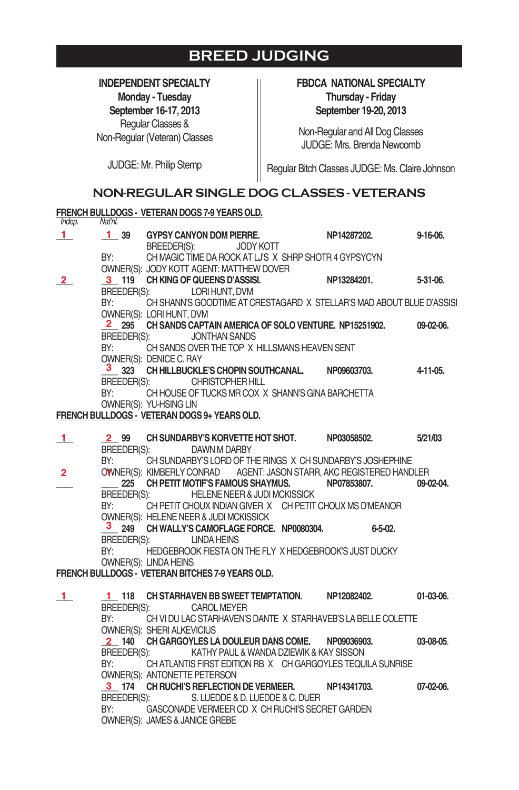### **BREED JUDGING**

**INDEPENDENT SPECIALTY Monday - Tuesday September 16-17, 2013** Regular Classes & Non-Regular (Veteran) Classes

#### **FBDCA NATIONAL SPECIALTY Thursday - Friday September 19-20, 2013**

Non-Regular and All Dog Classes JUDGE:Mrs. Brenda Newcomb

JUDGE: Mr. Philip Stemp

Regular Bitch Classes JUDGE: Ms. Claire Johnson

#### **NON-REGULAR SINGLE DOG CLASSES - VETERANS**

|                |             |                                   | FRENCH BULLDOGS - VETERAN DOGS 7-9 YEARS OLD.             |                                                                                           |             |
|----------------|-------------|-----------------------------------|-----------------------------------------------------------|-------------------------------------------------------------------------------------------|-------------|
| Indep.         | Nat'nl.     |                                   | 1 39 GYPSY CANYON DOM PIERRE.                             | NP14287202.                                                                               | $9-16-06.$  |
| 1              |             | BREEDER(S):                       | <b>JODY KOTT</b>                                          |                                                                                           |             |
|                |             |                                   | BY: CH MAGIC TIME DA ROCK AT LJ'S X SHRP SHOTR 4 GYPSYCYN |                                                                                           |             |
|                |             |                                   |                                                           |                                                                                           |             |
| $2^{\circ}$    |             |                                   |                                                           | OWNER(S): JODY KOTT AGENT: MATTHEW DOVER<br>3 119 CH KING OF QUEENS D'ASSISI. NP13284201. | 5-31-06.    |
|                |             |                                   | BREEDER(S): LORI HUNT, DVM                                |                                                                                           |             |
|                | BY:         |                                   |                                                           | CH SHANN'S GOODTIME AT CRESTAGARD X STELLAR'S MAD ABOUT BLUE D'ASSISI                     |             |
|                |             | OWNER(S): LORI HUNT, DVM          |                                                           |                                                                                           |             |
|                |             |                                   |                                                           | 2 295 CH SANDS CAPTAIN AMERICA OF SOLO VENTURE. NP15251902.                               | 09-02-06.   |
|                | BREEDER(S): |                                   | <b>JONTHAN SANDS</b>                                      |                                                                                           |             |
|                | BY:         |                                   | CH SANDS OVER THE TOP X HILLSMANS HEAVEN SENT             |                                                                                           |             |
|                |             | OWNER(S): DENICE C. RAY           |                                                           |                                                                                           |             |
|                |             |                                   | 3 323 CH HILLBUCKLE'S CHOPIN SOUTHCANAL. NP09603703.      |                                                                                           | 4-11-05.    |
|                |             |                                   | BREEDER(S): CHRISTOPHER HILL                              |                                                                                           |             |
|                | BY:         |                                   | CH HOUSE OF TUCKS MR COX X SHANN'S GINA BARCHETTA         |                                                                                           |             |
|                |             | OWNER(S): YU-HSING LIN            |                                                           |                                                                                           |             |
|                |             |                                   | FRENCH BULLDOGS - VETERAN DOGS 9+ YEARS OLD.              |                                                                                           |             |
|                |             |                                   |                                                           |                                                                                           |             |
| -1.            |             |                                   |                                                           | 2 99 CH SUNDARBY'S KORVETTE HOT SHOT. NP03058502. 5/21/03                                 |             |
|                | BREEDER(S): |                                   | DAWN M DARBY                                              |                                                                                           |             |
|                | BY:         |                                   |                                                           | CH SUNDARBY'S LORD OF THE RINGS X CH SUNDARBY'S JOSHEPHINE                                |             |
| $\overline{2}$ |             |                                   |                                                           | OWNER(S): KIMBERLY CONRAD AGENT: JASON STARR, AKC REGISTERED HANDLER                      |             |
|                |             |                                   | 225 CH PETIT MOTIF'S FAMOUS SHAYMUS. NP07853807.          |                                                                                           | 09-02-04.   |
|                | BREEDER(S): |                                   | <b>HELENE NEER &amp; JUDI MCKISSICK</b>                   |                                                                                           |             |
|                | BY:         |                                   |                                                           | CH PETIT CHOUX INDIAN GIVER X CH PETIT CHOUX MS D'MEANOR                                  |             |
|                |             |                                   | OWNER(S): HELENE NEER & JUDI MCKISSICK                    |                                                                                           |             |
|                |             |                                   | 3 249 CH WALLY'S CAMOFLAGE FORCE. NP0080304.              | $6 - 5 - 02$ .                                                                            |             |
|                |             | BREEDER(S): LINDA HEINS           |                                                           |                                                                                           |             |
|                |             |                                   |                                                           | BY: HEDGEBROOK FIESTA ON THE FLY X HEDGEBROOK'S JUST DUCKY                                |             |
|                |             | OWNER(S): LINDA HEINS             |                                                           |                                                                                           |             |
|                |             |                                   | FRENCH BULLDOGS - VETERAN BITCHES 7-9 YEARS OLD.          |                                                                                           |             |
|                |             |                                   |                                                           |                                                                                           |             |
| $\blacksquare$ |             |                                   | 1 118 CH STARHAVEN BB SWEET TEMPTATION. NP12082402.       |                                                                                           | 01-03-06.   |
|                |             | BREEDER(S): CAROL MEYER           |                                                           |                                                                                           |             |
|                |             |                                   |                                                           | BY: CH VI DU LAC STARHAVEN'S DANTE X STARHAVEB'S LA BELLE COLETTE                         |             |
|                |             | <b>OWNER(S): SHERI ALKEVICIUS</b> | 2 140 CH GARGOYLES LA DOULEUR DANS COME. NP09036903.      |                                                                                           | 03-08-05.   |
|                |             |                                   | BREEDER(S): KATHY PAUL & WANDA DZIEWIK & KAY SISSON       |                                                                                           |             |
|                |             |                                   |                                                           | BY: CHATLANTIS FIRST EDITION RB X CH GARGOYLES TEQUILA SUNRISE                            |             |
|                |             | OWNER(S): ANTONETTE PETERSON      |                                                           |                                                                                           |             |
|                |             |                                   | 3 174 CH RUCHI'S REFLECTION DE VERMEER. NP14341703.       |                                                                                           | $07-02-06.$ |
|                |             |                                   | BREEDER(S): S. LUEDDE & D. LUEDDE & C. DUER               |                                                                                           |             |
|                | BY:         |                                   | GASCONADE VERMEER CD X CH RUCHI'S SECRET GARDEN           |                                                                                           |             |
|                |             | OWNER(S): JAMES & JANICE GREBE    |                                                           |                                                                                           |             |
|                |             |                                   |                                                           |                                                                                           |             |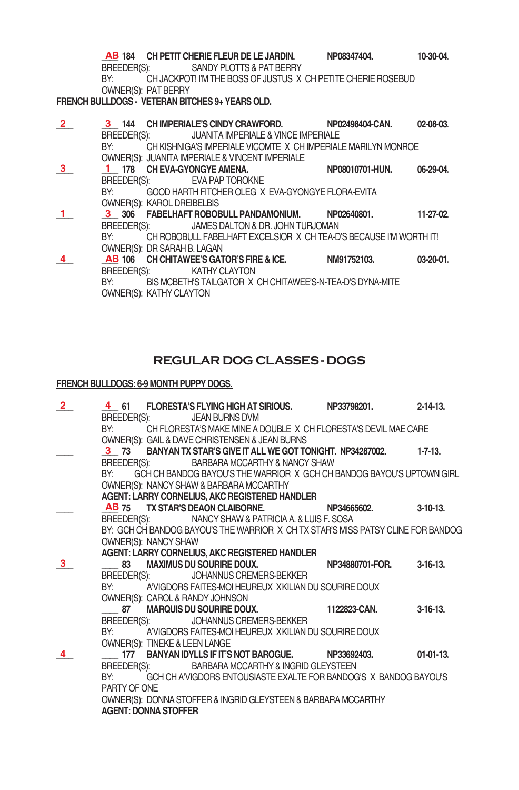|                |                                                                                    |  | <b>AB 184 CH PETIT CHERIE FLEUR DE LE JARDIN. PRO8347404.</b><br>BREEDER(S): SANDY PLOTTS & PAT BERRY                                                                                  |  | 10-30-04  |  |  |
|----------------|------------------------------------------------------------------------------------|--|----------------------------------------------------------------------------------------------------------------------------------------------------------------------------------------|--|-----------|--|--|
|                | OWNER(S): PAT BERRY                                                                |  | BY: CH JACKPOT! I'M THE BOSS OF JUSTUS X CH PETITE CHERIE ROSEBUD                                                                                                                      |  |           |  |  |
|                |                                                                                    |  | <b>FRENCH BULLDOGS - VETERAN BITCHES 9+ YEARS OLD.</b>                                                                                                                                 |  |           |  |  |
| $\overline{2}$ |                                                                                    |  | 3 144 CH IMPERIALE'S CINDY CRAWFORD. NP02498404-CAN.<br>BREEDER(S): JUANITA IMPERIALE & VINCE IMPERIALE<br>BY: CH KISHNIGA'S IMPERIALE VICOMTE X CH IMPERIALE MARILYN MONROE           |  | 02-08-03. |  |  |
| 3 <sup>1</sup> | OWNER(S): KAROL DREIBELBIS                                                         |  | OWNER(S): JUANITA IMPERIALE & VINCENT IMPERIALE<br>1 178 CH EVA-GYONGYE AMENA. NP08010701-HUN.<br>BREEDER(S): EVA PAP TOROKNE<br>BY: GOOD HARTH FITCHER OLEG X EVA-GYONGYE FLORA-EVITA |  | 06-29-04. |  |  |
|                | OWNER(S): DR SARAH B. LAGAN                                                        |  | 3 306 FABELHAFT ROBOBULL PANDAMONIUM. NP02640801. 11-27-02.<br>BREEDER(S): JAMES DALTON & DR. JOHN TURJOMAN<br>BY: CH ROBOBULL FABELHAFT EXCELSIOR X CH TEA-D'S BECAUSE I'M WORTH IT!  |  |           |  |  |
|                | OWNER(S): KATHY CLAYTON                                                            |  | AB 106 CH CHITAWEE'S GATOR'S FIRE & ICE. NIM91752103. 03-20-01.<br>BREEDER(S): KATHY CLAYTON<br>BY: BIS MCBETH'S TAILGATOR X CH CHITAWEE'S N-TEA-D'S DYNA-MITE                         |  |           |  |  |
|                | <b>REGULAR DOG CLASSES - DOGS</b><br><b>FRENCH BULLDOGS: 6-9 MONTH PUPPY DOGS.</b> |  |                                                                                                                                                                                        |  |           |  |  |

| $\overline{2}$ |                             |                                 |                                                     | 4 61 FLORESTA'S FLYING HIGH AT SIRIOUS. NP33798201. 2-14-13.                     |  |
|----------------|-----------------------------|---------------------------------|-----------------------------------------------------|----------------------------------------------------------------------------------|--|
|                |                             | BREEDER(S): JEAN BURNS DVM      |                                                     |                                                                                  |  |
|                |                             |                                 |                                                     | BY: CH FLORESTA'S MAKE MINE A DOUBLE X CH FLORESTA'S DEVIL MAE CARE              |  |
|                |                             |                                 | OWNER(S): GAIL & DAVE CHRISTENSEN & JEAN BURNS      |                                                                                  |  |
|                |                             |                                 |                                                     | 3 73 BANYAN TX STAR'S GIVE IT ALL WE GOT TONIGHT. NP34287002. 1-7-13.            |  |
|                |                             |                                 | BREEDER(S): BARBARA MCCARTHY & NANCY SHAW           |                                                                                  |  |
|                |                             |                                 |                                                     | BY: GCH CH BANDOG BAYOU'S THE WARRIOR X GCH CH BANDOG BAYOU'S UPTOWN GIRL        |  |
|                |                             |                                 | OWNER(S): NANCY SHAW & BARBARA MCCARTHY             |                                                                                  |  |
|                |                             |                                 | AGENT: LARRY CORNELIUS, AKC REGISTERED HANDLER      |                                                                                  |  |
|                |                             |                                 |                                                     | AB 75 TX STAR'S DEAON CLAIBORNE. NP34665602. 3-10-13.                            |  |
|                |                             |                                 | BREEDER(S): NANCY SHAW & PATRICIA A. & LUIS F. SOSA |                                                                                  |  |
|                |                             |                                 |                                                     | BY: GCH CH BANDOG BAYOU'S THE WARRIOR X CH TX STAR'S MISS PATSY CLINE FOR BANDOG |  |
|                | OWNER(S): NANCY SHAW        |                                 |                                                     |                                                                                  |  |
|                |                             |                                 | AGENT: LARRY CORNELIUS, AKC REGISTERED HANDLER      |                                                                                  |  |
| 3              |                             |                                 |                                                     | 83 MAXIMUS DU SOURIRE DOUX. NP34880701-FOR. 3-16-13.                             |  |
|                |                             |                                 | BREEDER(S): JOHANNUS CREMERS-BEKKER                 |                                                                                  |  |
|                |                             |                                 |                                                     | BY: A'VIGDORS FAITES-MOI HEUREUX XKILIAN DU SOURIRE DOUX                         |  |
|                |                             | OWNER(S): CAROL & RANDY JOHNSON |                                                     |                                                                                  |  |
|                |                             |                                 |                                                     | 87 MARQUIS DU SOURIRE DOUX. 1122823-CAN. 3-16-13.                                |  |
|                |                             |                                 | BREEDER(S): JOHANNUS CREMERS-BEKKER                 |                                                                                  |  |
|                |                             |                                 |                                                     | BY: A'VIGDORS FAITES-MOI HEUREUX XKILIAN DU SOURIRE DOUX                         |  |
|                |                             | OWNER(S): TINEKE & LEEN LANGE   |                                                     |                                                                                  |  |
|                |                             |                                 |                                                     | 177 BANYAN IDYLLS IF IT'S NOT BAROGUE. NP33692403. 01-01-13.                     |  |
|                |                             |                                 | BREEDER(S): BARBARA MCCARTHY & INGRID GLEYSTEEN     |                                                                                  |  |
|                |                             |                                 |                                                     | BY: GCH CH A'VIGDORS ENTOUSIASTE EXALTE FOR BANDOG'S X BANDOG BAYOU'S            |  |
|                | PARTY OF ONE                |                                 |                                                     |                                                                                  |  |
|                |                             |                                 |                                                     | OWNER(S): DONNA STOFFER & INGRID GLEYSTEEN & BARBARA MCCARTHY                    |  |
|                | <b>AGENT: DONNA STOFFER</b> |                                 |                                                     |                                                                                  |  |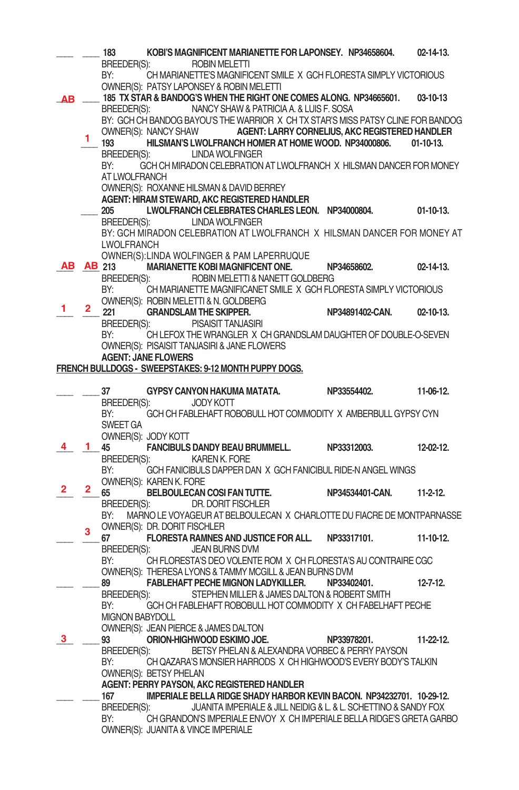|    |    | 183                    |                                                        | KOBI'S MAGNIFICENT MARIANETTE FOR LAPONSEY. NP34658604.                          |                 | $02 - 14 - 13$ . |
|----|----|------------------------|--------------------------------------------------------|----------------------------------------------------------------------------------|-----------------|------------------|
|    |    | BREEDER(S):            |                                                        | <b>ROBIN MELETTI</b>                                                             |                 |                  |
|    |    | BY:                    |                                                        | CH MARIANETTE'S MAGNIFICENT SMILE X GCH FLORESTA SIMPLY VICTORIOUS               |                 |                  |
|    |    |                        | OWNER(S): PATSY LAPONSEY & ROBIN MELETTI               |                                                                                  |                 |                  |
| AВ |    |                        |                                                        | 185 TX STAR & BANDOG'S WHEN THE RIGHT ONE COMES ALONG. NP34665601.               |                 | $03 - 10 - 13$   |
|    |    | BREEDER(S):            |                                                        | NANCY SHAW & PATRICIA A. & LUIS F. SOSA                                          |                 |                  |
|    |    |                        |                                                        | BY: GCH CH BANDOG BAYOU'S THE WARRIOR X CH TX STAR'S MISS PATSY CLINE FOR BANDOG |                 |                  |
|    |    |                        |                                                        | OWNER(S): NANCY SHAW AGENT: LARRY CORNELIUS, AKC REGISTERED HANDLER              |                 |                  |
|    | 1. | 193                    |                                                        | HILSMAN'S LWOLFRANCH HOMER AT HOME WOOD. NP34000806.                             |                 | $01-10-13.$      |
|    |    | BREEDER(S):            |                                                        | <b>LINDA WOLFINGER</b>                                                           |                 |                  |
|    |    | BY:                    |                                                        | GCH CH MIRADON CELEBRATION AT LWOLFRANCH X HILSMAN DANCER FOR MONEY              |                 |                  |
|    |    | AT LWOLFRANCH          |                                                        |                                                                                  |                 |                  |
|    |    |                        | OWNER(S): ROXANNE HILSMAN & DAVID BERREY               |                                                                                  |                 |                  |
|    |    |                        |                                                        | AGENT: HIRAM STEWARD, AKC REGISTERED HANDLER                                     |                 |                  |
|    |    | 205                    |                                                        | LWOLFRANCH CELEBRATES CHARLES LEON. NP34000804.                                  |                 | $01-10-13.$      |
|    |    | BREEDER(S):            |                                                        | LINDA WOLFINGER                                                                  |                 |                  |
|    |    |                        |                                                        | BY: GCH MIRADON CELEBRATION AT LWOLFRANCH X HILSMAN DANCER FOR MONEY AT          |                 |                  |
|    |    | LWOLFRANCH             |                                                        |                                                                                  |                 |                  |
|    |    |                        |                                                        | OWNER(S): LINDA WOLFINGER & PAM LAPERRUQUE                                       |                 |                  |
| ΑВ |    | AB 213                 |                                                        | MARIANETTE KOBI MAGNIFICENT ONE.                                                 | NP34658602.     | $02 - 14 - 13$ . |
|    |    | BREEDER(S):            |                                                        | ROBIN MELETTI & NANETT GOLDBERG                                                  |                 |                  |
|    |    |                        |                                                        |                                                                                  |                 |                  |
|    |    | BY:                    |                                                        | CH MARIANETTE MAGNIFICANET SMILE X GCH FLORESTA SIMPLY VICTORIOUS                |                 |                  |
| 1. | 2. |                        | OWNER(S): ROBIN MELETTI & N. GOLDBERG                  |                                                                                  |                 |                  |
|    |    | 221                    | <b>GRANDSLAM THE SKIPPER.</b>                          |                                                                                  | NP34891402-CAN. | $02 - 10 - 13$ . |
|    |    | BREEDER(S):            | PISAISIT TANJASIRI                                     |                                                                                  |                 |                  |
|    |    | BY:                    |                                                        | CH LEFOX THE WRANGLER X CH GRANDSLAM DAUGHTER OF DOUBLE-O-SEVEN                  |                 |                  |
|    |    |                        | OWNER(S): PISAISIT TANJASIRI & JANE FLOWERS            |                                                                                  |                 |                  |
|    |    |                        | <b>AGENT: JANE FLOWERS</b>                             |                                                                                  |                 |                  |
|    |    |                        |                                                        | FRENCH BULLDOGS - SWEEPSTAKES: 9-12 MONTH PUPPY DOGS.                            |                 |                  |
|    |    |                        |                                                        |                                                                                  |                 |                  |
|    |    | 37                     | GYPSY CANYON HAKUMA MATATA.                            |                                                                                  | NP33554402.     | 11-06-12.        |
|    |    | BREEDER(S):<br>BY:     | <b>JODY KOTT</b>                                       |                                                                                  |                 |                  |
|    |    | SWEET GA               |                                                        | GCH CH FABLEHAFT ROBOBULL HOT COMMODITY X AMBERBULL GYPSY CYN                    |                 |                  |
|    |    |                        | OWNER(S): JODY KOTT                                    |                                                                                  |                 |                  |
| 4. | 1. |                        |                                                        |                                                                                  |                 | $12 - 02 - 12$ . |
|    |    | 45                     |                                                        | FANCIBULS DANDY BEAU BRUMMELL. NP33312003.<br>KAREN K. FORE                      |                 |                  |
|    |    | BREEDER(S):            |                                                        |                                                                                  |                 |                  |
|    |    | BY:                    |                                                        | GCH FANICIBULS DAPPER DAN X GCH FANICIBUL RIDE-N ANGEL WINGS                     |                 |                  |
| 2. | 2. |                        | OWNER(S): KAREN K. FORE<br>BELBOULECAN COSI FAN TUTTE. |                                                                                  | NP34534401-CAN. |                  |
|    |    | 65                     |                                                        |                                                                                  |                 | $11-2-12$        |
|    |    | BREEDER(S):            |                                                        | DR. DORIT FISCHLER                                                               |                 |                  |
|    |    | BY:                    |                                                        | MARNO LE VOYAGEUR AT BELBOULECAN X CHARLOTTE DU FIACRE DE MONTPARNASSE           |                 |                  |
|    | 3  |                        | OWNER(S): DR. DORIT FISCHLER                           |                                                                                  |                 |                  |
|    |    | 67                     |                                                        | FLORESTA RAMNES AND JUSTICE FOR ALL. NP33317101.                                 |                 | 11-10-12.        |
|    |    | BREEDER(S):            |                                                        | JEAN BURNS DVM                                                                   |                 |                  |
|    |    | BY:                    |                                                        | CH FLORESTA'S DEO VOLENTE ROM X CH FLORESTA'S AU CONTRAIRE CGC                   |                 |                  |
|    |    |                        |                                                        | OWNER(S): THERESA LYONS & TAMMY MCGILL & JEAN BURNS DVM                          |                 |                  |
|    |    | 89                     |                                                        | FABLEHAFT PECHE MIGNON LADYKILLER.                                               | NP33402401.     | $12 - 7 - 12$ .  |
|    |    | BREEDER(S):            |                                                        | STEPHEN MILLER & JAMES DALTON & ROBERT SMITH                                     |                 |                  |
|    |    | BY:                    |                                                        | GCH CH FABLEHAFT ROBOBULL HOT COMMODITY X CH FABELHAFT PECHE                     |                 |                  |
|    |    | <b>MIGNON BABYDOLL</b> |                                                        |                                                                                  |                 |                  |
|    |    |                        | OWNER(S): JEAN PIERCE & JAMES DALTON                   |                                                                                  |                 |                  |
| 3. |    | 93                     | ORION-HIGHWOOD ESKIMO JOE.                             |                                                                                  | NP33978201.     | $11-22-12.$      |
|    |    | <b>BREEDER(S):</b>     |                                                        | BETSY PHELAN & ALEXANDRA VORBEC & PERRY PAYSON                                   |                 |                  |
|    |    | BY:                    |                                                        | CH QAZARA'S MONSIER HARRODS X CH HIGHWOOD'S EVERY BODY'S TALKIN                  |                 |                  |
|    |    |                        | OWNER(S): BETSY PHELAN                                 |                                                                                  |                 |                  |
|    |    |                        |                                                        | AGENT: PERRY PAYSON, AKC REGISTERED HANDLER                                      |                 |                  |
|    |    | 167                    |                                                        | IMPERIALE BELLA RIDGE SHADY HARBOR KEVIN BACON. NP34232701. 10-29-12.            |                 |                  |
|    |    | BREEDER(S):            |                                                        | JUANITA IMPERIALE & JILL NEIDIG & L. & L. SCHETTINO & SANDY FOX                  |                 |                  |
|    |    | BY:                    |                                                        | CH GRANDON'S IMPERIALE ENVOY X CH IMPERIALE BELLA RIDGE'S GRETA GARBO            |                 |                  |
|    |    |                        | OWNER(S): JUANITA & VINCE IMPERIALE                    |                                                                                  |                 |                  |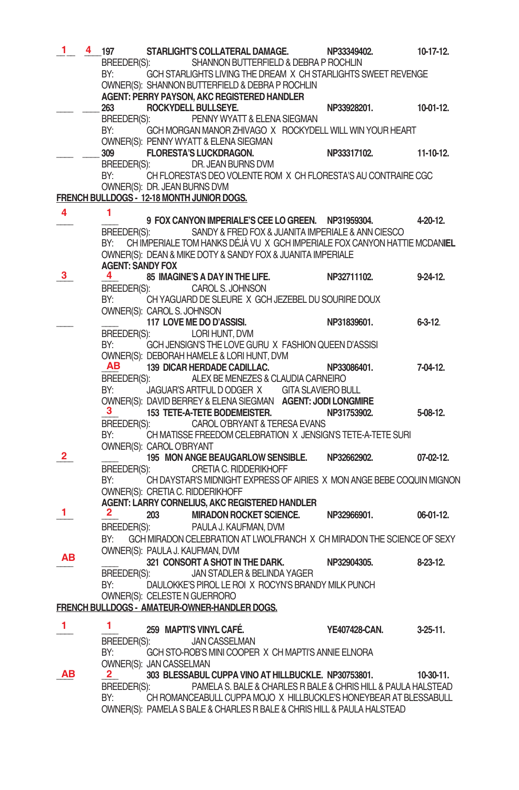| 1. | 4 | 197                     |                              | STARLIGHT'S COLLATERAL DAMAGE.                                            | NP33349402.   | $10-17-12.$    |
|----|---|-------------------------|------------------------------|---------------------------------------------------------------------------|---------------|----------------|
|    |   | BREEDER(S):             |                              | SHANNON BUTTERFIELD & DEBRA P ROCHLIN                                     |               |                |
|    |   | BY:                     |                              | GCH STARLIGHTS LIVING THE DREAM X CH STARLIGHTS SWEET REVENGE             |               |                |
|    |   |                         |                              | OWNER(S): SHANNON BUTTERFIELD & DEBRA P ROCHLIN                           |               |                |
|    |   |                         |                              | AGENT: PERRY PAYSON, AKC REGISTERED HANDLER                               |               |                |
|    |   | 263                     |                              | ROCKYDELL BULLSEYE.                                                       | NP33928201.   | $10-01-12.$    |
|    |   | BREEDER(S):             |                              | PENNY WYATT & ELENA SIEGMAN                                               |               |                |
|    |   | BY:                     |                              | GCH MORGAN MANOR ZHIVAGO X ROCKYDELL WILL WIN YOUR HEART                  |               |                |
|    |   |                         |                              | OWNER(S): PENNY WYATT & ELENA SIEGMAN                                     |               |                |
|    |   | 309                     |                              | <b>FLORESTA'S LUCKDRAGON.</b>                                             | NP33317102.   | 11-10-12.      |
|    |   | BREEDER(S):             |                              | DR. JEAN BURNS DVM                                                        |               |                |
|    |   | BY:                     |                              | CH FLORESTA'S DEO VOLENTE ROM X CH FLORESTA'S AU CONTRAIRE CGC            |               |                |
|    |   |                         | OWNER(S): DR. JEAN BURNS DVM |                                                                           |               |                |
|    |   |                         |                              | FRENCH BULLDOGS - 12-18 MONTH JUNIOR DOGS.                                |               |                |
| 4  |   | 1                       |                              |                                                                           |               |                |
|    |   |                         |                              | 9 FOX CANYON IMPERIALE'S CEE LO GREEN. NP31959304.                        |               | 4-20-12.       |
|    |   | BREEDER(S):             |                              | SANDY & FRED FOX & JUANITA IMPERIALE & ANN CIESCO                         |               |                |
|    |   | BY:                     |                              | CH IMPERIALE TOM HANKS DÉJÀ VU X GCH IMPERIALE FOX CANYON HATTIE MCDANIEL |               |                |
|    |   | <b>AGENT: SANDY FOX</b> |                              | OWNER(S): DEAN & MIKE DOTY & SANDY FOX & JUANITA IMPERIALE                |               |                |
| 3. |   | 4                       |                              | 85 IMAGINE'S A DAY IN THE LIFE.                                           | NP32711102.   | $9 - 24 - 12$  |
|    |   | BREEDER(S):             |                              | CAROL S. JOHNSON                                                          |               |                |
|    |   | BY:                     |                              | CH YAGUARD DE SLEURE X GCH JEZEBEL DU SOURIRE DOUX                        |               |                |
|    |   |                         | OWNER(S): CAROL S. JOHNSON   |                                                                           |               |                |
|    |   |                         |                              | 117 LOVE ME DO D'ASSISI.                                                  | NP31839601.   | $6 - 3 - 12$ . |
|    |   | BREEDER(S):             |                              | LORI HUNT, DVM                                                            |               |                |
|    |   | BY:                     |                              | GCH JENSIGN'S THE LOVE GURU X FASHION QUEEN D'ASSISI                      |               |                |
|    |   |                         |                              | OWNER(S): DEBORAH HAMELE & LORI HUNT, DVM                                 |               |                |
|    |   | AВ                      |                              | 139 DICAR HERDADE CADILLAC.                                               | NP33086401.   | 7-04-12.       |
|    |   | BREEDER(S):             |                              | ALEX BE MENEZES & CLAUDIA CARNEIRO                                        |               |                |
|    |   | BY:                     |                              | JAGUAR'S ARTFUL DODGER X GITA SLAVIERO BULL                               |               |                |
|    |   |                         |                              | OWNER(S): DAVID BERREY & ELENA SIEGMAN AGENT: JODI LONGMIRE               |               |                |
|    |   | З.                      |                              | 153 TETE-A-TETE BODEMEISTER.                                              | NP31753902.   | $5-08-12.$     |
|    |   | BREEDER(S):             |                              | CAROL O'BRYANT & TERESA EVANS                                             |               |                |
|    |   | BY:                     |                              | CH MATISSE FREEDOM CELEBRATION X JENSIGN'S TETE-A-TETE SURI               |               |                |
|    |   |                         | OWNER(S): CAROL O'BRYANT     |                                                                           |               |                |
| 2  |   |                         |                              | 195 MON ANGE BEAUGARLOW SENSIBLE.                                         | NP32662902.   | 07-02-12.      |
|    |   | BREEDER(S):             |                              | CRETIA C. RIDDERIKHOFF                                                    |               |                |
|    |   | BY:                     |                              | CH DAYSTAR'S MIDNIGHT EXPRESS OF AIRIES X MON ANGE BEBE COQUIN MIGNON     |               |                |
|    |   |                         |                              | OWNER(S): CRETIA C. RIDDERIKHOFF                                          |               |                |
| 1. |   |                         |                              | AGENT: LARRY CORNELIUS, AKC REGISTERED HANDLER                            |               |                |
|    |   | 2                       | 203                          | <b>MIRADON ROCKET SCIENCE.</b>                                            | NP32966901.   | 06-01-12.      |
|    |   | BREEDER(S):             |                              | PAULA J. KAUFMAN, DVM                                                     |               |                |
|    |   | BY:                     |                              | GCH MIRADON CELEBRATION AT LWOLFRANCH X CH MIRADON THE SCIENCE OF SEXY    |               |                |
| ΑВ |   |                         |                              | OWNER(S): PAULA J. KAUFMAN, DVM                                           |               |                |
|    |   |                         |                              | 321 CONSORT A SHOT IN THE DARK.<br>JAN STADLER & BELINDA YAGER            | NP32904305.   | $8-23-12$ .    |
|    |   | BREEDER(S):             |                              | DAULOKKE'S PIROL LE ROI X ROCYN'S BRANDY MILK PUNCH                       |               |                |
|    |   | BY:                     |                              | OWNER(S): CELESTE N GUERRORO                                              |               |                |
|    |   |                         |                              | FRENCH BULLDOGS - AMATEUR-OWNER-HANDLER DOGS.                             |               |                |
|    |   |                         |                              |                                                                           |               |                |
| 1. |   | 1.                      |                              | 259 MAPTI'S VINYL CAFE.                                                   | YE407428-CAN. | $3-25-11$ .    |
|    |   | BREEDER(S):             |                              | <b>JAN CASSELMAN</b>                                                      |               |                |
|    |   | BY:                     |                              | GCH STO-ROB'S MINI COOPER X CH MAPTI'S ANNIE ELNORA                       |               |                |
|    |   |                         | OWNER(S): JAN CASSELMAN      |                                                                           |               |                |
| ΑВ |   | $\mathbf{2}^-$          |                              | 303 BLESSABUL CUPPA VINO AT HILLBUCKLE. NP30753801.                       |               | 10-30-11.      |
|    |   | BREEDER(S):             |                              | PAMELA S. BALE & CHARLES R BALE & CHRIS HILL & PAULA HALSTEAD             |               |                |
|    |   | BY:                     |                              | CH ROMANCEABULL CUPPA MOJO X HILLBUCKLE'S HONEYBEAR AT BLESSABULL         |               |                |
|    |   |                         |                              | OWNER(S): PAMELA S BALE & CHARLES R BALE & CHRIS HILL & PAULA HALSTEAD    |               |                |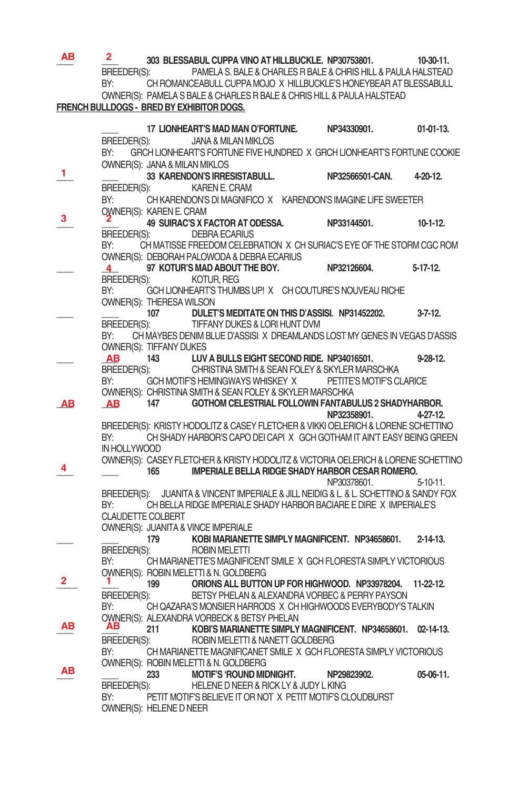| ΑВ | $\mathbf{2}$                                                                                                                                                                                                                   |                               | 303 BLESSABUL CUPPA VINO AT HILLBUCKLE. NP30753801. 10-30-11.                                        |                      |                 |
|----|--------------------------------------------------------------------------------------------------------------------------------------------------------------------------------------------------------------------------------|-------------------------------|------------------------------------------------------------------------------------------------------|----------------------|-----------------|
|    | <b>BREEDER(S):</b>                                                                                                                                                                                                             |                               | PAMELA S. BALE & CHARLES R BALE & CHRIS HILL & PAULA HALSTEAD                                        |                      |                 |
|    | BY:                                                                                                                                                                                                                            |                               | CH ROMANCEABULL CUPPA MOJO X HILLBUCKLE'S HONEYBEAR AT BLESSABULL                                    |                      |                 |
|    |                                                                                                                                                                                                                                |                               | OWNER(S): PAMELA S BALE & CHARLES R BALE & CHRIS HILL & PAULA HALSTEAD                               |                      |                 |
|    |                                                                                                                                                                                                                                |                               | FRENCH BULLDOGS - BRED BY EXHIBITOR DOGS.                                                            |                      |                 |
|    |                                                                                                                                                                                                                                |                               |                                                                                                      |                      |                 |
|    |                                                                                                                                                                                                                                |                               | 17 LIONHEART'S MAD MAN O'FORTUNE. NP34330901.                                                        |                      | $01-01-13.$     |
|    |                                                                                                                                                                                                                                |                               | BREEDER(S): JANA & MILAN MIKLOS                                                                      |                      |                 |
|    | BY:                                                                                                                                                                                                                            |                               | GRCH LIONHEART'S FORTUNE FIVE HUNDRED X GRCH LIONHEART'S FORTUNE COOKIE                              |                      |                 |
|    |                                                                                                                                                                                                                                | OWNER(S): JANA & MILAN MIKLOS |                                                                                                      |                      |                 |
| 1  |                                                                                                                                                                                                                                |                               | 33 KARENDON'S IRRESISTABULL.                                                                         | NP32566501-CAN.      | $4 - 20 - 12$   |
|    |                                                                                                                                                                                                                                |                               | BREEDER(S): KAREN E. CRAM                                                                            |                      |                 |
|    | BY:                                                                                                                                                                                                                            |                               | CH KARENDON'S DI MAGNIFICO X KARENDON'S IMAGINE LIFE SWEETER                                         |                      |                 |
|    |                                                                                                                                                                                                                                | OWNER(S): KAREN E. CRAM       |                                                                                                      |                      |                 |
| 3  |                                                                                                                                                                                                                                |                               | 49 SUIRAC'S X FACTOR AT ODESSA. NP33144501.                                                          |                      | $10-1-12$ .     |
|    |                                                                                                                                                                                                                                |                               | BREEDER(S): DEBRA ECARIUS                                                                            |                      |                 |
|    | BY:                                                                                                                                                                                                                            |                               | CH MATISSE FREEDOM CELEBRATION X CH SURIAC'S EYE OF THE STORM CGC ROM                                |                      |                 |
|    |                                                                                                                                                                                                                                |                               | OWNER(S): DEBORAH PALOWODA & DEBRA ECARIUS                                                           |                      |                 |
|    | 4                                                                                                                                                                                                                              |                               | 97 KOTUR'S MAD ABOUT THE BOY.                                                                        | NP32126604. 5-17-12. |                 |
|    |                                                                                                                                                                                                                                |                               | BREEDER(S): KOTUR, REG                                                                               |                      |                 |
|    | BY:                                                                                                                                                                                                                            |                               | GCH LIONHEART'S THUMBS UP! X CH COUTURE'S NOUVEAU RICHE                                              |                      |                 |
|    |                                                                                                                                                                                                                                | OWNER(S): THERESA WILSON      | 107 DULET'S MEDITATE ON THIS D'ASSISI. NP31452202.                                                   |                      | $3-7-12$        |
|    |                                                                                                                                                                                                                                |                               | BREEDER(S): TIFFANY DUKES & LORI HUNT DVM                                                            |                      |                 |
|    | BY:                                                                                                                                                                                                                            |                               | CH MAYBES DENIM BLUE D'ASSISIX DREAMLANDS LOST MY GENES IN VEGAS D'ASSIS                             |                      |                 |
|    |                                                                                                                                                                                                                                | OWNER(S): TIFFANY DUKES       |                                                                                                      |                      |                 |
|    | AB                                                                                                                                                                                                                             |                               | 143 LUV A BULLS EIGHT SECOND RIDE. NP34016501.                                                       |                      | $9 - 28 - 12$ . |
|    |                                                                                                                                                                                                                                |                               | BREEDER(S): CHRISTINA SMITH & SEAN FOLEY & SKYLER MARSCHKA                                           |                      |                 |
|    | BY:                                                                                                                                                                                                                            |                               | GCH MOTIF'S HEMINGWAYS WHISKEY X PETITE'S MOTIF'S CLARICE                                            |                      |                 |
|    |                                                                                                                                                                                                                                |                               | OWNER(S): CHRISTINA SMITH & SEAN FOLEY & SKYLER MARSCHKA                                             |                      |                 |
| AВ |                                                                                                                                                                                                                                |                               | AB 147 GOTHOM CELESTRIAL FOLLOWIN FANTABULUS 2 SHADYHARBOR.                                          |                      |                 |
|    |                                                                                                                                                                                                                                |                               |                                                                                                      | NP32358901. 4-27-12. |                 |
|    |                                                                                                                                                                                                                                |                               | BREEDER(S): KRISTY HODOLITZ & CASEY FLETCHER & VIKKI OELERICH & LORENE SCHETTINO                     |                      |                 |
|    | BY:                                                                                                                                                                                                                            |                               | CH SHADY HARBOR'S CAPO DEI CAPIX GCH GOTHAM IT AIN'T EASY BEING GREEN                                |                      |                 |
|    | IN HOLLYWOOD                                                                                                                                                                                                                   |                               |                                                                                                      |                      |                 |
|    |                                                                                                                                                                                                                                |                               | OWNER(S): CASEY FLETCHER & KRISTY HODOLITZ & VICTORIA OELERICH & LORENE SCHETTINO                    |                      |                 |
|    |                                                                                                                                                                                                                                |                               | 165 IMPERIALE BELLA RIDGE SHADY HARBOR CESAR ROMERO.                                                 | NP30378601.          |                 |
|    |                                                                                                                                                                                                                                |                               | BREEDER(S): JUANITA & VINCENT IMPERIALE & JILL NEIDIG & L. & L. SCHETTINO & SANDY FOX                |                      | $5 - 10 - 11$ . |
|    | BY: and the state of the state of the state of the state of the state of the state of the state of the state o                                                                                                                 |                               | CH BELLA RIDGE IMPERIALE SHADY HARBOR BACIARE E DIRE X IMPERIALE'S                                   |                      |                 |
|    | <b>CLAUDETTE COLBERT</b>                                                                                                                                                                                                       |                               |                                                                                                      |                      |                 |
|    |                                                                                                                                                                                                                                |                               | OWNER(S): JUANITA & VINCE IMPERIALE                                                                  |                      |                 |
|    |                                                                                                                                                                                                                                | 179                           | KOBI MARIANETTE SIMPLY MAGNIFICENT. NP34658601.                                                      |                      | $2 - 14 - 13$   |
|    | BREEDER(S):                                                                                                                                                                                                                    |                               | <b>ROBIN MELETTI</b>                                                                                 |                      |                 |
|    | BY:                                                                                                                                                                                                                            |                               | CH MARIANETTE'S MAGNIFICENT SMILE X GCH FLORESTA SIMPLY VICTORIOUS                                   |                      |                 |
|    |                                                                                                                                                                                                                                |                               | OWNER(S): ROBIN MELETTI & N. GOLDBERG                                                                |                      |                 |
| 2  | Т.                                                                                                                                                                                                                             |                               | 199 ORIONS ALL BUTTON UP FOR HIGHWOOD. NP33978204. 11-22-12.                                         |                      |                 |
|    |                                                                                                                                                                                                                                |                               | BREEDER(S): BETSY PHELAN & ALEXANDRA VORBEC & PERRY PAYSON                                           |                      |                 |
|    | BY: the contract of the contract of the contract of the contract of the contract of the contract of the contract of the contract of the contract of the contract of the contract of the contract of the contract of the contra |                               | CH QAZARA'S MONSIER HARRODS X CH HIGHWOODS EVERYBODY'S TALKIN                                        |                      |                 |
| AВ | AВ                                                                                                                                                                                                                             |                               | OWNER(S): ALEXANDRA VORBECK & BETSY PHELAN                                                           |                      |                 |
|    |                                                                                                                                                                                                                                | 211                           | KOBI'S MARIANETTE SIMPLY MAGNIFICENT. NP34658601. 02-14-13.                                          |                      |                 |
|    | BREEDER(S):<br>BY:                                                                                                                                                                                                             |                               | ROBIN MELETTI & NANETT GOLDBERG<br>CH MARIANETTE MAGNIFICANET SMILE X GCH FLORESTA SIMPLY VICTORIOUS |                      |                 |
|    |                                                                                                                                                                                                                                |                               | OWNER(S): ROBIN MELETTI & N. GOLDBERG                                                                |                      |                 |
| AВ |                                                                                                                                                                                                                                | 233                           | <b>MOTIF'S 'ROUND MIDNIGHT.</b>                                                                      | NP29823902.          | 05-06-11.       |
|    | BREEDER(S):                                                                                                                                                                                                                    |                               | HELENE D NEER & RICK LY & JUDY L KING                                                                |                      |                 |
|    | BY:                                                                                                                                                                                                                            |                               | PETIT MOTIF'S BELIEVE IT OR NOT X PETIT MOTIF'S CLOUDBURST                                           |                      |                 |
|    |                                                                                                                                                                                                                                | OWNER(S): HELENE D NEER       |                                                                                                      |                      |                 |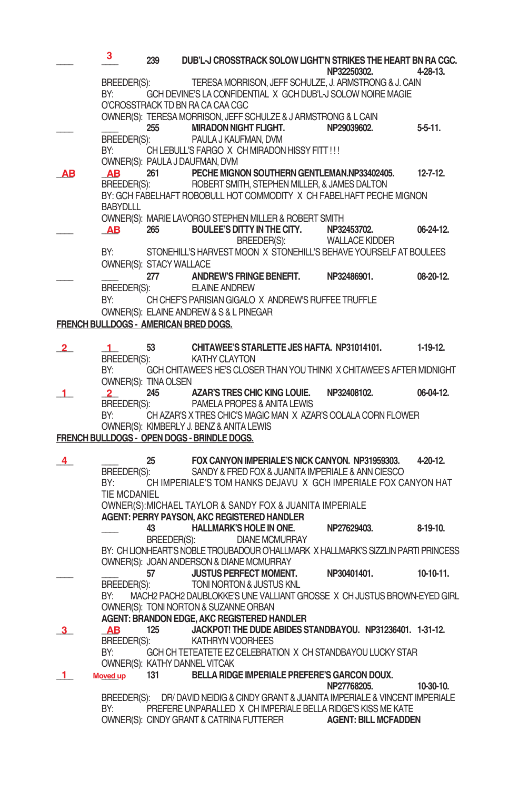|                | 3.                              | 239               |                                                                                                                 |                       | DUB'L-J CROSSTRACK SOLOW LIGHT'N STRIKES THE HEART BN RA CGC.<br>NP32250302.                                                                                                     | $4-28-13$     |
|----------------|---------------------------------|-------------------|-----------------------------------------------------------------------------------------------------------------|-----------------------|----------------------------------------------------------------------------------------------------------------------------------------------------------------------------------|---------------|
|                | BREEDER(S):<br>BY:              |                   | O'CROSSTRACK TD BN RA CA CAA CGC                                                                                |                       | TERESA MORRISON, JEFF SCHULZE, J. ARMSTRONG & J. CAIN<br>GCH DEVINE'S LA CONFIDENTIAL X GCH DUB'L-J SOLOW NOIRE MAGIE                                                            |               |
|                | BREEDER(S):                     | 255               | OWNER(S): TERESA MORRISON, JEFF SCHULZE & J ARMSTRONG & L CAIN<br>MIRADON NIGHT FLIGHT.<br>PAULA J KAUFMAN, DVM |                       | NP29039602.                                                                                                                                                                      | 5-5-11.       |
|                | BY:                             |                   | CH LEBULL'S FARGO X CH MIRADON HISSY FITT !!!<br>OWNER(S): PAULA J DAUFMAN, DVM                                 |                       |                                                                                                                                                                                  |               |
| ΑВ             | AB<br>BREEDER(S):               |                   | 261 PECHE MIGNON SOUTHERN GENTLEMAN.NP33402405.<br>ROBERT SMITH, STEPHEN MILLER, & JAMES DALTON                 |                       | BY: GCH FABELHAFT ROBOBULL HOT COMMODITY X CH FABELHAFT PECHE MIGNON                                                                                                             | $12 - 7 - 12$ |
|                | <b>BABYDLLL</b>                 |                   |                                                                                                                 |                       |                                                                                                                                                                                  |               |
|                | <b>AB</b>                       | 265               | OWNER(S): MARIE LAVORGO STEPHEN MILLER & ROBERT SMITH<br>BOULEE'S DITTY IN THE CITY.                            | BREEDER(S):           | NP32453702.<br><b>WALLACE KIDDER</b>                                                                                                                                             | 06-24-12.     |
|                | BY:<br>OWNER(S): STACY WALLACE  |                   |                                                                                                                 |                       | STONEHILL'S HARVEST MOON X STONEHILL'S BEHAVE YOURSELF AT BOULEES                                                                                                                |               |
|                | BREEDER(S):                     | 277               | ANDREW'S FRINGE BENEFIT.<br><b>ELAINE ANDREW</b>                                                                |                       | NP32486901.                                                                                                                                                                      | 08-20-12.     |
|                | BY:                             |                   | CH CHEF'S PARISIAN GIGALO X ANDREW'S RUFFEE TRUFFLE<br>OWNER(S): ELAINE ANDREW & S & L PINEGAR                  |                       |                                                                                                                                                                                  |               |
|                |                                 |                   | FRENCH BULLDOGS - AMERICAN BRED DOGS.                                                                           |                       |                                                                                                                                                                                  |               |
| $\mathbf{2}$   | $\mathbf{1}$<br>BREEDER(S):     | 53                | CHITAWEE'S STARLETTE JES HAFTA. NP31014101.<br><b>KATHY CLAYTON</b>                                             |                       |                                                                                                                                                                                  | $1-19-12.$    |
|                | BY:<br>OWNER(S): TINA OLSEN     |                   |                                                                                                                 |                       | GCH CHITAWEE'S HE'S CLOSER THAN YOU THINK! X CHITAWEE'S AFTER MIDNIGHT                                                                                                           |               |
| 1              | $\overline{2}$<br>BREEDER(S):   | 245               | AZAR'S TRES CHIC KING LOUIE.<br>PAMELA PROPES & ANITA LEWIS                                                     |                       | NP32408102.                                                                                                                                                                      | $06-04-12.$   |
|                | BY:                             |                   | OWNER(S): KIMBERLY J. BENZ & ANITA LEWIS<br>FRENCH BULLDOGS - OPEN DOGS - BRINDLE DOGS.                         |                       | CH AZAR'S X TRES CHIC'S MAGIC MAN X AZAR'S OOLALA CORN FLOWER                                                                                                                    |               |
|                |                                 |                   |                                                                                                                 |                       |                                                                                                                                                                                  |               |
| 4              | BREEDER(S):<br>BY:              | 25                |                                                                                                                 |                       | FOX CANYON IMPERIALE'S NICK CANYON. NP31959303.<br>SANDY & FRED FOX & JUANITA IMPERIALE & ANN CIESCO<br>CH IMPERIALE'S TOM HANKS DEJAVU X GCH IMPERIALE FOX CANYON HAT           | 4-20-12.      |
|                | TIE MCDANIEL                    |                   | OWNER(S): MICHAEL TAYLOR & SANDY FOX & JUANITA IMPERIALE<br>AGENT: PERRY PAYSON, AKC REGISTERED HANDLER         |                       |                                                                                                                                                                                  |               |
|                |                                 | 43<br>BREEDER(S): | <b>HALLMARK'S HOLE IN ONE.</b>                                                                                  | <b>DIANE MCMURRAY</b> | NP27629403.                                                                                                                                                                      | 8-19-10.      |
|                |                                 |                   | OWNER(S): JOAN ANDERSON & DIANE MCMURRAY                                                                        |                       | BY: CH LIONHEART'S NOBLE TROUBADOUR O'HALLMARK X HALLMARK'S SIZZLIN PARTI PRINCESS                                                                                               |               |
|                | BREEDER(S):                     | 57                | <b>JUSTUS PERFECT MOMENT.</b><br>TONI NORTON & JUSTUS KNL                                                       |                       | NP30401401.                                                                                                                                                                      | $10-10-11.$   |
|                | BY:                             |                   | OWNER(S): TONI NORTON & SUZANNE ORBAN<br>AGENT: BRANDON EDGE, AKC REGISTERED HANDLER                            |                       | MACH2 PACH2 DAUBLOKKE'S UNE VALLIANT GROSSE X CH JUSTUS BROWN-EYED GIRL                                                                                                          |               |
| 3 <sup>1</sup> | <b>AB</b><br><b>BREEDER(S):</b> | 125               | KATHRYN VOORHEES                                                                                                |                       | JACKPOT! THE DUDE ABIDES STANDBAYOU. NP31236401. 1-31-12.                                                                                                                        |               |
|                | BY:                             |                   | OWNER(S): KATHY DANNEL VITCAK                                                                                   |                       | GCH CH TETEATETE EZ CELEBRATION X CH STANDBAYOU LUCKY STAR                                                                                                                       |               |
| $\blacksquare$ | Moved up                        | 131               | BELLA RIDGE IMPERIALE PREFERE'S GARCON DOUX.                                                                    |                       | NP27768205.                                                                                                                                                                      | $10-30-10.$   |
|                | BY:                             |                   | OWNER(S): CINDY GRANT & CATRINA FUTTERER                                                                        |                       | BREEDER(S): DR/DAVID NEIDIG & CINDY GRANT & JUANITA IMPERIALE & VINCENT IMPERIALE<br>PREFERE UNPARALLED X CH IMPERIALE BELLA RIDGE'S KISS ME KATE<br><b>AGENT: BILL MCFADDEN</b> |               |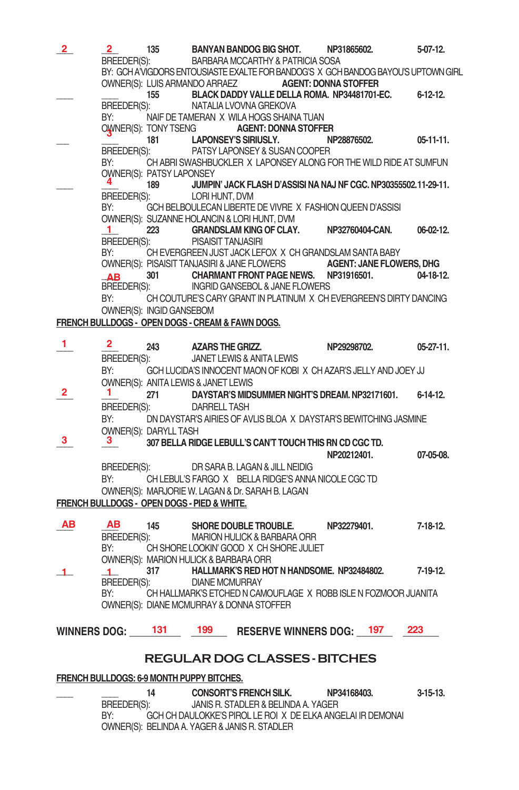| $\overline{\mathbf{2}}$ . | 2<br>BREEDER(S):                            | 135                                 |                           | BANYAN BANDOG BIG SHOT.<br>BARBARA MCCARTHY & PATRICIA SOSA                                             | NP31865602.                                                                        | 5-07-12.         |
|---------------------------|---------------------------------------------|-------------------------------------|---------------------------|---------------------------------------------------------------------------------------------------------|------------------------------------------------------------------------------------|------------------|
|                           |                                             |                                     |                           |                                                                                                         | BY: GCH A'VIGDORS ENTOUSIASTE EXALTE FOR BANDOG'S X GCH BANDOG BAYOU'S UPTOWN GIRL |                  |
|                           |                                             |                                     |                           | OWNER(S): LUIS ARMANDO ARRAEZ <b>AGENT: DONNA STOFFER</b>                                               |                                                                                    |                  |
|                           | BREEDER(S):                                 | 155                                 |                           | NATALIA LVOVNA GREKOVA                                                                                  | BLACK DADDY VALLE DELLA ROMA. NP34481701-EC. 6-12-12.                              |                  |
|                           | BY:                                         |                                     |                           | NAIF DE TAMERAN X WILA HOGS SHAINA TUAN                                                                 |                                                                                    |                  |
|                           |                                             | OWNER(S): TONY TSENG                |                           | <b>AGENT: DONNA STOFFER</b>                                                                             |                                                                                    |                  |
|                           | BREEDER(S):                                 |                                     |                           | 181 LAPONSEY'S SIRIUSLY. N<br>EXAMPLE PATSY LAPONSEY & SUSAN COOPER                                     | NP28876502.                                                                        | $05 - 11 - 11$ . |
|                           | BY:                                         |                                     |                           |                                                                                                         | CH ABRI SWASHBUCKLER X LAPONSEY ALONG FOR THE WILD RIDE AT SUMFUN                  |                  |
|                           | 4.                                          | OWNER(S): PATSY LAPONSEY            |                           |                                                                                                         | JUMPIN' JACK FLASH D'ASSISI NA NAJ NF CGC. NP30355502.11-29-11.                    |                  |
|                           | BREEDER(S):                                 | 189                                 | LORI HUNT, DVM            |                                                                                                         |                                                                                    |                  |
|                           | BY:                                         |                                     |                           | GCH BELBOULECAN LIBERTE DE VIVRE X FASHION QUEEN D'ASSISI                                               |                                                                                    |                  |
|                           | $\mathbf{1}$                                |                                     |                           | OWNER(S): SUZANNE HOLANCIN & LORI HUNT, DVM<br>223 GRANDSLAM KING OF CLAY. NP32760404-CAN.              |                                                                                    | $06-02-12.$      |
|                           | BREEDER(S):                                 |                                     | <b>PISAISIT TANJASIRI</b> |                                                                                                         |                                                                                    |                  |
|                           | BY:                                         |                                     |                           | CH EVERGREEN JUST JACK LEFOX X CH GRANDSLAM SANTA BABY                                                  |                                                                                    |                  |
|                           |                                             |                                     |                           | 301 CHARMANT FRONT PAGE NEWS. NP31916501.                                                               | OWNER(S): PISAISIT TANJASIRI & JANE FLOWERS <b>AGENT: JANE FLOWERS, DHG</b>        | 04-18-12.        |
|                           | ΔR.                                         |                                     |                           | BREEDER(S): INGRID GANSEBOL & JANE FLOWERS                                                              |                                                                                    |                  |
|                           | BY:                                         |                                     |                           |                                                                                                         | CH COUTURE'S CARY GRANT IN PLATINUM X CH EVERGREEN'S DIRTY DANCING                 |                  |
|                           |                                             | OWNER(S): INGID GANSEBOM            |                           |                                                                                                         |                                                                                    |                  |
|                           |                                             |                                     |                           | FRENCH BULLDOGS - OPEN DOGS - CREAM & FAWN DOGS.                                                        |                                                                                    |                  |
| 1.                        | $\mathbf{2}^-$                              | 243                                 | AZARS THE GRIZZ.          |                                                                                                         | NP29298702.                                                                        | $05-27-11.$      |
|                           | BREEDER(S):                                 |                                     |                           | JANET LEWIS & ANITA LEWIS                                                                               |                                                                                    |                  |
|                           | BY:                                         | OWNER(S): ANITA LEWIS & JANET LEWIS |                           |                                                                                                         | GCH LUCIDA'S INNOCENT MAON OF KOBI X CH AZAR'S JELLY AND JOEY JJ                   |                  |
| 2                         | ı.                                          |                                     |                           | 271 DAYSTAR'S MIDSUMMER NIGHT'S DREAM. NP32171601.                                                      |                                                                                    | 6-14-12.         |
|                           | BREEDER(S):                                 |                                     | DARRELL TASH              |                                                                                                         |                                                                                    |                  |
|                           | BY:                                         |                                     |                           |                                                                                                         | DN DAYSTAR'S AIRIES OF AVLIS BLOA X DAYSTAR'S BEWITCHING JASMINE                   |                  |
| 3.                        | OWNER(S): DARYLL TASH<br>$3^{\circ}$        |                                     |                           | 307 BELLA RIDGE LEBULL'S CAN'T TOUCH THIS RN CD CGC TD.                                                 |                                                                                    |                  |
|                           |                                             |                                     |                           |                                                                                                         | NP20212401.                                                                        | 07-05-08.        |
|                           | BREEDER(S):                                 |                                     |                           | DR SARA B. LAGAN & JILL NEIDIG                                                                          |                                                                                    |                  |
|                           | BY:                                         |                                     |                           | CH LEBUL'S FARGO X BELLA RIDGE'S ANNA NICOLE CGC TD<br>OWNER(S): MARJORIE W. LAGAN & Dr. SARAH B. LAGAN |                                                                                    |                  |
|                           | FRENCH BULLDOGS - OPEN DOGS - PIED & WHITE. |                                     |                           |                                                                                                         |                                                                                    |                  |
|                           |                                             |                                     |                           |                                                                                                         |                                                                                    |                  |
| AВ                        | <b>AB</b>                                   | 145                                 |                           | SHORE DOUBLE TROUBLE.<br>MARION HULICK & BARBARA ORR                                                    | NP32279401.                                                                        | 7-18-12.         |
|                           | BREEDER(S):<br>BY:                          |                                     |                           | CH SHORE LOOKIN' GOOD X CH SHORE JULIET                                                                 |                                                                                    |                  |
|                           | OWNER(S): MARION HULICK & BARBARA ORR       |                                     |                           |                                                                                                         |                                                                                    |                  |
| 1                         | $\mathbf{1}$                                | 317                                 | <b>DIANE MCMURRAY</b>     | HALLMARK'S RED HOT N HANDSOME. NP32484802.                                                              |                                                                                    | 7-19-12.         |
|                           | BREEDER(S):<br>BY:                          |                                     |                           |                                                                                                         | CH HALLMARK'S ETCHED N CAMOUFLAGE X ROBB ISLE N FOZMOOR JUANITA                    |                  |
|                           |                                             |                                     |                           | OWNER(S): DIANE MCMURRAY & DONNA STOFFER                                                                |                                                                                    |                  |
|                           | WINNERS DOG: 131                            |                                     |                           | 199 RESERVE WINNERS DOG: 197                                                                            | 223                                                                                |                  |
|                           |                                             |                                     |                           |                                                                                                         |                                                                                    |                  |
|                           |                                             |                                     |                           | <b>REGULAR DOG CLASSES - BITCHES</b>                                                                    |                                                                                    |                  |
|                           | FRENCH BULLDOGS: 6-9 MONTH PUPPY BITCHES.   |                                     |                           |                                                                                                         |                                                                                    |                  |
|                           |                                             |                                     |                           |                                                                                                         |                                                                                    |                  |

**\_\_\_\_ \_\_\_\_ 14 CONSORT'S FRENCH SILK. NP34168403. 3-15-13.** JANIS R. STADLER & BELINDA A. YAGER BY: GCH CH DAULOKKE'S PIROL LE ROI X DE ELKA ANGELAI IR DEMONAI OWNER(S): BELINDA A. YAGER& JANIS R. STADLER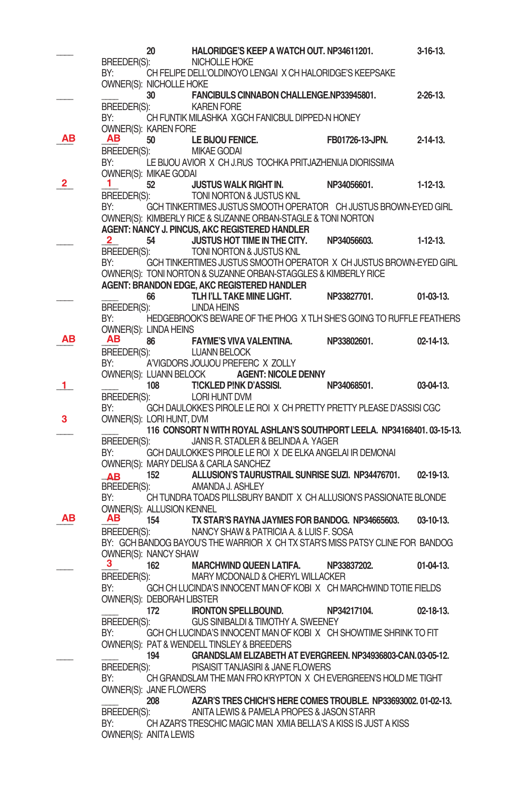|             |                                       | 20  |                      | HALORIDGE'S KEEP A WATCH OUT. NP34611201.                                                        |                                                                               | $3-16-13.$       |
|-------------|---------------------------------------|-----|----------------------|--------------------------------------------------------------------------------------------------|-------------------------------------------------------------------------------|------------------|
|             | BREEDER(S):                           |     | NICHOLLE HOKE        |                                                                                                  |                                                                               |                  |
|             | BY:                                   |     |                      | CH FELIPE DELL'OLDINOYO LENGAI X CH HALORIDGE'S KEEPSAKE                                         |                                                                               |                  |
|             | OWNER(S): NICHOLLE HOKE               |     |                      |                                                                                                  |                                                                               |                  |
|             |                                       | 30  |                      | FANCIBULS CINNABON CHALLENGE.NP33945801.                                                         |                                                                               | $2 - 26 - 13$ .  |
|             | BREEDER(S):                           |     | <b>KAREN FORE</b>    |                                                                                                  |                                                                               |                  |
|             | BY:                                   |     |                      | CH FUNTIK MILASHKA XGCH FANICBUL DIPPED-N HONEY                                                  |                                                                               |                  |
|             | OWNER(S): KAREN FORE                  |     |                      |                                                                                                  |                                                                               |                  |
| ΑВ          | AВ                                    | 50  | LE BIJOU FENICE.     |                                                                                                  | FB01726-13-JPN.                                                               | $2 - 14 - 13$ .  |
|             | BREEDER(S):                           |     | <b>MIKAE GODAI</b>   |                                                                                                  |                                                                               |                  |
|             | BY:                                   |     |                      | LE BIJOU AVIOR X CH J.RUS TOCHKA PRITJAZHENIJA DIORISSIMA                                        |                                                                               |                  |
|             | OWNER(S): MIKAE GODAI                 |     |                      |                                                                                                  |                                                                               |                  |
| 2           | 1.                                    | 52  |                      | <b>JUSTUS WALK RIGHT IN.</b>                                                                     | NP34056601.                                                                   | $1-12-13.$       |
|             | BREEDER(S):                           |     |                      | TONI NORTON & JUSTUS KNL                                                                         |                                                                               |                  |
|             | BY:                                   |     |                      | OWNER(S): KIMBERLY RICE & SUZANNE ORBAN-STAGLE & TONI NORTON                                     | GCH TINKERTIMES JUSTUS SMOOTH OPERATOR CH JUSTUS BROWN-EYED GIRL              |                  |
|             |                                       |     |                      | AGENT: NANCY J. PINCUS, AKC REGISTERED HANDLER                                                   |                                                                               |                  |
|             | 2                                     | 54  |                      | <b>JUSTUS HOT TIME IN THE CITY.</b>                                                              | NP34056603.                                                                   | $1-12-13.$       |
|             | BREEDER(S):                           |     |                      | TONI NORTON & JUSTUS KNL                                                                         |                                                                               |                  |
|             | BY:                                   |     |                      |                                                                                                  | GCH TINKERTIMES JUSTUS SMOOTH OPERATOR X CH JUSTUS BROWN-EYED GIRL            |                  |
|             |                                       |     |                      | OWNER(S): TONI NORTON & SUZANNE ORBAN-STAGGLES & KIMBERLY RICE                                   |                                                                               |                  |
|             |                                       |     |                      | AGENT: BRANDON EDGE, AKC REGISTERED HANDLER                                                      |                                                                               |                  |
|             |                                       | 66  |                      | TLH I'LL TAKE MINE LIGHT.                                                                        | NP33827701.                                                                   | $01-03-13.$      |
|             | BREEDER(S):                           |     | <b>LINDA HEINS</b>   |                                                                                                  |                                                                               |                  |
|             | BY:                                   |     |                      |                                                                                                  | HEDGEBROOK'S BEWARE OF THE PHOG X TLH SHE'S GOING TO RUFFLE FEATHERS          |                  |
|             | OWNER(S): LINDA HEINS                 |     |                      |                                                                                                  |                                                                               |                  |
| ΑВ          | AB.                                   | 86  |                      | <b>FAYME'S VIVA VALENTINA.</b>                                                                   | NP33802601.                                                                   | $02 - 14 - 13$ . |
|             | BREEDER(S):                           |     | <b>LUANN BELOCK</b>  |                                                                                                  |                                                                               |                  |
|             | BY:                                   |     |                      | A'VIGDORS JOUJOU PREFERC X ZOLLY                                                                 |                                                                               |                  |
|             |                                       |     |                      | OWNER(S): LUANN BELOCK <b>AGENT: NICOLE DENNY</b>                                                |                                                                               |                  |
| $\mathbf 1$ |                                       | 108 |                      | <b>TICKLED PINK D'ASSISI.</b>                                                                    | NP34068501.                                                                   | $03-04-13.$      |
|             | BREEDER(S):                           |     | <b>LORI HUNT DVM</b> |                                                                                                  |                                                                               |                  |
|             | BY:                                   |     |                      |                                                                                                  | GCH DAULOKKE'S PIROLE LE ROI X CH PRETTY PRETTY PLEASE D'ASSISI CGC           |                  |
| 3           | OWNER(S): LORI HUNT, DVM              |     |                      |                                                                                                  |                                                                               |                  |
|             |                                       |     |                      |                                                                                                  | 116 CONSORT N WITH ROYAL ASHLAN'S SOUTHPORT LEELA. NP34168401.03-15-13.       |                  |
|             | BREEDER(S):<br>BY:                    |     |                      | JANIS R. STADLER & BELINDA A. YAGER<br>GCH DAULOKKE'S PIROLE LE ROI X DE ELKA ANGELAI IR DEMONAI |                                                                               |                  |
|             | OWNER(S): MARY DELISA & CARLA SANCHEZ |     |                      |                                                                                                  |                                                                               |                  |
|             |                                       | 152 |                      | ALLUSION'S TAURUSTRAIL SUNRISE SUZI. NP34476701.                                                 |                                                                               | $02 - 19 - 13$ . |
|             | <b>AB</b><br>BREEDER(S):              |     | AMANDA J. ASHLEY     |                                                                                                  |                                                                               |                  |
|             | BY:                                   |     |                      |                                                                                                  | CH TUNDRA TOADS PILLSBURY BANDIT X CH ALLUSION'S PASSIONATE BLONDE            |                  |
|             | OWNER(S): ALLUSION KENNEL             |     |                      |                                                                                                  |                                                                               |                  |
| ΑВ          | AВ                                    | 154 |                      | TX STAR'S RAYNA JAYMES FOR BANDOG. NP34665603.                                                   |                                                                               | $03-10-13.$      |
|             | BREEDER(S):                           |     |                      | NANCY SHAW & PATRICIA A. & LUIS F. SOSA                                                          |                                                                               |                  |
|             |                                       |     |                      |                                                                                                  | BY: GCH BANDOG BAYOU'S THE WARRIOR X CH TX STAR'S MISS PATSY CLINE FOR BANDOG |                  |
|             | OWNER(S): NANCY SHAW                  |     |                      |                                                                                                  |                                                                               |                  |
|             | з.                                    | 162 |                      | <b>MARCHWIND QUEEN LATIFA.</b>                                                                   | NP33837202.                                                                   | $01-04-13.$      |
|             | BREEDER(S):                           |     |                      | MARY MCDONALD & CHERYL WILLACKER                                                                 |                                                                               |                  |
|             | BY:                                   |     |                      |                                                                                                  | GCH CH LUCINDA'S INNOCENT MAN OF KOBIX CH MARCHWIND TOTIE FIELDS              |                  |
|             | OWNER(S): DEBORAH LIBSTER             |     |                      |                                                                                                  |                                                                               |                  |
|             |                                       | 172 |                      | <b>IRONTON SPELLBOUND.</b>                                                                       | NP34217104.                                                                   | 02-18-13.        |
|             | BREEDER(S):                           |     |                      | GUS SINIBALDI & TIMOTHY A. SWEENEY                                                               |                                                                               |                  |
|             | BY:                                   |     |                      |                                                                                                  | GCH CH LUCINDA'S INNOCENT MAN OF KOBIX CH SHOWTIME SHRINK TO FIT              |                  |
|             |                                       |     |                      | OWNER(S): PAT & WENDELL TINSLEY & BREEDERS                                                       |                                                                               |                  |
|             |                                       | 194 |                      |                                                                                                  | GRANDSLAM ELIZABETH AT EVERGREEN. NP34936803-CAN.03-05-12.                    |                  |
|             | BREEDER(S):                           |     |                      | PISAISIT TANJASIRI & JANE FLOWERS                                                                |                                                                               |                  |
|             | BY:                                   |     |                      |                                                                                                  | CH GRANDSLAM THE MAN FRO KRYPTON X CH EVERGREEN'S HOLD ME TIGHT               |                  |
|             | OWNER(S): JANE FLOWERS                |     |                      |                                                                                                  |                                                                               |                  |
|             |                                       | 208 |                      |                                                                                                  | AZAR'S TRES CHICH'S HERE COMES TROUBLE. NP33693002.01-02-13.                  |                  |
|             | BREEDER(S):                           |     |                      | ANITA LEWIS & PAMELA PROPES & JASON STARR                                                        |                                                                               |                  |
|             | BY:                                   |     |                      |                                                                                                  | CH AZAR'S TRESCHIC MAGIC MAN XMIA BELLA'S A KISS IS JUST A KISS               |                  |
|             | OWNER(S): ANITA LEWIS                 |     |                      |                                                                                                  |                                                                               |                  |
|             |                                       |     |                      |                                                                                                  |                                                                               |                  |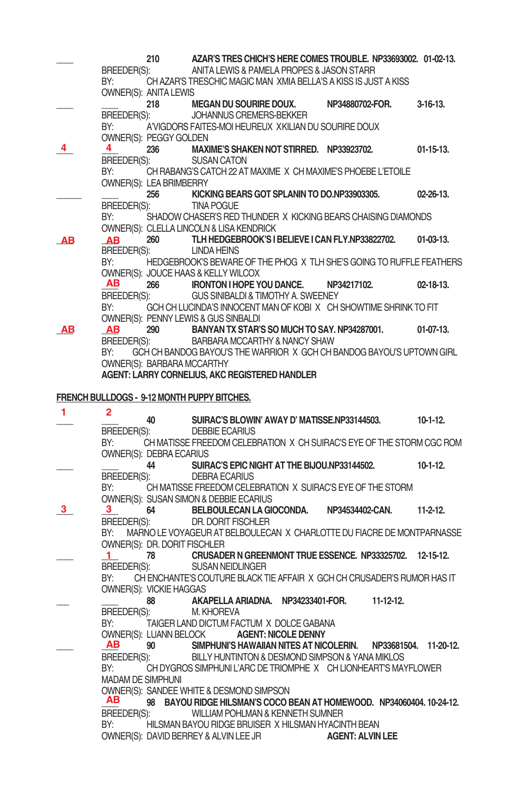|    | BREEDER(S):<br>BY:                                                                                             | 210<br>OWNER(S): ANITA LEWIS      | AZAR'S TRES CHICH'S HERE COMES TROUBLE, NP33693002, 01-02-13.<br>ANITA LEWIS & PAMELA PROPES & JASON STARR<br>CH AZAR'S TRESCHIC MAGIC MAN XMIA BELLA'S A KISS IS JUST A KISS |                         |                  |
|----|----------------------------------------------------------------------------------------------------------------|-----------------------------------|-------------------------------------------------------------------------------------------------------------------------------------------------------------------------------|-------------------------|------------------|
|    |                                                                                                                |                                   | 218 MEGAN DU SOURIRE DOUX.                                                                                                                                                    | NP34880702-FOR.         | $3-16-13.$       |
|    | BREEDER(S):<br>BY:                                                                                             |                                   | JOHANNUS CREMERS-BEKKER<br>A'VIGDORS FAITES-MOI HEUREUX XKILIAN DU SOURIRE DOUX                                                                                               |                         |                  |
| 4  | 4<br>BREEDER(S):                                                                                               | OWNER(S): PEGGY GOLDEN<br>236     | MAXIME'S SHAKEN NOT STIRRED. NP33923702.<br><b>SUSAN CATON</b>                                                                                                                |                         | $01-15-13.$      |
|    | BY:                                                                                                            | OWNER(S): LEA BRIMBERRY           | CH RABANG'S CATCH 22 AT MAXIME X CH MAXIME'S PHOEBE L'ETOILE                                                                                                                  |                         |                  |
|    |                                                                                                                | 256                               | KICKING BEARS GOT SPLANIN TO DO.NP33903305.                                                                                                                                   |                         | $02 - 26 - 13$   |
|    | BREEDER(S):<br>BY:                                                                                             |                                   | TINA POGUE<br>SHADOW CHASER'S RED THUNDER X KICKING BEARS CHAISING DIAMONDS<br>OWNER(S): CLELLA LINCOLN & LISA KENDRICK                                                       |                         |                  |
| AВ | AB<br>BREEDER(S):                                                                                              | 260                               | TLH HEDGEBROOK'S I BELIEVE I CAN FLY.NP33822702.<br><b>LINDA HEINS</b>                                                                                                        |                         | $01-03-13.$      |
|    | BY:                                                                                                            |                                   | HEDGEBROOK'S BEWARE OF THE PHOG X TLH SHE'S GOING TO RUFFLE FEATHERS<br>OWNER(S): JOUCE HAAS & KELLY WILCOX                                                                   |                         |                  |
|    | AB.<br>BREEDER(S):                                                                                             |                                   | 266 IRONTON I HOPE YOU DANCE. NP34217102.<br>GUS SINIBALDI & TIMOTHY A. SWEENEY                                                                                               |                         | $02 - 18 - 13$ . |
|    | BY:                                                                                                            |                                   | GCH CH LUCINDA'S INNOCENT MAN OF KOBIX CH SHOWTIME SHRINK TO FIT<br>OWNER(S): PENNY LEWIS & GUS SINBALDI                                                                      |                         |                  |
| AB | AB                                                                                                             |                                   | 290 BANYAN TX STAR'S SO MUCH TO SAY. NP34287001. 01-07-13.                                                                                                                    |                         |                  |
|    | BREEDER(S):<br>BY:                                                                                             |                                   | BARBARA MCCARTHY & NANCY SHAW<br>GCH CH BANDOG BAYOU'S THE WARRIOR X GCH CH BANDOG BAYOU'S UPTOWN GIRL                                                                        |                         |                  |
|    |                                                                                                                | <b>OWNER(S): BARBARA MCCARTHY</b> |                                                                                                                                                                               |                         |                  |
|    |                                                                                                                |                                   | AGENT: LARRY CORNELIUS, AKC REGISTERED HANDLER                                                                                                                                |                         |                  |
|    |                                                                                                                |                                   | FRENCH BULLDOGS - 9-12 MONTH PUPPY BITCHES.                                                                                                                                   |                         |                  |
| 1  |                                                                                                                |                                   |                                                                                                                                                                               |                         |                  |
|    | 2.                                                                                                             | 40                                | SUIRAC'S BLOWIN' AWAY D' MATISSE.NP33144503. 10-1-12.                                                                                                                         |                         |                  |
|    | BREEDER(S):                                                                                                    |                                   | <b>DEBBIE ECARIUS</b>                                                                                                                                                         |                         |                  |
|    | BY:                                                                                                            | OWNER(S): DEBRA ECARIUS           | CH MATISSE FREEDOM CELEBRATION X CH SUIRAC'S EYE OF THE STORM CGC ROM                                                                                                         |                         |                  |
|    | BREEDER(S):                                                                                                    | 44                                | SUIRAC'S EPIC NIGHT AT THE BIJOU.NP33144502.<br><b>DEBRA ECARIUS</b>                                                                                                          |                         | $10-1-12$ .      |
|    | BY: and the set of the set of the set of the set of the set of the set of the set of the set of the set of the |                                   | CH MATISSE FREEDOM CELEBRATION X SUIRAC'S EYE OF THE STORM                                                                                                                    |                         |                  |
| 3  | 3                                                                                                              |                                   | OWNER(S): SUSAN SIMON & DEBBIE ECARIUS<br>64 BELBOULECAN LA GIOCONDA. NP34534402-CAN.                                                                                         |                         | $11-2-12$        |
|    | BREEDER(S):<br>BY:                                                                                             |                                   | DR. DORIT FISCHLER<br>MARNO LE VOYAGEUR AT BELBOULECAN X CHARLOTTE DU FIACRE DE MONTPARNASSE                                                                                  |                         |                  |
|    |                                                                                                                | OWNER(S): DR. DORIT FISCHLER      |                                                                                                                                                                               |                         |                  |
|    | $\mathbf{1}$<br>BREEDER(S):                                                                                    |                                   | 78 CRUSADER N GREENMONT TRUE ESSENCE. NP33325702. 12-15-12.<br>SUSAN NEIDLINGER                                                                                               |                         |                  |
|    | BY:                                                                                                            | OWNER(S): VICKIE HAGGAS           | CH ENCHANTE'S COUTURE BLACK TIE AFFAIR X GCH CH CRUSADER'S RUMOR HAS IT                                                                                                       |                         |                  |
|    | BREEDER(S):                                                                                                    | 88                                | AKAPELLA ARIADNA. NP34233401-FOR.<br>M. KHOREVA                                                                                                                               | $11 - 12 - 12$ .        |                  |
|    | BY:                                                                                                            |                                   | TAIGER LAND DICTUM FACTUM X DOLCE GABANA                                                                                                                                      |                         |                  |
|    | AB                                                                                                             | 90                                | OWNER(S): LUANN BELOCK <b>AGENT: NICOLE DENNY</b><br>SIMPHUNI'S HAWAIIAN NITES AT NICOLERIN.                                                                                  | NP33681504. 11-20-12.   |                  |
|    | BREEDER(S):                                                                                                    |                                   | BILLY HUNTINTON & DESMOND SIMPSON & YANA MIKLOS                                                                                                                               |                         |                  |
|    | BY:<br><b>MADAM DE SIMPHUNI</b>                                                                                |                                   | CH DYGROS SIMPHUNI L'ARC DE TRIOMPHE X CH LIONHEART'S MAYFLOWER                                                                                                               |                         |                  |
|    | <b>AB</b>                                                                                                      |                                   | OWNER(S): SANDEE WHITE & DESMOND SIMPSON                                                                                                                                      |                         |                  |
|    | BREEDER(S):                                                                                                    |                                   | 98 BAYOU RIDGE HILSMAN'S COCO BEAN AT HOMEWOOD. NP34060404.10-24-12.<br>WILLIAM POHLMAN & KENNETH SUMNER                                                                      |                         |                  |
|    | BY:                                                                                                            |                                   | HILSMAN BAYOU RIDGE BRUISER X HILSMAN HYACINTH BEAN<br>OWNER(S): DAVID BERREY & ALVIN LEE JR                                                                                  | <b>AGENT: ALVIN LEE</b> |                  |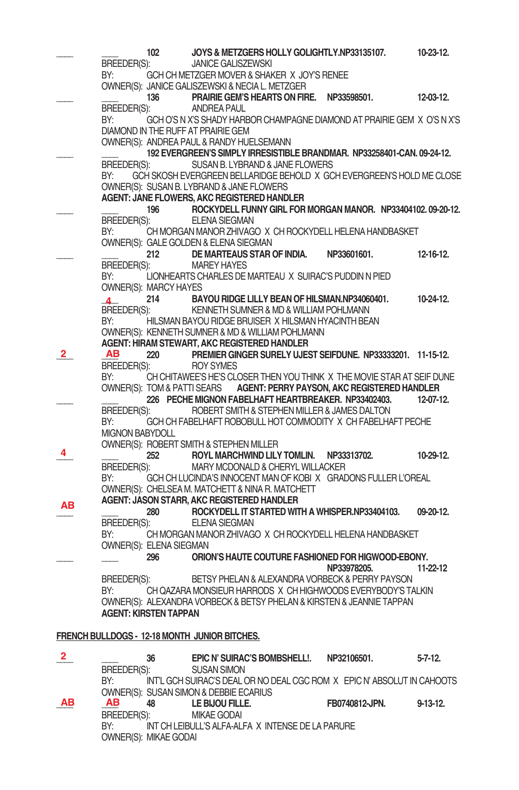|              |                        | 102                     | JOYS & METZGERS HOLLY GOLIGHTLY.NP33135107.                                                          |                | 10-23-12.      |
|--------------|------------------------|-------------------------|------------------------------------------------------------------------------------------------------|----------------|----------------|
|              | BREEDER(S):            |                         | <b>JANICE GALISZEWSKI</b>                                                                            |                |                |
|              | BY:                    |                         | GCH CH METZGER MOVER & SHAKER X JOY'S RENEE                                                          |                |                |
|              |                        |                         | OWNER(S): JANICE GALISZEWSKI & NECIA L. METZGER                                                      |                |                |
|              |                        | 136                     | PRAIRIE GEM'S HEARTS ON FIRE.                                                                        | NP33598501.    | 12-03-12.      |
|              | BREEDER(S):            |                         | ANDREA PAUL                                                                                          |                |                |
|              | BY:                    |                         | GCH O'S N X'S SHADY HARBOR CHAMPAGNE DIAMOND AT PRAIRIE GEM X O'S N X'S                              |                |                |
|              |                        |                         | DIAMOND IN THE RUFF AT PRAIRIE GEM                                                                   |                |                |
|              |                        |                         | OWNER(S): ANDREA PAUL & RANDY HUELSEMANN                                                             |                |                |
|              |                        |                         | 192 EVERGREEN'S SIMPLY IRRESISTIBLE BRANDMAR. NP33258401-CAN. 09-24-12.                              |                |                |
|              | BREEDER(S):            |                         | SUSAN B. LYBRAND & JANE FLOWERS                                                                      |                |                |
|              | BY:                    |                         | GCH SKOSH EVERGREEN BELLARIDGE BEHOLD X GCH EVERGREEN'S HOLD ME CLOSE                                |                |                |
|              |                        |                         | OWNER(S): SUSAN B. LYBRAND & JANE FLOWERS                                                            |                |                |
|              |                        |                         | AGENT: JANE FLOWERS, AKC REGISTERED HANDLER                                                          |                |                |
|              |                        | 196                     | ROCKYDELL FUNNY GIRL FOR MORGAN MANOR. NP33404102.09-20-12.                                          |                |                |
|              | BREEDER(S):            |                         | <b>ELENA SIEGMAN</b>                                                                                 |                |                |
|              | BY:                    |                         | CH MORGAN MANOR ZHIVAGO X CH ROCKYDELL HELENA HANDBASKET                                             |                |                |
|              |                        |                         | OWNER(S): GALE GOLDEN & ELENA SIEGMAN                                                                |                |                |
|              |                        | 212                     | DE MARTEAUS STAR OF INDIA.                                                                           | NP33601601.    | 12-16-12.      |
|              | BREEDER(S):            |                         | <b>MAREY HAYES</b>                                                                                   |                |                |
|              | BY:                    |                         | LIONHEARTS CHARLES DE MARTEAU X SUIRAC'S PUDDIN N PIED                                               |                |                |
|              |                        | OWNER(S): MARCY HAYES   |                                                                                                      |                |                |
|              | $\mathbf{A}$           | 214                     | BAYOU RIDGE LILLY BEAN OF HILSMAN.NP34060401.                                                        |                | $10-24-12.$    |
|              | BREEDER(S):            |                         | KENNETH SUMNER & MD & WILLIAM POHLMANN                                                               |                |                |
|              | BY:                    |                         | HILSMAN BAYOU RIDGE BRUISER X HILSMAN HYACINTH BEAN                                                  |                |                |
|              |                        |                         | OWNER(S): KENNETH SUMNER & MD & WILLIAM POHLMANN                                                     |                |                |
|              |                        |                         | AGENT: HIRAM STEWART, AKC REGISTERED HANDLER                                                         |                |                |
| 2            | AВ                     | 220                     | PREMIER GINGER SURELY UJEST SEIFDUNE. NP33333201. 11-15-12.                                          |                |                |
|              | BREEDER(S):            |                         | <b>ROY SYMES</b>                                                                                     |                |                |
|              | BY:                    |                         | CH CHITAWEE'S HE'S CLOSER THEN YOU THINK X THE MOVIE STAR AT SEIF DUNE                               |                |                |
|              |                        |                         | OWNER(S): TOM & PATTI SEARS AGENT: PERRY PAYSON, AKC REGISTERED HANDLER                              |                |                |
|              |                        |                         | 226 PECHE MIGNON FABELHAFT HEARTBREAKER. NP33402403.<br>ROBERT SMITH & STEPHEN MILLER & JAMES DALTON |                | 12-07-12.      |
|              | BREEDER(S):<br>BY:     |                         | GCH CH FABELHAFT ROBOBULL HOT COMMODITY X CH FABELHAFT PECHE                                         |                |                |
|              | <b>MIGNON BABYDOLL</b> |                         |                                                                                                      |                |                |
|              |                        |                         | OWNER(S): ROBERT SMITH & STEPHEN MILLER                                                              |                |                |
| 4            |                        | 252                     | ROYL MARCHWIND LILY TOMLIN. NP33313702.                                                              |                | 10-29-12.      |
|              | BREEDER(S):            |                         | MARY MCDONALD & CHERYL WILLACKER                                                                     |                |                |
|              | BY:                    |                         | GCH CH LUCINDA'S INNOCENT MAN OF KOBIX GRADONS FULLER L'OREAL                                        |                |                |
|              |                        |                         | OWNER(S): CHELSEA M. MATCHETT & NINA R. MATCHETT                                                     |                |                |
|              |                        |                         | AGENT: JASON STARR, AKC REGISTERED HANDLER                                                           |                |                |
| ΑВ           |                        | 280                     | ROCKYDELL IT STARTED WITH A WHISPER.NP33404103.                                                      |                | 09-20-12.      |
|              | BREEDER(S):            |                         | <b>ELENA SIEGMAN</b>                                                                                 |                |                |
|              | BY:                    |                         | CH MORGAN MANOR ZHIVAGO X CH ROCKYDELL HELENA HANDBASKET                                             |                |                |
|              |                        | OWNER(S): ELENA SIEGMAN |                                                                                                      |                |                |
|              |                        | 296 — 1                 | ORION'S HAUTE COUTURE FASHIONED FOR HIGWOOD-EBONY.                                                   |                |                |
|              |                        |                         |                                                                                                      | NP33978205.    | 11-22-12       |
|              | BREEDER(S):            |                         | BETSY PHELAN & ALEXANDRA VORBECK & PERRY PAYSON                                                      |                |                |
|              | BY:                    |                         | CH QAZARA MONSIEUR HARRODS X CH HIGHWOODS EVERYBODY'S TALKIN                                         |                |                |
|              |                        |                         | OWNER(S): ALEXANDRA VORBECK & BETSY PHELAN & KIRSTEN & JEANNIE TAPPAN                                |                |                |
|              |                        | AGENT: KIRSTEN TAPPAN   |                                                                                                      |                |                |
|              |                        |                         |                                                                                                      |                |                |
|              |                        |                         | FRENCH BULLDOGS - 12-18 MONTH JUNIOR BITCHES.                                                        |                |                |
|              |                        |                         |                                                                                                      |                |                |
| $\mathbf{2}$ |                        | 36                      | EPIC N' SUIRAC'S BOMBSHELL!.                                                                         | NP32106501.    | $5 - 7 - 12$ . |
|              | BREEDER(S):            |                         | <b>SUSAN SIMON</b>                                                                                   |                |                |
|              | BY:                    |                         | INT'L GCH SUIRAC'S DEAL OR NO DEAL CGC ROM X EPIC N'ABSOLUT IN CAHOOTS                               |                |                |
|              |                        |                         | OWNER(S): SUSAN SIMON & DEBBIE ECARIUS                                                               |                |                |
| AВ           | AB                     | 48                      | LE BIJOU FILLE.                                                                                      | FB0740812-JPN. | 9-13-12.       |

- BREEDER(S): MIKAEGODAI
- BY: INT CH LEIBULL'S ALFA-ALFA X INTENSE DE LA PARURE OWNER(S): MIKAEGODAI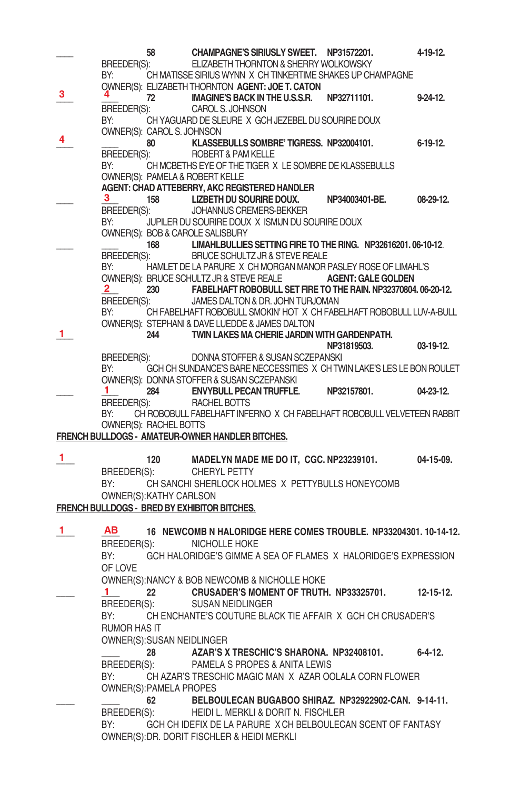|    |                                | 58  | CHAMPAGNE'S SIRIUSLY SWEET. NP31572201.                                                                  |                | 4-19-12.         |
|----|--------------------------------|-----|----------------------------------------------------------------------------------------------------------|----------------|------------------|
|    | BREEDER(S):                    |     | ELIZABETH THORNTON & SHERRY WOLKOWSKY                                                                    |                |                  |
|    | BY:                            |     | CH MATISSE SIRIUS WYNN X CH TINKERTIME SHAKES UP CHAMPAGNE                                               |                |                  |
| 3  | 4.                             |     | OWNER(S): ELIZABETH THORNTON AGENT: JOE T. CATON                                                         |                |                  |
|    |                                |     | 72 IMAGINE'S BACK IN THE U.S.S.R.                                                                        | NP32711101.    | $9 - 24 - 12$    |
|    | BREEDER(S):                    |     | CAROL S. JOHNSON                                                                                         |                |                  |
|    | BY:                            |     | CH YAGUARD DE SLEURE X GCH JEZEBEL DU SOURIRE DOUX                                                       |                |                  |
| 4  | OWNER(S): CAROL S. JOHNSON     | 80  | KLASSEBULLS SOMBRE' TIGRESS. NP32004101.                                                                 |                | $6-19-12.$       |
|    | BREEDER(S):                    |     | <b>ROBERT &amp; PAM KELLE</b>                                                                            |                |                  |
|    | BY:                            |     | CH MCBETHS EYE OF THE TIGER X LE SOMBRE DE KLASSEBULLS                                                   |                |                  |
|    |                                |     | OWNER(S): PAMELA & ROBERT KELLE                                                                          |                |                  |
|    |                                |     | AGENT: CHAD ATTEBERRY, AKC REGISTERED HANDLER                                                            |                |                  |
|    | 3                              | 158 | LIZBETH DU SOURIRE DOUX.                                                                                 | NP34003401-BE. | 08-29-12.        |
|    | BREEDER(S):                    |     | JOHANNUS CREMERS-BEKKER                                                                                  |                |                  |
|    | BY:                            |     | JUPILER DU SOURIRE DOUX X ISMIJN DU SOURIRE DOUX                                                         |                |                  |
|    |                                |     | OWNER(S): BOB & CAROLE SALISBURY                                                                         |                |                  |
|    |                                |     | 168 LIMAHLBULLIES SETTING FIRE TO THE RING. NP32616201.06-10-12.                                         |                |                  |
|    | BREEDER(S):                    |     | BRUCE SCHULTZ JR & STEVE REALE                                                                           |                |                  |
|    | BY:                            |     | HAMLET DE LA PARURE X CH MORGAN MANOR PASLEY ROSE OF LIMAHL'S                                            |                |                  |
|    |                                |     | OWNER(S): BRUCE SCHULTZ JR & STEVE REALE <b>AGENT: GALE GOLDEN</b>                                       |                |                  |
|    | $\mathbf{2}$                   |     | 230 FABELHAFT ROBOBULL SET FIRE TO THE RAIN. NP32370804. 06-20-12.                                       |                |                  |
|    | BREEDER(S):<br>BY:             |     | JAMES DALTON & DR. JOHN TURJOMAN<br>CH FABELHAFT ROBOBULL SMOKIN' HOT X CH FABELHAFT ROBOBULL LUV-A-BULL |                |                  |
|    |                                |     | OWNER(S): STEPHANI & DAVE LUEDDE & JAMES DALTON                                                          |                |                  |
| 1  |                                | 244 | TWIN LAKES MA CHERIE JARDIN WITH GARDENPATH.                                                             |                |                  |
|    |                                |     |                                                                                                          | NP31819503.    | 03-19-12.        |
|    | BREEDER(S):                    |     | DONNA STOFFER & SUSAN SCZEPANSKI                                                                         |                |                  |
|    | BY:                            |     | GCH CH SUNDANCE'S BARE NECCESSITIES X CH TWIN LAKE'S LES LE BON ROULET                                   |                |                  |
|    |                                |     | OWNER(S): DONNA STOFFER & SUSAN SCZEPANSKI                                                               |                |                  |
|    | 1.                             |     | 284 ENVYBULL PECAN TRUFFLE. NP32157801.                                                                  |                | 04-23-12.        |
|    | BREEDER(S):                    |     | <b>RACHEL BOTTS</b>                                                                                      |                |                  |
|    | BY:                            |     | CH ROBOBULL FABELHAFT INFERNO X CH FABELHAFT ROBOBULL VELVETEEN RABBIT                                   |                |                  |
|    | OWNER(S): RACHEL BOTTS         |     |                                                                                                          |                |                  |
|    |                                |     | FRENCH BULLDOGS - AMATEUR-OWNER HANDLER BITCHES.                                                         |                |                  |
| 1. |                                | 120 | MADELYN MADE ME DO IT, CGC. NP23239101.                                                                  |                | 04-15-09.        |
|    |                                |     | BREEDER(S): CHERYL PETTY                                                                                 |                |                  |
|    | BY:                            |     | CH SANCHI SHERLOCK HOLMES X PETTYBULLS HONEYCOMB                                                         |                |                  |
|    | OWNER(S): KATHY CARLSON        |     |                                                                                                          |                |                  |
|    |                                |     | FRENCH BULLDOGS - BRED BY EXHIBITOR BITCHES.                                                             |                |                  |
|    |                                |     |                                                                                                          |                |                  |
| 1  | AВ                             |     | 16 NEWCOMB N HALORIDGE HERE COMES TROUBLE. NP33204301. 10-14-12.                                         |                |                  |
|    |                                |     | BREEDER(S): NICHOLLE HOKE                                                                                |                |                  |
|    | BY:                            |     | GCH HALORIDGE'S GIMME A SEA OF FLAMES X HALORIDGE'S EXPRESSION                                           |                |                  |
|    | OF LOVE                        |     |                                                                                                          |                |                  |
|    |                                |     | OWNER(S):NANCY & BOB NEWCOMB & NICHOLLE HOKE                                                             |                |                  |
|    | $\mathbf{1}$                   | 22  | <b>CRUSADER'S MOMENT OF TRUTH. NP33325701.</b>                                                           |                | $12 - 15 - 12$ . |
|    | BREEDER(S):                    |     | <b>SUSAN NEIDLINGER</b>                                                                                  |                |                  |
|    | BY:                            |     | CH ENCHANTE'S COUTURE BLACK TIE AFFAIR X GCH CH CRUSADER'S                                               |                |                  |
|    | <b>RUMOR HAS IT</b>            |     |                                                                                                          |                |                  |
|    | OWNER(S): SUSAN NEIDLINGER     |     |                                                                                                          |                |                  |
|    |                                | 28  | AZAR'S X TRESCHIC'S SHARONA. NP32408101.                                                                 |                | $6 - 4 - 12$ .   |
|    | BREEDER(S):                    |     | PAMELA S PROPES & ANITA LEWIS                                                                            |                |                  |
|    | BY:                            |     | CH AZAR'S TRESCHIC MAGIC MAN X AZAR OOLALA CORN FLOWER                                                   |                |                  |
|    | <b>OWNER(S): PAMELA PROPES</b> |     |                                                                                                          |                |                  |
|    |                                | 62  | BELBOULECAN BUGABOO SHIRAZ, NP32922902-CAN, 9-14-11.                                                     |                |                  |
|    | BREEDER(S):                    |     | HEIDI L. MERKLI & DORIT N. FISCHLER                                                                      |                |                  |
|    | BY:                            |     | GCH CH IDEFIX DE LA PARURE X CH BELBOULECAN SCENT OF FANTASY                                             |                |                  |
|    |                                |     | OWNER(S): DR. DORIT FISCHLER & HEIDI MERKLI                                                              |                |                  |
|    |                                |     |                                                                                                          |                |                  |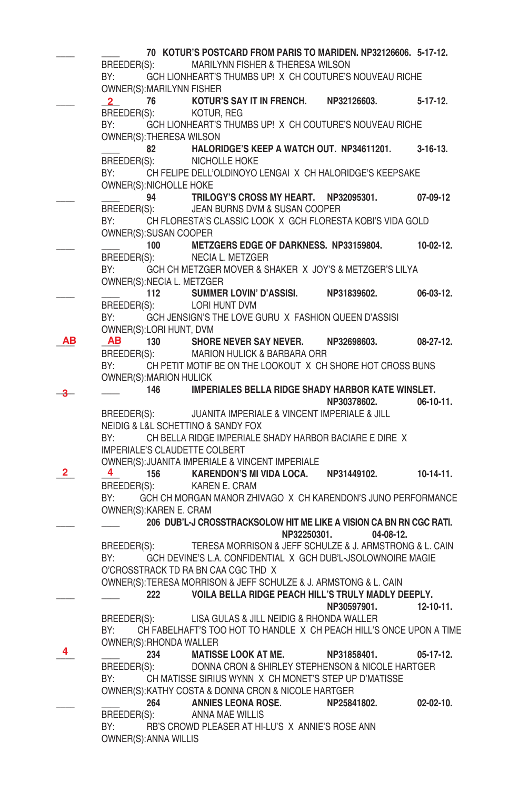**\_\_\_\_ \_\_\_\_ 70 KOTUR'S POSTCARD FROM PARIS TO MARIDEN. NP32126606. 5-17-12.** BREEDER(S): MARILYNN FISHER & THERESA WILSON BY: GCH LIONHEART'S THUMBS UP! X CH COUTURE'S NOUVEAU RICHE OWNER(S): MARILYNN FISHER **\_\_\_\_ \_\_\_\_ 76 KOTUR'S SAY IT IN FRENCH. NP32126603. 5-17-12.**  BREEDER(S): KOTUR, REG BY: GCH LIONHEART'S THUMBS UP! X CH COUTURE'S NOUVEAU RICHE OWNER(S): THERESA WILSON **\_\_\_\_ 82 HALORIDGE'S KEEP A WATCH OUT. NP34611201. 3-16-13.**  BREEDER(S): NICHOLLE HOKE BY: CH FELIPE DELL'OLDINOYO LENGAI X CH HALORIDGE'S KEEPSAKE OWNER(S): NICHOLLE HOKE **\_\_\_\_ \_\_\_\_ 94 TRILOGY'S CROSS MY HEART. NP32095301. 07-09-12** BREEDER(S): JEAN BURNS DVM & SUSAN COOPER BY: CH FLORESTA'S CLASSIC LOOK X GCH FLORESTA KOBI'S VIDA GOLD OWNER(S): SUSAN COOPER **\_\_\_\_ \_\_\_\_ 100 METZGERS EDGE OF DARKNESS. NP33159804. 10-02-12.** BREEDER(S): NECIA L. METZGER BY: GCH CH METZGER MOVER & SHAKER X JOY'S & METZGER'S LILYA OWNER(S): NECIA L. METZGER **\_\_\_\_ \_\_\_\_ 112 SUMMER LOVIN' D'ASSISI. NP31839602. 06-03-12.** BREEDER(S): LORI HUNT DVM BY: GCH JENSIGN'S THE LOVE GURU X FASHION QUEEN D'ASSISI OWNER(S):LORI HUNT, DVM<br>**AB AB** 130 SHOR **\_\_\_\_ \_\_\_\_ 130 SHORE NEVER SAY NEVER. NP32698603. 08-27-12. AB AB** BREEDER(S): MARION HULICK & BARBARA ORR BY: CH PETIT MOTIF BE ON THE LOOKOUT X CH SHORE HOT CROSS BUNS OWNER(S): MARION HULICK **\_\_\_\_ \_\_\_\_ 146 IMPERIALES BELLA RIDGE SHADY HARBOR KATE WINSLET. NP30378602. 06-10-11.** BREEDER(S): JUANITA IMPERIALE & VINCENT IMPERIALE & JILL NEIDIG & L&L SCHETTINO & SANDY FOX BY: CH BELLA RIDGE IMPERIALE SHADY HARBOR BACIARE E DIRE X IMPERIALE'S CLAUDETTE COLBERT OWNER(S): JUANITA IMPERIALE & VINCENT IMPERIALE<br>
2
4
156
KARENDON'S MI VIDA LOCA. **\_\_\_\_ \_\_\_\_ 156 KARENDON'S MI VIDA LOCA. NP31449102. 10-14-11.** BREEDER(S): KAREN E. CRAM BY: GCH CH MORGAN MANOR ZHIVAGO X CH KARENDON'S JUNO PERFORMANCE OWNER(S): KAREN E. CRAM **\_\_\_\_ \_\_\_\_ 206 DUB'L-J CROSSTRACKSOLOW HIT ME LIKE A VISION CA BN RN CGC RATI. NP32250301. 04-08-12.** BREEDER(S): TERESA MORRISON & JEFF SCHULZE & J. ARMSTRONG & L. CAIN BY: GCH DEVINE'S L.A. CONFIDENTIAL X GCH DUB'L-JSOLOWNOIRE MAGIE O'CROSSTRACK TD RA BN CAA CGC THD X OWNER(S): TERESA MORRISON & JEFF SCHULZE & J. ARMSTONG & L. CAIN **\_\_\_\_ \_\_\_\_ 222 VOILA BELLA RIDGE PEACH HILL'S TRULY MADLY DEEPLY. NP30597901. 12-10-11.** BREEDER(S): LISA GULAS & JILL NEIDIG & RHONDA WALLER BY: CH FABELHAFT'S TOO HOT TO HANDLE X CH PEACH HILL'S ONCE UPON A TIME OWNER(S): RHONDA WALLER **\_\_\_\_ \_\_\_\_ 234 MATISSE LOOK AT ME. NP31858401. 05-17-12.** BREEDER(S): DONNA CRON & SHIRLEY STEPHENSON & NICOLE HARTGER BY: CH MATISSE SIRIUS WYNN X CH MONET'S STEP UP D'MATISSE OWNER(S): KATHY COSTA & DONNA CRON & NICOLE HARTGER **\_\_\_\_ \_\_\_\_ 264 ANNIES LEONA ROSE. NP25841802. 02-02-10.** BREEDER(S): ANNA MAE WILLIS<br>BY: RB'S CROWD PLEASER AT HI-RB'S CROWD PLEASER AT HI-LU'S X ANNIE'S ROSE ANN OWNER(S): ANNA WILLIS **2 3 2 4 4**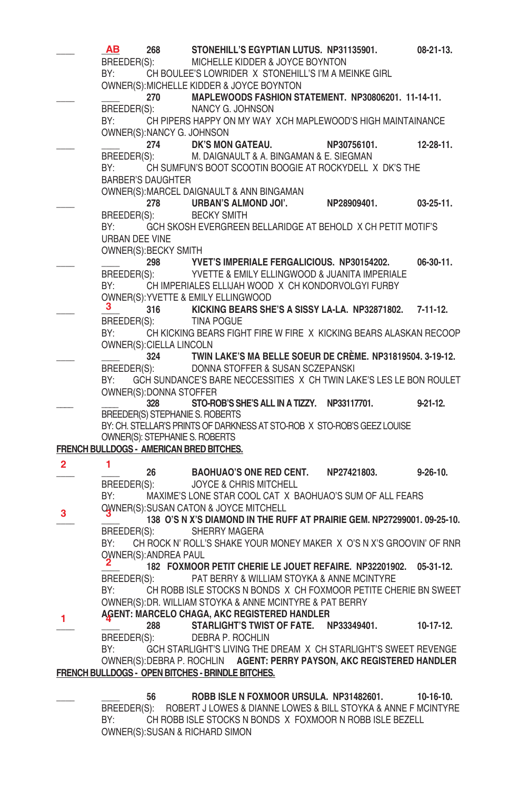|              | AB<br>BREEDER(S):<br>BY:                                                                                       | 268                              | STONEHILL'S EGYPTIAN LUTUS. NP31135901.<br>MICHELLE KIDDER & JOYCE BOYNTON<br>CH BOULEE'S LOWRIDER X STONEHILL'S I'M A MEINKE GIRL<br>OWNER(S): MICHELLE KIDDER & JOYCE BOYNTON |             | 08-21-13.        |
|--------------|----------------------------------------------------------------------------------------------------------------|----------------------------------|---------------------------------------------------------------------------------------------------------------------------------------------------------------------------------|-------------|------------------|
|              |                                                                                                                |                                  | 270 MAPLEWOODS FASHION STATEMENT. NP30806201. 11-14-11.                                                                                                                         |             |                  |
|              |                                                                                                                |                                  | BREEDER(S): NANCY G. JOHNSON                                                                                                                                                    |             |                  |
|              | BY:                                                                                                            |                                  | CH PIPERS HAPPY ON MY WAY XCH MAPLEWOOD'S HIGH MAINTAINANCE                                                                                                                     |             |                  |
|              |                                                                                                                | OWNER(S):NANCY G. JOHNSON<br>274 | DK'S MON GATEAU.                                                                                                                                                                | NP30756101. | $12 - 28 - 11$ . |
|              |                                                                                                                |                                  | BREEDER(S): M. DAIGNAULT & A. BINGAMAN & E. SIEGMAN                                                                                                                             |             |                  |
|              | BY:                                                                                                            |                                  | CH SUMFUN'S BOOT SCOOTIN BOOGIE AT ROCKYDELL X DK'S THE                                                                                                                         |             |                  |
|              |                                                                                                                | <b>BARBER'S DAUGHTER</b>         | OWNER(S): MARCEL DAIGNAULT & ANN BINGAMAN                                                                                                                                       |             |                  |
|              |                                                                                                                | 278                              | URBAN'S ALMOND JOI'.                                                                                                                                                            | NP28909401. | $03 - 25 - 11$ . |
|              | BREEDER(S):                                                                                                    |                                  | <b>BECKY SMITH</b>                                                                                                                                                              |             |                  |
|              | BY:<br>URBAN DEE VINE                                                                                          | OWNER(S): BECKY SMITH            | GCH SKOSH EVERGREEN BELLARIDGE AT BEHOLD X CH PETIT MOTIF'S                                                                                                                     |             |                  |
|              |                                                                                                                | 298                              | YVET'S IMPERIALE FERGALICIOUS. NP30154202.                                                                                                                                      |             | $06-30-11.$      |
|              | BREEDER(S):                                                                                                    |                                  | YVETTE & EMILY ELLINGWOOD & JUANITA IMPERIALE                                                                                                                                   |             |                  |
|              | BY:                                                                                                            |                                  | CH IMPERIALES ELLIJAH WOOD X CH KONDORVOLGYI FURBY                                                                                                                              |             |                  |
|              | 3.                                                                                                             |                                  | OWNER(S): YVETTE & EMILY ELLINGWOOD<br>316 KICKING BEARS SHE'S A SISSY LA-LA. NP32871802. 7-11-12.                                                                              |             |                  |
|              | BREEDER(S):                                                                                                    |                                  | <b>TINA POGUE</b>                                                                                                                                                               |             |                  |
|              | BY:                                                                                                            |                                  | CH KICKING BEARS FIGHT FIRE W FIRE X KICKING BEARS ALASKAN RECOOP                                                                                                               |             |                  |
|              |                                                                                                                | <b>OWNER(S): CIELLA LINCOLN</b>  |                                                                                                                                                                                 |             |                  |
|              |                                                                                                                | 324                              | TWIN LAKE'S MA BELLE SOEUR DE CRÈME. NP31819504. 3-19-12.<br>BREEDER(S): DONNA STOFFER & SUSAN SCZEPANSKI                                                                       |             |                  |
|              | BY:                                                                                                            |                                  | GCH SUNDANCE'S BARE NECCESSITIES X CH TWIN LAKE'S LES LE BON ROULET                                                                                                             |             |                  |
|              |                                                                                                                | OWNER(S): DONNA STOFFER          |                                                                                                                                                                                 |             |                  |
|              |                                                                                                                | 328                              | STO-ROB'S SHE'S ALL IN A TIZZY. NP33117701.<br>BREEDER(S) STEPHANIE S. ROBERTS                                                                                                  |             | $9-21-12.$       |
|              |                                                                                                                |                                  | BY: CH. STELLAR'S PRINTS OF DARKNESS AT STO-ROB X STO-ROB'S GEEZ LOUISE                                                                                                         |             |                  |
|              |                                                                                                                |                                  | OWNER(S): STEPHANIE S. ROBERTS                                                                                                                                                  |             |                  |
|              |                                                                                                                |                                  | FRENCH BULLDOGS - AMERICAN BRED BITCHES.                                                                                                                                        |             |                  |
| $\mathbf{2}$ | 1                                                                                                              | 26                               | <b>BAOHUAO'S ONE RED CENT.</b>                                                                                                                                                  | NP27421803. | $9 - 26 - 10$ .  |
|              | BREEDER(S):                                                                                                    |                                  | <b>JOYCE &amp; CHRIS MITCHELL</b>                                                                                                                                               |             |                  |
|              | BY:                                                                                                            |                                  | MAXIME'S LONE STAR COOL CAT X BAOHUAO'S SUM OF ALL FEARS<br><b>OWNER(S): SUSAN CATON &amp; JOYCE MITCHELL</b>                                                                   |             |                  |
| 3            |                                                                                                                |                                  | 138 O'S N X'S DIAMOND IN THE RUFF AT PRAIRIE GEM. NP27299001. 09-25-10.                                                                                                         |             |                  |
|              | BREEDER(S):                                                                                                    |                                  | SHERRY MAGERA                                                                                                                                                                   |             |                  |
|              | BY:                                                                                                            |                                  | CH ROCK N' ROLL'S SHAKE YOUR MONEY MAKER X O'S N X'S GROOVIN' OF RNR                                                                                                            |             |                  |
|              |                                                                                                                | OWNER(S): ANDREA PAUL            | 182 FOXMOOR PETIT CHERIE LE JOUET REFAIRE. NP32201902.                                                                                                                          |             | $05-31-12.$      |
|              | BREEDER(S):                                                                                                    |                                  | PAT BERRY & WILLIAM STOYKA & ANNE MCINTYRE                                                                                                                                      |             |                  |
|              | BY: and the set of the set of the set of the set of the set of the set of the set of the set of the set of the |                                  | CH ROBB ISLE STOCKS N BONDS X CH FOXMOOR PETITE CHERIE BN SWEET                                                                                                                 |             |                  |
|              |                                                                                                                |                                  | OWNER(S): DR. WILLIAM STOYKA & ANNE MCINTYRE & PAT BERRY                                                                                                                        |             |                  |
| $\mathbf{1}$ |                                                                                                                | 288                              | AGENT: MARCELO CHAGA, AKC REGISTERED HANDLER<br>STARLIGHT'S TWIST OF FATE. NP33349401.                                                                                          |             | $10-17-12.$      |
|              | BREEDER(S):                                                                                                    |                                  | DEBRA P. ROCHLIN                                                                                                                                                                |             |                  |
|              | BY:                                                                                                            |                                  | GCH STARLIGHT'S LIVING THE DREAM X CH STARLIGHT'S SWEET REVENGE                                                                                                                 |             |                  |
|              |                                                                                                                |                                  | OWNER(S): DEBRA P. ROCHLIN AGENT: PERRY PAYSON, AKC REGISTERED HANDLER                                                                                                          |             |                  |
|              |                                                                                                                |                                  | FRENCH BULLDOGS - OPEN BITCHES - BRINDLE BITCHES.                                                                                                                               |             |                  |
|              |                                                                                                                | 56                               | ROBB ISLE N FOXMOOR URSULA. NP31482601.                                                                                                                                         |             | $10-16-10.$      |
|              |                                                                                                                |                                  |                                                                                                                                                                                 |             |                  |

 BREEDER(S): ROBERT J LOWES & DIANNE LOWES & BILL STOYKA & ANNE F MCINTYRE BY: CH ROBB ISLE STOCKS N BONDS X FOXMOOR N ROBB ISLE BEZELL OWNER(S): SUSAN & RICHARD SIMON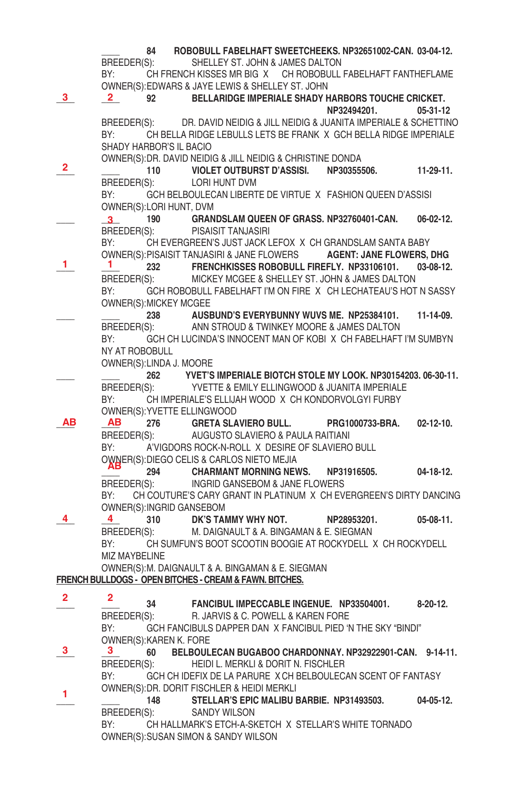|              | 84                                                      | ROBOBULL FABELHAFT SWEETCHEEKS. NP32651002-CAN. 03-04-12.                  |                      |                  |
|--------------|---------------------------------------------------------|----------------------------------------------------------------------------|----------------------|------------------|
|              | BREEDER(S):                                             | SHELLEY ST. JOHN & JAMES DALTON                                            |                      |                  |
|              |                                                         | BY: CH FRENCH KISSES MR BIG X CH ROBOBULL FABELHAFT FANTHEFLAME            |                      |                  |
|              |                                                         | OWNER(S): EDWARS & JAYE LEWIS & SHELLEY ST. JOHN                           |                      |                  |
| 3            |                                                         | 92 BELLARIDGE IMPERIALE SHADY HARBORS TOUCHE CRICKET.                      |                      |                  |
|              |                                                         |                                                                            | NP32494201. 05-31-12 |                  |
|              |                                                         | BREEDER(S): DR. DAVID NEIDIG & JILL NEIDIG & JUANITA IMPERIALE & SCHETTINO |                      |                  |
|              | BY:                                                     | CH BELLA RIDGE LEBULLS LETS BE FRANK X GCH BELLA RIDGE IMPERIALE           |                      |                  |
|              | SHADY HARBOR'S IL BACIO                                 |                                                                            |                      |                  |
|              |                                                         | OWNER(S): DR. DAVID NEIDIG & JILL NEIDIG & CHRISTINE DONDA                 |                      |                  |
| 2.           |                                                         | 110 VIOLET OUTBURST D'ASSISI. NP30355506.                                  |                      | 11-29-11.        |
|              | BREEDER(S): LORI HUNT DVM                               |                                                                            |                      |                  |
|              |                                                         | BY: GCH BELBOULECAN LIBERTE DE VIRTUE X FASHION QUEEN D'ASSISI             |                      |                  |
|              | OWNER(S):LORI HUNT, DVM                                 |                                                                            |                      |                  |
|              | 3 <sup>1</sup>                                          | 190 GRANDSLAM QUEEN OF GRASS. NP32760401-CAN. 06-02-12.                    |                      |                  |
|              | BREEDER(S):                                             | PISAISIT TANJASIRI                                                         |                      |                  |
|              |                                                         | BY: CH EVERGREEN'S JUST JACK LEFOX X CH GRANDSLAM SANTA BABY               |                      |                  |
|              |                                                         | OWNER(S):PISAISIT TANJASIRI & JANE FLOWERS AGENT: JANE FLOWERS, DHG        |                      |                  |
| $\mathbf{1}$ | -1 -                                                    | 232 FRENCHKISSES ROBOBULL FIREFLY. NP33106101.                             |                      | 03-08-12.        |
|              |                                                         | BREEDER(S): MICKEY MCGEE & SHELLEY ST. JOHN & JAMES DALTON                 |                      |                  |
|              | BY:                                                     | GCH ROBOBULL FABELHAFT I'M ON FIRE X CH LECHATEAU'S HOT N SASSY            |                      |                  |
|              | OWNER(S): MICKEY MCGEE                                  |                                                                            |                      |                  |
|              |                                                         | 238 AUSBUND'S EVERYBUNNY WUVS ME. NP25384101.                              |                      | 11-14-09.        |
|              |                                                         | BREEDER(S): ANN STROUD & TWINKEY MOORE & JAMES DALTON                      |                      |                  |
|              | BY:                                                     | GCH CH LUCINDA'S INNOCENT MAN OF KOBI X CH FABELHAFT I'M SUMBYN            |                      |                  |
|              | NY AT ROBOBULL                                          |                                                                            |                      |                  |
|              | OWNER(S): LINDA J. MOORE                                |                                                                            |                      |                  |
|              |                                                         | 262 YVET'S IMPERIALE BIOTCH STOLE MY LOOK. NP30154203. 06-30-11.           |                      |                  |
|              |                                                         | BREEDER(S): YVETTE & EMILY ELLINGWOOD & JUANITA IMPERIALE                  |                      |                  |
|              |                                                         | BY: CH IMPERIALE'S ELLIJAH WOOD X CH KONDORVOLGYI FURBY                    |                      |                  |
|              | OWNER(S): YVETTE ELLINGWOOD                             |                                                                            |                      |                  |
| ΑВ           | AB                                                      | 276 GRETA SLAVIERO BULL. PRG1000733-BRA.                                   |                      | $02 - 12 - 10$ . |
|              |                                                         | BREEDER(S): AUGUSTO SLAVIERO & PAULA RAITIANI                              |                      |                  |
|              |                                                         | BY: A'VIGDORS ROCK-N-ROLL X DESIRE OF SLAVIERO BULL                        |                      |                  |
|              | OWNER(S): DIEGO CELIS & CARLOS NIETO MEJIA              |                                                                            |                      |                  |
|              |                                                         | 294 CHARMANT MORNING NEWS. NP31916505.                                     |                      | 04-18-12.        |
|              |                                                         | BREEDER(S): INGRID GANSEBOM & JANE FLOWERS                                 |                      |                  |
|              |                                                         | BY: CH COUTURE'S CARY GRANT IN PLATINUM X CH EVERGREEN'S DIRTY DANCING     |                      |                  |
|              | OWNER(S): INGRID GANSEBOM                               |                                                                            |                      |                  |
| 4            |                                                         | 4 310 DK'S TAMMY WHY NOT. NP28953201. 05-08-11.                            |                      |                  |
|              | BREEDER(S):                                             | M. DAIGNAULT & A. BINGAMAN & E. SIEGMAN                                    |                      |                  |
|              |                                                         | BY: CH SUMFUN'S BOOT SCOOTIN BOOGIE AT ROCKYDELL X CH ROCKYDELL            |                      |                  |
|              | <b>MIZ MAYBELINE</b>                                    |                                                                            |                      |                  |
|              |                                                         | OWNER(S): M. DAIGNAULT & A. BINGAMAN & E. SIEGMAN                          |                      |                  |
|              | FRENCH BULLDOGS - OPEN BITCHES - CREAM & FAWN. BITCHES. |                                                                            |                      |                  |
| $\mathbf{2}$ | 2                                                       |                                                                            |                      |                  |
|              | 34                                                      | FANCIBUL IMPECCABLE INGENUE. NP33504001.                                   |                      | $8-20-12.$       |
|              | BREEDER(S):                                             | R. JARVIS & C. POWELL & KAREN FORE                                         |                      |                  |
|              | BY:                                                     | GCH FANCIBULS DAPPER DAN X FANCIBUL PIED 'N THE SKY "BINDI"                |                      |                  |
|              | OWNER(S):KAREN K. FORE                                  |                                                                            |                      |                  |
| 3            | -3-<br>60                                               | BELBOULECAN BUGABOO CHARDONNAY. NP32922901-CAN. 9-14-11.                   |                      |                  |
|              | BREEDER(S):                                             | HEIDI L. MERKLI & DORIT N. FISCHLER                                        |                      |                  |
|              | BY:                                                     | GCH CH IDEFIX DE LA PARURE X CH BELBOULECAN SCENT OF FANTASY               |                      |                  |
| 1.           | OWNER(S): DR. DORIT FISCHLER & HEIDI MERKLI             |                                                                            |                      |                  |
|              | 148                                                     | STELLAR'S EPIC MALIBU BARBIE. NP31493503.                                  |                      | $04 - 05 - 12$ . |
|              | BREEDER(S):                                             | SANDY WILSON                                                               |                      |                  |
|              | BY:                                                     | CH HALLMARK'S ETCH-A-SKETCH X STELLAR'S WHITE TORNADO                      |                      |                  |
|              | OWNER(S): SUSAN SIMON & SANDY WILSON                    |                                                                            |                      |                  |
|              |                                                         |                                                                            |                      |                  |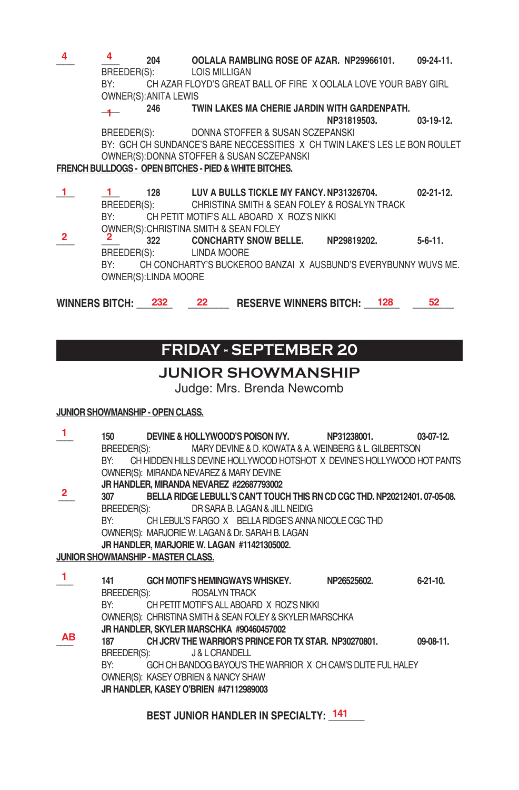**\_\_\_\_ \_\_\_\_ 204 OOLALA RAMBLING ROSE OF AZAR. NP29966101. 09-24-11.** BREEDER(S): LOIS MILLIGAN BY: CH AZAR FLOYD'S GREAT BALL OF FIRE X OOLALA LOVE YOUR BABY GIRL OWNER(S): ANITA LEWIS **4 4**

**\_\_\_\_ 246 TWIN LAKES MA CHERIE JARDIN WITH GARDENPATH.**   $-1$ 

 **NP31819503. 03-19-12.**

BREEDER(S): DONNA STOFFER & SUSAN SCZEPANSKI BY: GCH CH SUNDANCE'S BARE NECCESSITIES X CH TWIN LAKE'S LES LE BON ROULET OWNER(S): DONNA STOFFER & SUSAN SCZEPANSKI

#### **FRENCH BULLDOGS - OPEN BITCHES - PIED & WHITE BITCHES.**

- **\_\_\_\_ \_\_\_\_ 128 LUV A BULLS TICKLE MY FANCY. NP31326704. 02-21-12.** BREEDER(S): CHRISTINA SMITH & SEAN FOLEY & ROSALYN TRACK BY: CH PETIT MOTIF'S ALL ABOARD X ROZ'S NIKKI OWNER(S): CHRISTINA SMITH & SEAN FOLEY **1 1**
- **\_\_\_\_ \_\_\_\_ 322 CONCHARTY SNOW BELLE. NP29819202. 5-6-11.** BREEDER(S): LINDA MOORE BY: CH CONCHARTY'S BUCKEROO BANZAI X AUSBUND'S EVERYBUNNY WUVS ME. OWNER(S): LINDA MOORE **2 2**

**WINNERS BITCH: \_\_\_\_\_\_\_ \_\_\_\_\_\_\_\_ RESERVE WINNERS BITCH: \_\_\_\_\_\_\_ \_\_\_\_\_\_\_\_ 232 22 128 52**

# **friday - SEPTEMBER 20**

### **JUNIOR SHOWMANSHIP**

Judge: Mrs. Brenda Newcomb

#### **JUNIOR SHOWMANSHIP - OPEN CLASS.**

| 1              | 150                                                                                                          |             |                                                                   |  |  |             | $03-07-12.$                                                                    |  |  |
|----------------|--------------------------------------------------------------------------------------------------------------|-------------|-------------------------------------------------------------------|--|--|-------------|--------------------------------------------------------------------------------|--|--|
|                |                                                                                                              |             | BREEDER(S): MARY DEVINE & D. KOWATA & A. WEINBERG & L. GILBERTSON |  |  |             |                                                                                |  |  |
|                |                                                                                                              |             |                                                                   |  |  |             | BY: CH HIDDEN HILLS DEVINE HOLLYWOOD HOTSHOT X DEVINE'S HOLLYWOOD HOT PANTS    |  |  |
|                |                                                                                                              |             | OWNER(S): MIRANDA NEVAREZ & MARY DEVINE                           |  |  |             |                                                                                |  |  |
|                |                                                                                                              |             | JR HANDLER, MIRANDA NEVAREZ #22687793002                          |  |  |             |                                                                                |  |  |
| $\mathbf{2}$   |                                                                                                              |             |                                                                   |  |  |             | 307 BELLA RIDGE LEBULL'S CAN'T TOUCH THIS RN CD CGC THD. NP20212401. 07-05-08. |  |  |
|                |                                                                                                              | BREEDER(S): | DR SARA B. LAGAN & JILL NEIDIG                                    |  |  |             |                                                                                |  |  |
|                |                                                                                                              |             |                                                                   |  |  |             |                                                                                |  |  |
|                | BY: CH LEBUL'S FARGO X BELLA RIDGE'S ANNA NICOLE CGC THD<br>OWNER(S): MARJORIE W. LAGAN & Dr. SARAH B. LAGAN |             |                                                                   |  |  |             |                                                                                |  |  |
|                |                                                                                                              |             |                                                                   |  |  |             |                                                                                |  |  |
|                |                                                                                                              |             | JR HANDLER, MARJORIE W. LAGAN #11421305002.                       |  |  |             |                                                                                |  |  |
|                | JUNIOR SHOWMANSHIP - MASTER CLASS.                                                                           |             |                                                                   |  |  |             |                                                                                |  |  |
| $\overline{1}$ |                                                                                                              |             |                                                                   |  |  |             |                                                                                |  |  |
|                |                                                                                                              |             | 141 GCH MOTIF'S HEMINGWAYS WHISKEY.                               |  |  | NP26525602. | $6-21-10$ .                                                                    |  |  |
|                |                                                                                                              | BREEDER(S): | <b>ROSALYN TRACK</b>                                              |  |  |             |                                                                                |  |  |
|                | BY:                                                                                                          |             | CH PETIT MOTIF'S ALL ABOARD X ROZ'S NIKKI                         |  |  |             |                                                                                |  |  |
|                |                                                                                                              |             | OWNER(S): CHRISTINA SMITH & SEAN FOLEY & SKYLER MARSCHKA          |  |  |             |                                                                                |  |  |
|                |                                                                                                              |             | JR HANDLER, SKYLER MARSCHKA #90460457002                          |  |  |             |                                                                                |  |  |
| AВ             | 187                                                                                                          |             | CH JCRV THE WARRIOR'S PRINCE FOR TX STAR. NP30270801.             |  |  |             | 09-08-11.                                                                      |  |  |
|                |                                                                                                              |             | BREEDER(S): J & L CRANDELL                                        |  |  |             |                                                                                |  |  |
|                | BY:                                                                                                          |             | GCH CH BANDOG BAYOU'S THE WARRIOR X CH CAM'S DLITE FUL HALEY      |  |  |             |                                                                                |  |  |
|                |                                                                                                              |             | OWNER(S): KASEY O'BRIEN & NANCY SHAW                              |  |  |             |                                                                                |  |  |
|                |                                                                                                              |             | JR HANDLER, KASEY O'BRIEN #47112989003                            |  |  |             |                                                                                |  |  |
|                |                                                                                                              |             |                                                                   |  |  |             |                                                                                |  |  |

BEST JUNIOR HANDLER IN SPECIALTY: 141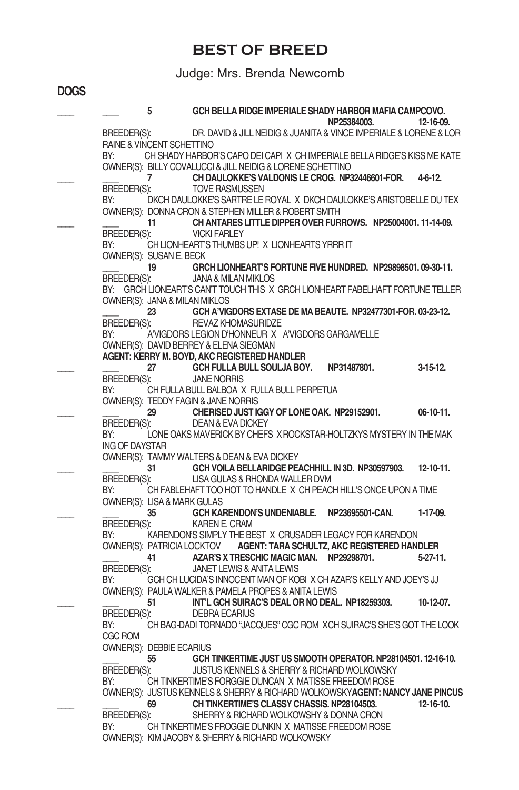### **BEST OF BREED**

### Judge: Mrs. Brenda Newcomb

**DOGS**

|                       | 5                                     | GCH BELLA RIDGE IMPERIALE SHADY HARBOR MAFIA CAMPCOVO.<br>NP25384003.                                                                   | 12-16-09.        |
|-----------------------|---------------------------------------|-----------------------------------------------------------------------------------------------------------------------------------------|------------------|
| BREEDER(S):           | RAINE & VINCENT SCHETTINO             | DR. DAVID & JILL NEIDIG & JUANITA & VINCE IMPERIALE & LORENE & LOR                                                                      |                  |
| BY:                   |                                       | CH SHADY HARBOR'S CAPO DEI CAPI X CH IMPERIALE BELLA RIDGE'S KISS ME KATE<br>OWNER(S): BILLY COVALUCCI & JILL NEIDIG & LORENE SCHETTINO |                  |
|                       | 7                                     | CH DAULOKKE'S VALDONIS LE CROG. NP32446601-FOR.                                                                                         | $4-6-12.$        |
| BREEDER(S):<br>BY:    |                                       | <b>TOVE RASMUSSEN</b><br>DKCH DAULOKKE'S SARTRE LE ROYAL X DKCH DAULOKKE'S ARISTOBELLE DU TEX                                           |                  |
|                       |                                       | OWNER(S): DONNA CRON & STEPHEN MILLER & ROBERT SMITH                                                                                    |                  |
| BREEDER(S):           | 11                                    | CH ANTARES LITTLE DIPPER OVER FURROWS. NP25004001.11-14-09.<br><b>VICKI FARLEY</b>                                                      |                  |
| BY:                   |                                       | CH LIONHEART'S THUMBS UP! X LIONHEARTS YRRR IT                                                                                          |                  |
|                       | OWNER(S): SUSAN E. BECK<br>19         | GRCH LIONHEART'S FORTUNE FIVE HUNDRED. NP29898501.09-30-11.                                                                             |                  |
| BREEDER(S):           |                                       | JANA & MILAN MIKLOS                                                                                                                     |                  |
|                       | OWNER(S): JANA & MILAN MIKLOS         | BY: GRCH LIONEART'S CAN'T TOUCH THIS X GRCH LIONHEART FABELHAFT FORTUNE TELLER                                                          |                  |
|                       | 23                                    | GCH A'VIGDORS EXTASE DE MA BEAUTE. NP32477301-FOR. 03-23-12.                                                                            |                  |
| BREEDER(S):<br>BY:    |                                       | REVAZ KHOMASURIDZE<br>A'VIGDORS LEGION D'HONNEUR X A'VIGDORS GARGAMELLE                                                                 |                  |
|                       |                                       | OWNER(S): DAVID BERREY & ELENA SIEGMAN                                                                                                  |                  |
|                       |                                       | AGENT: KERRY M. BOYD. AKC REGISTERED HANDLER                                                                                            |                  |
| BREEDER(S):           | 27                                    | GCH FULLA BULL SOULJA BOY.<br>NP31487801.<br><b>JANE NORRIS</b>                                                                         | $3-15-12$ .      |
| BY:                   |                                       | CH FULLA BULL BALBOA X FULLA BULL PERPETUA                                                                                              |                  |
|                       | 29                                    | OWNER(S): TEDDY FAGIN & JANE NORRIS<br>CHERISED JUST IGGY OF LONE OAK. NP29152901.                                                      | $06-10-11.$      |
| BREEDER(S):           |                                       | DEAN & EVA DICKEY                                                                                                                       |                  |
| BY:<br>ING OF DAYSTAR |                                       | LONE OAKS MAVERICK BY CHEFS X ROCKSTAR-HOLTZKYS MYSTERY IN THE MAK                                                                      |                  |
|                       |                                       | OWNER(S): TAMMY WALTERS & DEAN & EVA DICKEY                                                                                             |                  |
| BREEDER(S):           | 31                                    | GCH VOILA BELLARIDGE PEACHHILL IN 3D. NP30597903.<br>LISA GULAS & RHONDA WALLER DVM                                                     | $12 - 10 - 11$ . |
| BY:                   |                                       | CH FABLEHAFT TOO HOT TO HANDLE X CH PEACH HILL'S ONCE UPON A TIME                                                                       |                  |
|                       | OWNER(S): LISA & MARK GULAS<br>35     | GCH KARENDON'S UNDENIABLE. NP23695501-CAN.                                                                                              | 1-17-09.         |
| BREEDER(S):           |                                       | KAREN E. CRAM                                                                                                                           |                  |
| BY:                   |                                       | KARENDON'S SIMPLY THE BEST X CRUSADER LEGACY FOR KARENDON<br>OWNER(S): PATRICIA LOCKTOV AGENT: TARA SCHULTZ, AKC REGISTERED HANDLER     |                  |
|                       | 41                                    | AZAR'S X TRESCHIC MAGIC MAN. NP29298701.                                                                                                | $5-27-11.$       |
| BREEDER(S):           |                                       | JANET LEWIS & ANITA LEWIS                                                                                                               |                  |
| BY:                   |                                       | GCH CH LUCIDA'S INNOCENT MAN OF KOBI X CH AZAR'S KELLY AND JOEY'S JJ<br>OWNER(S): PAULA WALKER & PAMELA PROPES & ANITA LEWIS            |                  |
|                       | 51                                    | INT'L GCH SUIRAC'S DEAL OR NO DEAL, NP18259303.                                                                                         | 10-12-07.        |
| BREEDER(S):<br>BY:    |                                       | <b>DEBRA ECARIUS</b><br>CH BAG-DADI TORNADO "JACQUES" CGC ROM XCH SUIRAC'S SHE'S GOT THE LOOK                                           |                  |
| CGC ROM               |                                       |                                                                                                                                         |                  |
|                       | <b>OWNER(S): DEBBIE ECARIUS</b><br>55 | GCH TINKERTIME JUST US SMOOTH OPERATOR. NP28104501. 12-16-10.                                                                           |                  |
| BREEDER(S):           |                                       | JUSTUS KENNELS & SHERRY & RICHARD WOLKOWSKY                                                                                             |                  |
| BY:                   |                                       | CH TINKERTIME'S FORGGIE DUNCAN X MATISSE FREEDOM ROSE<br>OWNER(S): JUSTUS KENNELS & SHERRY & RICHARD WOLKOWSKYAGENT: NANCY JANE PINCUS  |                  |
|                       | 69                                    | CH TINKERTIME'S CLASSY CHASSIS, NP28104503.                                                                                             | $12 - 16 - 10$ . |
| BREEDER(S):           |                                       | SHERRY & RICHARD WOLKOWSHY & DONNA CRON                                                                                                 |                  |
| BY:                   |                                       | CH TINKERTIME'S FROGGIE DUNKIN X MATISSE FREEDOM ROSE<br>OWNER(S): KIM JACOBY & SHERRY & RICHARD WOLKOWSKY                              |                  |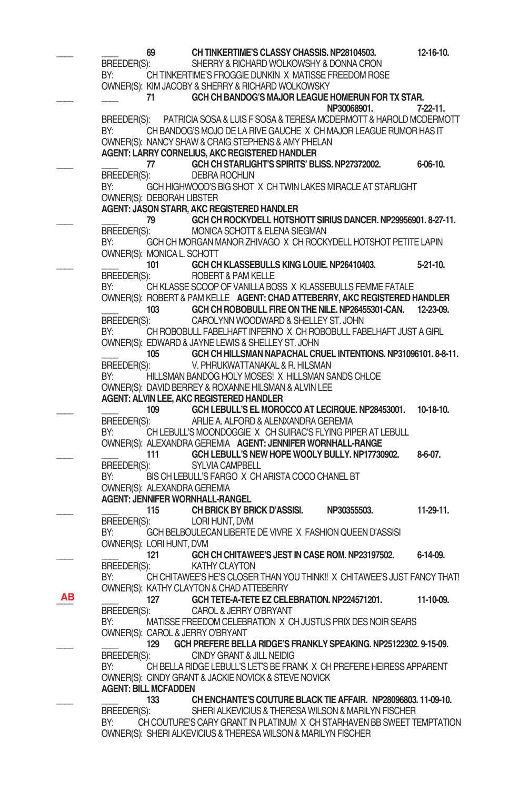|    | 69                               | CH TINKERTIME'S CLASSY CHASSIS. NP28104503.                                | $12 - 16 - 10$ . |
|----|----------------------------------|----------------------------------------------------------------------------|------------------|
|    | BREEDER(S):                      | SHERRY & RICHARD WOLKOWSHY & DONNA CRON                                    |                  |
|    | BY:                              | CH TINKERTIME'S FROGGIE DUNKIN X MATISSE FREEDOM ROSE                      |                  |
|    |                                  | OWNER(S): KIM JACOBY & SHERRY & RICHARD WOLKOWSKY                          |                  |
|    | 71                               | GCH CH BANDOG'S MAJOR LEAGUE HOMERUN FOR TX STAR.                          |                  |
|    |                                  | NP30068901.                                                                | 7-22-11.         |
|    | BREEDER(S):                      | PATRICIA SOSA & LUIS F SOSA & TERESA MCDERMOTT & HAROLD MCDERMOTT          |                  |
|    | BY:                              | CH BANDOG'S MOJO DE LA RIVE GAUCHE X CH MAJOR LEAGUE RUMOR HAS IT          |                  |
|    |                                  | OWNER(S): NANCY SHAW & CRAIG STEPHENS & AMY PHELAN                         |                  |
|    |                                  | AGENT: LARRY CORNELIUS, AKC REGISTERED HANDLER                             |                  |
|    | 77                               | GCH CH STARLIGHT'S SPIRITS' BLISS. NP27372002.                             | $6 - 06 - 10$ .  |
|    | BREEDER(S):                      | <b>DEBRA ROCHLIN</b>                                                       |                  |
|    | BY:                              | GCH HIGHWOOD'S BIG SHOT X CH TWIN LAKES MIRACLE AT STARLIGHT               |                  |
|    | OWNER(S): DEBORAH LIBSTER        |                                                                            |                  |
|    |                                  | AGENT: JASON STARR, AKC REGISTERED HANDLER                                 |                  |
|    | 79 —                             | GCH CH ROCKYDELL HOTSHOTT SIRIUS DANCER, NP29956901, 8-27-11.              |                  |
|    | BREEDER(S):                      | MONICA SCHOTT & ELENA SIEGMAN                                              |                  |
|    | BY:                              | GCH CH MORGAN MANOR ZHIVAGO X CH ROCKYDELL HOTSHOT PETITE LAPIN            |                  |
|    | OWNER(S): MONICA L. SCHOTT       |                                                                            |                  |
|    | 101                              | GCH CH KLASSEBULLS KING LOUIE. NP26410403.                                 | 5-21-10.         |
|    | BREEDER(S):                      | ROBERT & PAM KELLE                                                         |                  |
|    | BY:                              | CH KLASSE SCOOP OF VANILLA BOSS X KLASSEBULLS FEMME FATALE                 |                  |
|    |                                  | OWNER(S): ROBERT & PAM KELLE AGENT: CHAD ATTEBERRY, AKC REGISTERED HANDLER |                  |
|    | 103                              | GCH CH ROBOBULL FIRE ON THE NILE. NP26455301-CAN. 12-23-09.                |                  |
|    | BREEDER(S):                      | CAROLYNN WOODWARD & SHELLEY ST. JOHN                                       |                  |
|    | BY:                              | CH ROBOBULL FABELHAFT INFERNO X CH ROBOBULL FABELHAFT JUST A GIRL          |                  |
|    |                                  | OWNER(S): EDWARD & JAYNE LEWIS & SHELLEY ST. JOHN                          |                  |
|    | 105                              | GCH CH HILLSMAN NAPACHAL CRUEL INTENTIONS. NP31096101. 8-8-11.             |                  |
|    | BREEDER(S):                      | V. PHRUKWATTANAKAL & R. HILSMAN                                            |                  |
|    | BY:                              | HILLSMAN BANDOG HOLY MOSES! X HILLSMAN SANDS CHLOE                         |                  |
|    |                                  | OWNER(S): DAVID BERREY & ROXANNE HILSMAN & ALVIN LEE                       |                  |
|    |                                  | <b>AGENT: ALVIN LEE, AKC REGISTERED HANDLER</b>                            |                  |
|    | 109                              | GCH LEBULL'S EL MOROCCO AT LECIRQUE, NP28453001.                           | $10-18-10.$      |
|    | BREEDER(S):                      | ARLIE A. ALFORD & ALENXANDRA GEREMIA                                       |                  |
|    | BY:                              | CH LEBULL'S MOONDOGGIE X CH SUIRAC'S FLYING PIPER AT LEBULL                |                  |
|    |                                  | OWNER(S): ALEXANDRA GEREMIA AGENT: JENNIFER WORNHALL-RANGE                 |                  |
|    | 111                              | GCH LEBULL'S NEW HOPE WOOLY BULLY. NP17730902.                             | 8-6-07.          |
|    | BREEDER(S):<br>BY:               | SYLVIA CAMPBELL<br>BIS CH LEBULL'S FARGO X CH ARISTA COCO CHANEL BT        |                  |
|    | OWNER(S): ALEXANDRA GEREMIA      |                                                                            |                  |
|    | AGENT: JENNIFER WORNHALL-RANGEL  |                                                                            |                  |
|    | 115                              | CH BRICK BY BRICK D'ASSISI.<br>NP30355503.                                 | $11-29-11.$      |
|    | BREEDER(S):                      | LORI HUNT, DVM                                                             |                  |
|    | BY:                              | GCH BELBOULECAN LIBERTE DE VIVRE X FASHION QUEEN D'ASSISI                  |                  |
|    | OWNER(S): LORI HUNT, DVM         |                                                                            |                  |
|    | 121                              | GCH CH CHITAWEE'S JEST IN CASE ROM. NP23197502.                            | 6-14-09.         |
|    | BREEDER(S):                      | <b>KATHY CLAYTON</b>                                                       |                  |
|    | BY:                              | CH CHITAWEE'S HE'S CLOSER THAN YOU THINK!! X CHITAWEE'S JUST FANCY THAT!   |                  |
|    |                                  | OWNER(S): KATHY CLAYTON & CHAD ATTEBERRY                                   |                  |
| ΑВ | 127                              | GCH TETE-A-TETE EZ CELEBRATION. NP224571201.                               | 11-10-09.        |
|    | BREEDER(S):                      | CAROL & JERRY O'BRYANT                                                     |                  |
|    | BY:                              | MATISSE FREEDOM CELEBRATION X CH JUSTUS PRIX DES NOIR SEARS                |                  |
|    | OWNER(S): CAROL & JERRY O'BRYANT |                                                                            |                  |
|    | 129                              | GCH PREFERE BELLA RIDGE'S FRANKLY SPEAKING, NP25122302, 9-15-09.           |                  |
|    | BREEDER(S):                      | CINDY GRANT & JILL NEIDIG                                                  |                  |
|    | BY:                              | CH BELLA RIDGE LEBULL'S LET'S BE FRANK X CH PREFERE HEIRESS APPARENT       |                  |
|    |                                  | OWNER(S): CINDY GRANT & JACKIE NOVICK & STEVE NOVICK                       |                  |
|    | <b>AGENT: BILL MCFADDEN</b>      |                                                                            |                  |
|    | 133                              | CH ENCHANTE'S COUTURE BLACK TIE AFFAIR. NP28096803, 11-09-10.              |                  |
|    | BREEDER(S):                      | SHERI ALKEVICIUS & THERESA WILSON & MARILYN FISCHER                        |                  |
|    | BY:                              | CH COUTURE'S CARY GRANT IN PLATINUM X CH STARHAVEN BB SWEET TEMPTATION     |                  |
|    |                                  | OWNER(S): SHERI ALKEVICIUS & THERESA WILSON & MARILYN FISCHER              |                  |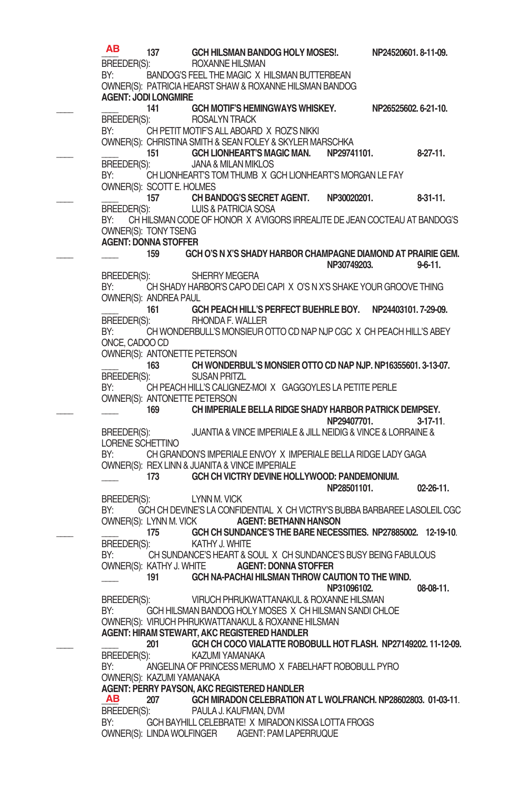**\_\_\_\_ 137 GCH HILSMAN BANDOG HOLY MOSES!. NP24520601. 8-11-09.** BREEDER(S):<br>BY: BANDOG'S FEEL THE MAGIC X H BANDOG'S FEEL THE MAGIC X HILSMAN BUTTERBEAN OWNER(S): PATRICIA HEARST SHAW & ROXANNE HILSMAN BANDOG **AGENT: JODI LONGMIRE \_\_\_\_ \_\_\_\_ 141 GCH MOTIF'S HEMINGWAYS WHISKEY. NP26525602. 6-21-10.** BREEDER(S): BY: CH PETIT MOTIF'S ALL ABOARD X ROZ'S NIKKI OWNER(S): CHRISTINA SMITH & SEAN FOLEY & SKYLER MARSCHKA<br>151 **GCH LIONHEART'S MAGIC MAN.** NP2974 **\_\_\_\_ \_\_\_\_ 151 GCH LIONHEART'S MAGIC MAN. NP29741101. 8-27-11.** BREEDER(S): JANA & MILAN MIKLOS BY: CHLIONHEART'S TOM THUMB X GCH LIONHEART'S MORGAN LE FAY OWNER(S): SCOTT E. HOLMES **\_\_\_\_ \_\_\_\_ 157 CH BANDOG'S SECRET AGENT. NP30020201. 8-31-11.** LUIS & PATRICIA SOSA BY: CH HILSMAN CODE OF HONOR X A'VIGORS IRREALITE DE JEAN COCTEAU AT BANDOG'S OWNER(S): TONY TSENG **AGENT: DONNA STOFFER \_\_\_\_ \_\_\_\_ 159 GCH O'S N X'S SHADY HARBOR CHAMPAGNE DIAMOND AT PRAIRIE GEM. NP30749203. 9-6-11.**  BREEDER(S): SHERRY MEGERA BY: CH SHADY HARBOR'S CAPO DEI CAPI X O'S N X'S SHAKE YOUR GROOVE THING OWNER(S): ANDREA PAUL **\_\_\_\_ 161 GCH PEACH HILL'S PERFECT BUEHRLE BOY. NP24403101. 7-29-09.** BREEDER(S): RHONDA F.WALLER CH WONDERBULL'S MONSIEUR OTTO CD NAP NJP CGC X CH PEACH HILL'S ABEY ONCE, CADOO CD OWNER(S): ANTONETTE PETERSON **\_\_\_\_ 163 CH WONDERBUL'S MONSIER OTTO CD NAP NJP. NP16355601. 3-13-07.** BREEDER(S): SUSAN PRITZL BY: CH PEACH HILL'S CALIGNEZ-MOI X GAGGOYLES LA PETITE PERLE OWNER(S): ANTONETTE PETERSON **\_\_\_\_ \_\_\_\_ 169 CH IMPERIALE BELLA RIDGE SHADY HARBOR PATRICK DEMPSEY. NP29407701. 3-17-11**. BREEDER(S): JUANTIA & VINCE IMPERIALE & JILL NEIDIG & VINCE & LORRAINE & LORENE SCHETTINO<br>BY: CH GRANI CH GRANDON'S IMPERIALE ENVOY X IMPERIALE BELLA RIDGE LADY GAGA OWNER(S): REX LINN & JUANITA & VINCE IMPERIALE **\_\_\_\_ 173 GCH CH VICTRY DEVINE HOLLYWOOD: PANDEMONIUM. NP28501101. 02-26-11.** BREEDER(S): LYNN M. VICK BY: GCH CH DEVINE'S LA CONFIDENTIAL X CH VICTRY'S BUBBA BARBAREE LASOLEIL CGC OWNER(S): LYNN M. VICK **AGENT: BETHANN HANSON 175 GCH CH SUNDANCE'S THE BARE NECESSITIES. NP27885002. 12-19-10.**<br>
KATHY J. WHITF BREEDER(S):<br>BY: C CH SUNDANCE'S HEART & SOUL X CH SUNDANCE'S BUSY BEING FABULOUS<br>KATHY J. WHITE **AGENT: DONNA STOFFER** OWNER(S): KATHY J. WHITE **\_\_\_\_ 191 GCH NA-PACHAI HILSMAN THROW CAUTION TO THE WIND. NP31096102. 08-08-11.** BREEDER(S): VIRUCH PHRUKWATTANAKUL & ROXANNE HILSMAN BY: GCH HILSMAN BANDOG HOLY MOSES X CH HILSMAN SANDI CHLOE OWNER(S): VIRUCH PHRUKWATTANAKUL & ROXANNE HILSMAN **AGENT: HIRAM STEWART, AKC REGISTERED HANDLER \_\_\_\_ \_\_\_\_ 201 GCH CH COCO VIALATTE ROBOBULL HOT FLASH. NP27149202. 11-12-09.** BREEDER(S): KAZUMI YAMANAKA BY: ANGELINA OF PRINCESS MERUMO X FABELHAFT ROBOBULL PYRO OWNER(S): KAZUMI YAMANAKA **AGENT: PERRY PAYSON, AKC REGISTERED HANDLER AB** 207 **GCH MIRADON CELEBRATION AT L WOLFRANCH. NP28602803. 01-03-11.**<br>BREEDER(S): PAULA J. KAUFMAN. DVM BREEDER(S): PAULA J. KAUFMAN, DVM<br>BY: GCH BAYHILL CELEBRATEL X MIRADO GCH BAYHILL CELEBRATE! X MIRADON KISSA LOTTA FROGS OWNER(S): LINDA WOLFINGER AGENT: PAM LAPERRUQUE **AB AB**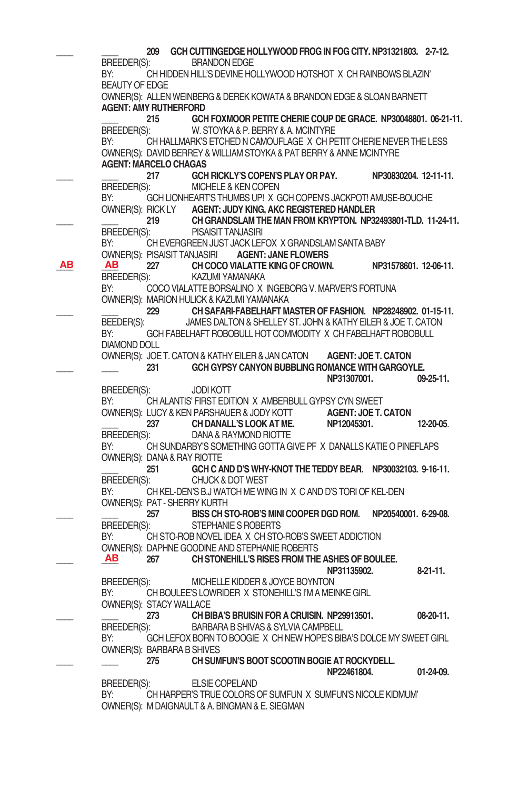**209 GCH CUTTINGEDGE HOLLYWOOD FROG IN FOG CITY. NP31321803. 2-7-12.**<br>RREFDER(S): BRANDON EDGE BRANDON EDGE BY: CH HIDDEN HILL'S DEVINE HOLLYWOOD HOTSHOT X CH RAINBOWS BLAZIN' BEAUTYOF EDGE OWNER(S): ALLEN WEINBERG & DEREK KOWATA & BRANDON EDGE & SLOAN BARNETT **AGENT: AMY RUTHERFORD \_\_\_\_ 215 GCH FOXMOOR PETITE CHERIE COUP DE GRACE. NP30048801. 06-21-11.** W. STOYKA & P. BERRY & A. MCINTYRE BY: CH HALLMARK'S ETCHED N CAMOUFLAGE X CH PETIT CHERIE NEVER THE LESS OWNER(S): DAVID BERREY & WILLIAM STOYKA & PAT BERRY & ANNE MCINTYRE **AGENT: MARCELO CHAGAS 217 GCH RICKLY'S COPEN'S PLAY OR PAY.** NP30830204. 12-11-11.<br>
RREFDER(S): MICHELE & KEN COPEN MICHELE & KEN COPEN BY: GCH LIONHEART'S THUMBS UP! X GCH COPEN'S JACKPOT! AMUSE-BOUCHE OWNER(S): RICK LY **AGENT: JUDY KING, AKC REGISTERED HANDLER \_\_\_\_ \_\_\_\_ 219 CH GRANDSLAM THE MAN FROM KRYPTON. NP32493801-TLD. 11-24-11.** BREEDER(S): PISAISIT TANJASIRI BY: CH EVERGREEN JUST JACK LEFOX X GRANDSLAM SANTA BABY **OWNER(S): PISAISIT TANJASIRI AGENT: JANE FLOWERS**<br>**AB AB** 227 **CH COCO VIALATTE KING OF CROWN. AB 227 CH COCO VIALATTE KING OF CROWN. NP31578601. 12-06-11. BREEDER(S): KAZUMI YAMANAKA** KAZUMI YAMANAKA BY: COCO VIALATTE BORSALINO X INGEBORG V. MARVER'S FORTUNA OWNER(S): MARION HULICK & KAZUMI YAMANAKA **\_\_\_\_ \_\_\_\_ 229 CH SAFARI-FABELHAFT MASTER OF FASHION. NP28248902. 01-15-11.** BEEDER(S): JAMES DALTON & SHELLEY ST. JOHN & KATHY EILER & JOE T. CATON BY: GCH FABELHAFT ROBOBULL HOT COMMODITY X CH FABELHAFT ROBOBULL DIAMOND DOLL OWNER(S): JOE T. CATON& KATHY EILER& JANCATON **AGENT: JOE T. CATON \_\_\_\_ \_\_\_\_ 231 GCH GYPSY CANYON BUBBLING ROMANCE WITH GARGOYLE. NP31307001. 09-25-11.** BREEDER(S): JODI KOTT BY: CHALANTIS' FIRST EDITION X AMBERBULL GYPSY CYN SWEET OWNER(S): LUCY & KEN PARSHAUER & JODY KOTT **AGENT: JOE T. CATON**<br>237 **CH DANALL'S LOOK AT ME.** NP12045301. **\_\_\_\_ 237 CH DANALL'S LOOK AT ME. NP12045301. 12-20-05**. DANA & RAYMOND RIOTTE BY: CH SUNDARBY'S SOMETHING GOTTA GIVE PF X DANALLS KATIE O PINEFLAPS OWNER(S): DANA & RAY RIOTTE **\_\_\_\_ 251 GCH C AND D'S WHY-KNOT THE TEDDY BEAR. NP30032103. 9-16-11.** BREEDER(S): CHUCK & DOT WEST BY: CH KEL-DEN'S B.J WATCH ME WING IN X C AND D'S TORI OF KEL-DEN OWNER(S): PAT - SHERRY KURTH **\_\_\_\_ \_\_\_\_ 257 BISS CH STO-ROB'S MINI COOPER DGD ROM. NP20540001. 6-29-08.** STEPHANIE S ROBERTS BY: CH STO-ROB NOVEL IDEA X CH STO-ROB'S SWEET ADDICTION OWNER(S): DAPHNE GOODINE AND STEPHANIE ROBERTS **\_\_\_\_ \_\_\_\_ 267 CH STONEHILL'S RISES FROM THE ASHES OF BOULEE. NP31135902. 8-21-11.** BREEDER(S): MICHELLE KIDDER & JOYCE BOYNTON<br>BY: CH BOULEE'S LOWBIDER X STONEHILL'S I'M A MEIL CH BOULEE'S LOWRIDER X STONEHILL'S I'M A MEINKE GIRL OWNER(S): STACY WALLACE **\_\_\_\_ \_\_\_\_ 273 CH BIBA'S BRUISIN FOR A CRUISIN. NP29913501. 08-20-11.** BREEDER(S): BARBARA B SHIVAS & SYLVIA CAMPBELL BY: GCH LEFOX BORN TO BOOGIE X CH NEW HOPE'S BIBA'S DOLCE MY SWEET GIRL OWNER(S): BARBARA B SHIVES<br>275 CH SUM **\_\_\_\_ \_\_\_\_ 275 CH SUMFUN'S BOOT SCOOTIN BOGIE AT ROCKYDELL. NP22461804. 01-24-09.** BREEDER(S): ELSIE COPELAND BY: CH HARPER'S TRUE COLORS OF SUMFUN X SUMFUN'S NICOLE KIDMUM' OWNER(S): M DAIGNAULT & A. BINGMAN & E. SIEGMAN **AB AB AB**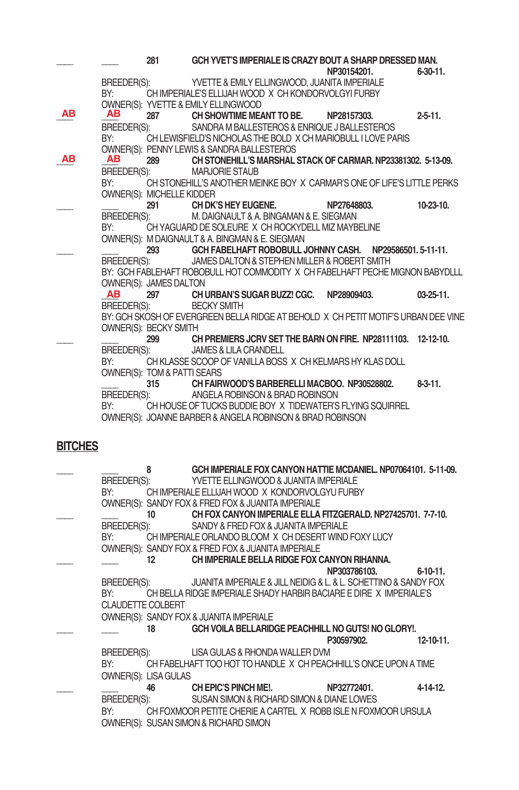|    |             | 281                                    | GCH YVET'S IMPERIALE IS CRAZY BOUT A SHARP DRESSED MAN.                            |             |                  |
|----|-------------|----------------------------------------|------------------------------------------------------------------------------------|-------------|------------------|
|    |             |                                        |                                                                                    | NP30154201. | $6 - 30 - 11$ .  |
|    | BREEDER(S): |                                        | YVETTE & EMILY ELLINGWOOD, JUANITA IMPERIALE                                       |             |                  |
|    | BY:         |                                        | CH IMPERIALE'S ELLIJAH WOOD X CH KONDORVOLGYI FURBY                                |             |                  |
|    |             |                                        | OWNER(S): YVETTE & EMILY ELLINGWOOD                                                |             |                  |
| AВ | <b>AB</b>   | 287                                    | CH SHOWTIME MEANT TO BE.                                                           | NP28157303. | $2 - 5 - 11$ .   |
|    | BREEDER(S): |                                        | SANDRA M BALLESTEROS & ENRIQUE J BALLESTEROS                                       |             |                  |
|    | BY:         |                                        | CH LEWISFIELD'S NICHOLAS THE BOLD X CH MARIOBULL I LOVE PARIS                      |             |                  |
|    |             |                                        | OWNER(S): PENNY LEWIS & SANDRA BALLESTEROS                                         |             |                  |
| ΑВ | AB          | 289                                    | CH STONEHILL'S MARSHAL STACK OF CARMAR. NP23381302. 5-13-09.                       |             |                  |
|    | BREEDER(S): |                                        | <b>MARJORIE STAUB</b>                                                              |             |                  |
|    | BY:         |                                        | CH STONEHILL'S ANOTHER MEINKE BOY X CARMAR'S ONE OF LIFE'S LITTLE PERKS            |             |                  |
|    |             | OWNER(S): MICHELLE KIDDER              |                                                                                    |             |                  |
|    |             |                                        | 291 CH DK'S HEY EUGENE.                                                            | NP27648803. | $10-23-10$ .     |
|    | BREEDER(S): |                                        | M. DAIGNAULT & A. BINGAMAN & E. SIEGMAN                                            |             |                  |
|    | BY:         |                                        | CH YAGUARD DE SOLEURE X CH ROCKYDELL MIZ MAYBELINE                                 |             |                  |
|    |             |                                        | OWNER(S): M DAIGNAULT & A. BINGMAN & E. SIEGMAN                                    |             |                  |
|    |             | 293                                    | GCH FABELHAFT ROBOBULL JOHNNY CASH. NP29586501.5-11-11.                            |             |                  |
|    |             |                                        | BREEDER(S): JAMES DALTON & STEPHEN MILLER & ROBERT SMITH                           |             |                  |
|    |             |                                        | BY: GCH FABLEHAFT ROBOBULL HOT COMMODITY X CH FABELHAFT PECHE MIGNON BABYDLLL      |             |                  |
|    |             | <b>OWNER(S): JAMES DALTON</b>          |                                                                                    |             |                  |
|    | AB          |                                        | 297 CH URBAN'S SUGAR BUZZ! CGC. NP28909403.                                        |             | $03 - 25 - 11$ . |
|    | BREEDER(S): |                                        | <b>BECKY SMITH</b>                                                                 |             |                  |
|    |             |                                        | BY: GCH SKOSH OF EVERGREEN BELLA RIDGE AT BEHOLD X CH PETIT MOTIF'S URBAN DEE VINE |             |                  |
|    |             | OWNER(S): BECKY SMITH                  |                                                                                    |             |                  |
|    |             | 299                                    | CH PREMIERS JCRV SET THE BARN ON FIRE, NP28111103, 12-12-10.                       |             |                  |
|    | BREEDER(S): |                                        | <b>JAMES &amp; LILA CRANDELL</b>                                                   |             |                  |
|    | BY:         |                                        | CH KLASSE SCOOP OF VANILLA BOSS X CH KELMARS HY KLAS DOLL                          |             |                  |
|    |             | <b>OWNER(S): TOM &amp; PATTI SEARS</b> |                                                                                    |             |                  |
|    |             | 315                                    | CH FAIRWOOD'S BARBERELLI MACBOO. NP30528802.                                       |             | $8-3-11.$        |
|    | BREEDER(S): |                                        | ANGELA ROBINSON & BRAD ROBINSON                                                    |             |                  |
|    | BY:         |                                        | CH HOUSE OF TUCKS BUDDIE BOY X TIDEWATER'S FLYING SQUIRREL                         |             |                  |
|    |             |                                        | OWNER(S): JOANNE BARBER & ANGELA ROBINSON & BRAD ROBINSON                          |             |                  |
|    |             |                                        |                                                                                    |             |                  |
|    |             |                                        |                                                                                    |             |                  |

### **BITCHES**

|                          | 8                    | GCH IMPERIALE FOX CANYON HATTIE MCDANIEL. NP07064101. 5-11-09.     |              |                  |
|--------------------------|----------------------|--------------------------------------------------------------------|--------------|------------------|
| BREEDER(S):              |                      | YVETTE ELLINGWOOD & JUANITA IMPERIALE                              |              |                  |
| BY:                      |                      | CH IMPERIALE ELLIJAH WOOD X KONDORVOLGYU FURBY                     |              |                  |
|                          |                      | OWNER(S): SANDY FOX & FRED FOX & JUANITA IMPERIALE                 |              |                  |
|                          | 10                   | CH FOX CANYON IMPERIALE ELLA FITZGERALD, NP27425701, 7-7-10.       |              |                  |
| BREEDER(S):              |                      | SANDY & FRED FOX & JUANITA IMPERIALE                               |              |                  |
| BY:                      |                      | CH IMPERIALE ORLANDO BLOOM X CH DESERT WIND FOXY LUCY              |              |                  |
|                          |                      |                                                                    |              |                  |
|                          |                      | OWNER(S): SANDY FOX & FRED FOX & JUANITA IMPERIALE                 |              |                  |
|                          | 12                   | CH IMPERIALE BELLA RIDGE FOX CANYON RIHANNA.                       |              |                  |
|                          |                      |                                                                    | NP303786103. | $6 - 10 - 11$ .  |
| BREEDER(S):              |                      | JUANITA IMPERIALE & JILL NEIDIG & L. & L. SCHETTINO & SANDY FOX    |              |                  |
| BY:                      |                      | CH BELLA RIDGE IMPERIALE SHADY HARBIR BACIARE E DIRE X IMPERIALE'S |              |                  |
| <b>CLAUDETTE COLBERT</b> |                      |                                                                    |              |                  |
|                          |                      | OWNER(S): SANDY FOX & JUANITA IMPERIALE                            |              |                  |
|                          | 18                   | GCH VOILA BELLARIDGE PEACHHILL NO GUTS! NO GLORY!.                 |              |                  |
|                          |                      |                                                                    | P30597902.   | $12 - 10 - 11$ . |
| BREEDER(S):              |                      | LISA GULAS & RHONDA WALLER DVM                                     |              |                  |
|                          |                      |                                                                    |              |                  |
| BY:                      |                      | CH FABELHAFT TOO HOT TO HANDLE X CH PEACHHILL'S ONCE UPON A TIME   |              |                  |
|                          | OWNER(S): LISA GULAS |                                                                    |              |                  |
|                          | 46                   | CH EPIC'S PINCH ME!.                                               | NP32772401.  | 4-14-12          |
| BREEDER(S):              |                      | SUSAN SIMON & RICHARD SIMON & DIANE LOWES                          |              |                  |
| BY:                      |                      | CH FOXMOOR PETITE CHERIE A CARTEL X ROBB ISLE N FOXMOOR URSULA     |              |                  |
|                          |                      | OWNER(S): SUSAN SIMON & RICHARD SIMON                              |              |                  |
|                          |                      |                                                                    |              |                  |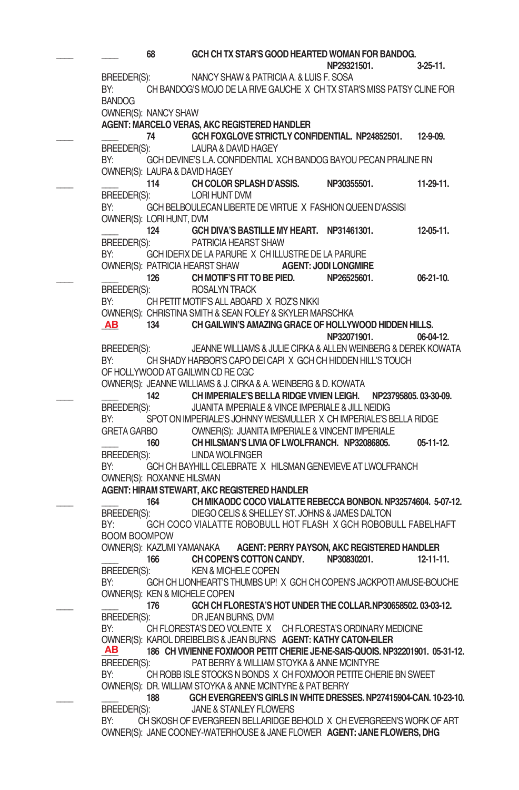**\_\_\_\_ \_\_\_\_ 68 GCH CH TX STAR'S GOOD HEARTED WOMAN FOR BANDOG. NP29321501. 3-25-11.** BREEDER(S): NANCY SHAW & PATRICIA A. & LUIS F. SOSA BY: CH BANDOG'S MOJO DE LA RIVE GAUCHE X CH TX STAR'S MISS PATSY CLINE FOR BANDOG OWNER(S): NANCY SHAW **AGENT: MARCELO VERAS, AKC REGISTERED HANDLER \_\_\_\_ \_\_\_\_ 74 GCH FOXGLOVE STRICTLY CONFIDENTIAL. NP24852501. 12-9-09.** BREEDER(S): LAURA & DAVID HAGEY BY: GCH DEVINE'S L.A. CONFIDENTIAL XCH BANDOG BAYOU PECAN PRALINE RN OWNER(S): LAURA & DAVID HAGEY **\_\_\_\_ \_\_\_\_ 114 CH COLOR SPLASH D'ASSIS. NP30355501. 11-29-11.**  BREEDER(S): LORI HUNT DVM BY: GCH BELBOULECAN LIBERTE DE VIRTUE X FASHION QUEEN D'ASSISI OWNER(S): LORI HUNT, DVM **\_\_\_\_ 124 GCH DIVA'S BASTILLE MY HEART. NP31461301. 12-05-11.** BREEDER(S): PATRICIA HEARST SHAW BY: GCHIDEFIX DE LA PARURE X CHILLUSTRE DE LA PARURE OWNER(S): PATRICIAHEARST SHAW **AGENT: JODI LONGMIRE \_\_\_\_ \_\_\_\_ 126 CH MOTIF'S FIT TO BE PIED. NP26525601. 06-21-10.** BREEDER(S): ROSALYNTRACK BY: CH PETIT MOTIF'S ALL ABOARD X ROZ'S NIKKI OWNER(S): CHRISTINA SMITH & SEAN FOLEY & SKYLER MARSCHKA<br>AB 134 CH GAILWIN'S AMAZING GRACE OF HOLLY **\_\_\_\_ 134 CH GAILWIN'S AMAZING GRACE OF HOLLYWOOD HIDDEN HILLS. NP32071901. 06-04-12.** BREEDER(S): JEANNE WILLIAMS & JULIE CIRKA & ALLEN WEINBERG & DEREK KOWATA BY: CH SHADY HARBOR'S CAPO DEI CAPI X GCH CH HIDDEN HILL'S TOUCH OF HOLLYWOOD AT GAILWIN CD RECGC OWNER(S): JEANNE WILLIAMS & J. CIRKA & A. WEINBERG & D. KOWATA **\_\_\_\_ \_\_\_\_ 142 CH IMPERIALE'S BELLA RIDGE VIVIEN LEIGH. NP23795805. 03-30-09.** BREEDER(S): JUANITA IMPERIALE & VINCE IMPERIALE & JILL NEIDIG BY: SPOT ON IMPERIALE'S JOHNNY WEISMULLER X CH IMPERIALE'S BELLA RIDGE GRETA GARBO OWNER(S): JUANITA IMPERIALE & VINCENT IMPERIALE **\_\_\_\_ 160 CH HILSMAN'S LIVIA OF LWOLFRANCH. NP32086805. 05-11-12.** BREEDER(S): LINDA WOLFINGER BY: GCH CH BAYHILL CELEBRATE X HILSMAN GENEVIEVE AT LWOLFRANCH OWNER(S): ROXANNE HILSMAN **AGENT: HIRAM STEWART, AKC REGISTERED HANDLER \_\_\_\_ \_\_\_\_ 164 CH MIKAODC COCO VIALATTE REBECCA BONBON. NP32574604. 5-07-12.** BREEDER(S): DIEGO CELIS & SHELLEY ST. JOHNS & JAMES DALTON BY: GCH COCO VIALATTE ROBOBULL HOT FLASH X GCH ROBOBULL FABELHAFT BOOM BOOMPOW OWNER(S): KAZUMI YAMANAKA **AGENT: PERRY PAYSON, AKC REGISTERED HANDLER \_\_\_\_ 166 CH COPEN'S COTTON CANDY. NP30830201. 12-11-11.**  BREEDER(S): KEN & MICHELE COPEN BY: GCH CH LIONHEART'S THUMBS UP! X GCH CH COPEN'S JACKPOT! AMUSE-BOUCHE OWNER(S): KEN & MICHELE COPEN **\_\_\_\_ \_\_\_\_ 176 GCH CH FLORESTA'S HOT UNDER THE COLLAR.NP30658502. 03-03-12.** BREEDER(S): DR JEAN BURNS, DVM BY: CH FLORESTA'S DEO VOLENTE X CH FLORESTA'S ORDINARY MEDICINE OWNER(S): KAROLDREIBELBIS & JEAN BURNS **AGENT: KATHY CATON-EILER \_\_\_\_ 186 CH VIVIENNE FOXMOOR PETIT CHERIE JE-NE-SAIS-QUOIS. NP32201901. 05-31-12.** BREEDER(S): PAT BERRY & WILLIAM STOYKA & ANNE MCINTYRE BY: CH ROBB ISLE STOCKS N BONDS X CH FOXMOOR PETITE CHERIE BN SWEET OWNER(S): DR. WILLIAM STOYKA & ANNE MCINTYRE & PAT BERRY **\_\_\_\_ \_\_\_\_ 188 GCH EVERGREEN'S GIRLS IN WHITE DRESSES. NP27415904-CAN. 10-23-10.** BREEDER(S): JANE & STANLEY FLOWERS BY: CH SKOSH OF EVERGREEN BELLARIDGE BEHOLD X CH EVERGREEN'S WORK OF ART OWNER(S): JANECOONEY-WATERHOUSE & JANE FLOWER **AGENT: JANE FLOWERS, DHG AB AB**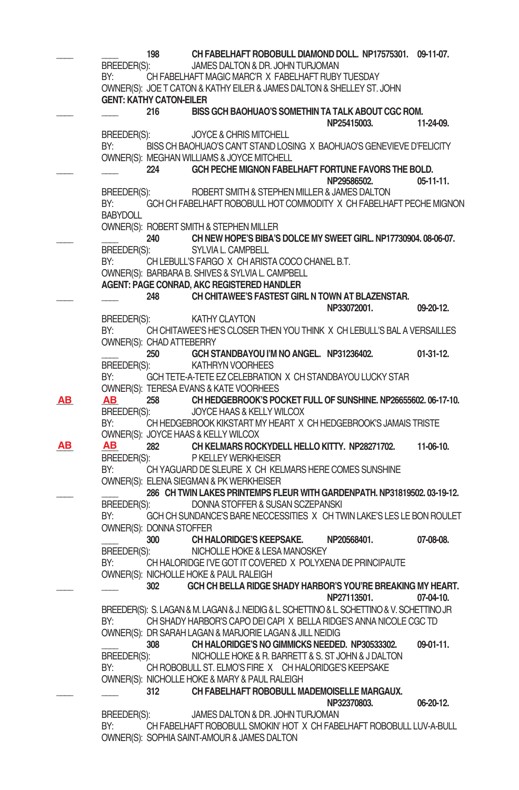|     | BREEDER(S):<br>BY:     | 198                                   | CH FABELHAFT ROBOBULL DIAMOND DOLL. NP17575301. 09-11-07.<br>JAMES DALTON & DR. JOHN TURJOMAN<br>CH FABELHAFT MAGIC MARC'R X FABELHAFT RUBY TUESDAY<br>OWNER(S): JOE T CATON & KATHY EILER & JAMES DALTON & SHELLEY ST. JOHN |             |
|-----|------------------------|---------------------------------------|------------------------------------------------------------------------------------------------------------------------------------------------------------------------------------------------------------------------------|-------------|
|     |                        | <b>GENT: KATHY CATON-EILER</b><br>216 | BISS GCH BAOHUAO'S SOMETHIN TA TALK ABOUT CGC ROM.                                                                                                                                                                           |             |
|     | BREEDER(S):            |                                       | NP25415003.<br>JOYCE & CHRIS MITCHELL                                                                                                                                                                                        | 11-24-09.   |
|     | BY:                    |                                       | BISS CH BAOHUAO'S CAN'T STAND LOSING X BAOHUAO'S GENEVIEVE D'FELICITY<br>OWNER(S): MEGHAN WILLIAMS & JOYCE MITCHELL                                                                                                          |             |
|     |                        | 224                                   | GCH PECHE MIGNON FABELHAFT FORTUNE FAVORS THE BOLD.<br>NP29586502.                                                                                                                                                           | $05-11-11.$ |
|     | BREEDER(S):            |                                       | ROBERT SMITH & STEPHEN MILLER & JAMES DALTON                                                                                                                                                                                 |             |
|     | BY:<br><b>BABYDOLL</b> |                                       | GCH CH FABELHAFT ROBOBULL HOT COMMODITY X CH FABELHAFT PECHE MIGNON                                                                                                                                                          |             |
|     |                        |                                       | OWNER(S): ROBERT SMITH & STEPHEN MILLER                                                                                                                                                                                      |             |
|     | BREEDER(S):            | 240                                   | CH NEW HOPE'S BIBA'S DOLCE MY SWEET GIRL, NP17730904, 08-06-07.<br>SYLVIA L. CAMPBELL                                                                                                                                        |             |
|     | BY:                    |                                       | CH LEBULL'S FARGO X CH ARISTA COCO CHANEL B.T.<br>OWNER(S): BARBARA B. SHIVES & SYLVIA L. CAMPBELL                                                                                                                           |             |
|     |                        |                                       | AGENT: PAGE CONRAD, AKC REGISTERED HANDLER                                                                                                                                                                                   |             |
|     |                        | 248                                   | CH CHITAWEE'S FASTEST GIRL N TOWN AT BLAZENSTAR.<br>NP33072001.                                                                                                                                                              | 09-20-12.   |
|     | BREEDER(S):            |                                       | KATHY CLAYTON                                                                                                                                                                                                                |             |
|     | BY:                    | OWNER(S): CHAD ATTEBERRY              | CH CHITAWEE'S HE'S CLOSER THEN YOU THINK X CH LEBULL'S BAL A VERSAILLES                                                                                                                                                      |             |
|     |                        | 250                                   | GCH STANDBAYOU I'M NO ANGEL. NP31236402.                                                                                                                                                                                     | $01-31-12.$ |
|     | BREEDER(S):<br>BY:     |                                       | <b>KATHRYN VOORHEES</b><br>GCH TETE-A-TETE EZ CELEBRATION X CH STANDBAYOU LUCKY STAR                                                                                                                                         |             |
|     |                        |                                       | <b>OWNER(S): TERESA EVANS &amp; KATE VOORHEES</b>                                                                                                                                                                            |             |
| AB. | AB.                    | 258                                   | CH HEDGEBROOK'S POCKET FULL OF SUNSHINE. NP26655602. 06-17-10.                                                                                                                                                               |             |
|     | BREEDER(S):            |                                       | JOYCE HAAS & KELLY WILCOX                                                                                                                                                                                                    |             |
|     | BY:                    |                                       | CH HEDGEBROOK KIKSTART MY HEART X CH HEDGEBROOK'S JAMAIS TRISTE<br>OWNER(S): JOYCE HAAS & KELLY WILCOX                                                                                                                       |             |
| ΑВ  | AВ                     | 282                                   | CH KELMARS ROCKYDELL HELLO KITTY. NP28271702.                                                                                                                                                                                | 11-06-10.   |
|     | BREEDER(S):            |                                       | P KELLEY WERKHEISER                                                                                                                                                                                                          |             |
|     | BY:                    |                                       | CH YAGUARD DE SLEURE X CH KELMARS HERE COMES SUNSHINE                                                                                                                                                                        |             |
|     |                        |                                       | OWNER(S): ELENA SIEGMAN & PK WERKHEISER<br>286 CH TWIN LAKES PRINTEMPS FLEUR WITH GARDENPATH. NP31819502. 03-19-12.                                                                                                          |             |
|     | BREEDER(S):            |                                       | DONNA STOFFER & SUSAN SCZEPANSKI                                                                                                                                                                                             |             |
|     | BY:                    |                                       | GCH CH SUNDANCE'S BARE NECCESSITIES X CH TWIN LAKE'S LES LE BON ROULET                                                                                                                                                       |             |
|     |                        | OWNER(S): DONNA STOFFER               |                                                                                                                                                                                                                              |             |
|     |                        | 300                                   | <b>CH HALORIDGE'S KEEPSAKE.</b><br>NP20568401.<br>NICHOLLE HOKE & LESA MANOSKEY                                                                                                                                              | 07-08-08.   |
|     | BREEDER(S):<br>BY:     |                                       | CH HALORIDGE I'VE GOT IT COVERED X POLYXENA DE PRINCIPAUTE                                                                                                                                                                   |             |
|     |                        |                                       | OWNER(S): NICHOLLE HOKE & PAUL RALEIGH                                                                                                                                                                                       |             |
|     |                        | 302                                   | GCH CH BELLA RIDGE SHADY HARBOR'S YOU'RE BREAKING MY HEART.                                                                                                                                                                  |             |
|     |                        |                                       | NP27113501.                                                                                                                                                                                                                  | 07-04-10.   |
|     | BY:                    |                                       | BREEDER(S): S. LAGAN & M. LAGAN & J. NEIDIG & L. SCHETTINO & L. SCHETTINO & V. SCHETTINO JR<br>CH SHADY HARBOR'S CAPO DEI CAPIX BELLA RIDGE'S ANNA NICOLE CGC TD                                                             |             |
|     |                        |                                       | OWNER(S): DR SARAH LAGAN & MARJORIE LAGAN & JILL NEIDIG                                                                                                                                                                      |             |
|     |                        | 308                                   | CH HALORIDGE'S NO GIMMICKS NEEDED. NP30533302.                                                                                                                                                                               | 09-01-11.   |
|     | BREEDER(S):            |                                       | NICHOLLE HOKE & R. BARRETT & S. ST JOHN & J DALTON                                                                                                                                                                           |             |
|     | BY:                    |                                       | CH ROBOBULL ST. ELMO'S FIRE X CH HALORIDGE'S KEEPSAKE<br>OWNER(S): NICHOLLE HOKE & MARY & PAUL RALEIGH                                                                                                                       |             |
|     |                        | 312                                   | CH FABELHAFT ROBOBULL MADEMOISELLE MARGAUX.                                                                                                                                                                                  |             |
|     |                        |                                       | NP32370803.                                                                                                                                                                                                                  | 06-20-12.   |
|     | BREEDER(S):            |                                       | JAMES DALTON & DR. JOHN TURJOMAN                                                                                                                                                                                             |             |
|     | BY:                    |                                       | CH FABELHAFT ROBOBULL SMOKIN' HOT X CH FABELHAFT ROBOBULL LUV-A-BULL                                                                                                                                                         |             |
|     |                        |                                       | OWNER(S): SOPHIA SAINT-AMOUR & JAMES DALTON                                                                                                                                                                                  |             |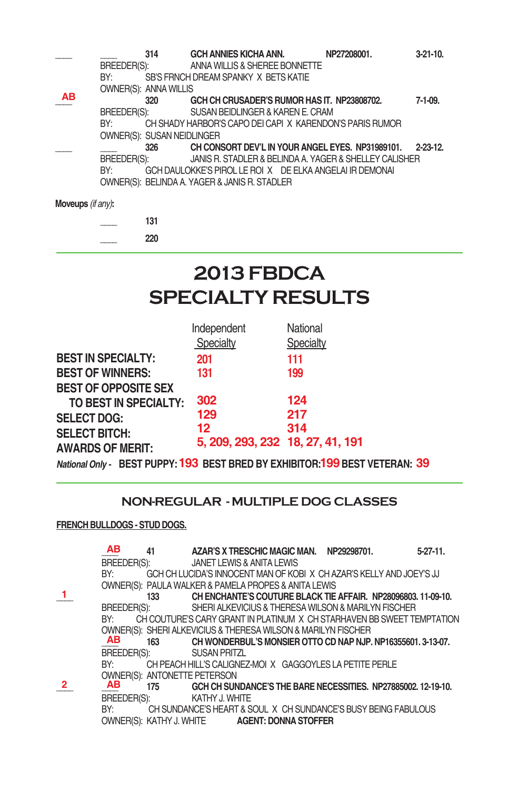|           |             | 314                          | GCH ANNIES KICHA ANN.                                    | NP27208001. | $3-21-10$ .   |
|-----------|-------------|------------------------------|----------------------------------------------------------|-------------|---------------|
|           | BREEDER(S): |                              | ANNA WILLIS & SHEREE BONNETTE                            |             |               |
|           | BY:         |                              | SB'S FRNCH DREAM SPANKY X BETS KATIE                     |             |               |
|           |             | <b>OWNER(S): ANNA WILLIS</b> |                                                          |             |               |
| <b>AB</b> |             | 320                          | GCH CH CRUSADER'S RUMOR HAS IT. NP23808702.              |             | $7-1-09.$     |
|           | BREEDER(S): |                              | SUSAN BEIDLINGER & KAREN E. CRAM                         |             |               |
|           | BY:         |                              | CH SHADY HARBOR'S CAPO DEI CAPI X KARENDON'S PARIS RUMOR |             |               |
|           |             | OWNER(S): SUSAN NEIDLINGER   |                                                          |             |               |
|           |             | 326                          | CH CONSORT DEV'L IN YOUR ANGEL EYES. NP31989101.         |             | $2 - 23 - 12$ |
|           | BREEDER(S): |                              | JANIS R. STADLER & BELINDA A. YAGER & SHELLEY CALISHER   |             |               |
|           | BY:         |                              | GCH DAULOKKE'S PIROL LE ROIX DE ELKA ANGELAI IR DEMONAI  |             |               |
|           |             |                              | OWNER(S): BELINDA A. YAGER & JANIS R. STADLER            |             |               |
|           |             |                              |                                                          |             |               |

**Moveups** *(if any)***:**

**\_\_\_\_ 131 \_\_\_\_ 220**

# **2013 FBDCA Specialty results**

|                             | Independent                      | National  |
|-----------------------------|----------------------------------|-----------|
|                             | Specialty                        | Specialty |
| <b>BEST IN SPECIALTY:</b>   | 201                              | 111       |
| <b>BEST OF WINNERS:</b>     | 131                              | 199       |
| <b>BEST OF OPPOSITE SEX</b> |                                  |           |
| TO BEST IN SPECIALTY:       | 302                              | 124       |
| <b>SELECT DOG:</b>          | 129                              | 217       |
| <b>SELECT BITCH:</b>        | 12                               | 314       |
| <b>AWARDS OF MERIT:</b>     | 5, 209, 293, 232 18, 27, 41, 191 |           |

National Only - BEST PUPPY: 193 BEST BRED BY EXHIBITOR: 199 BEST VETERAN: 39

### **NON-REGULAR - MULTIPLE DOG CLASSES**

#### **FRENCH BULLDOGS - STUD DOGS.**

|              | AB                 | 41  |                                     | AZAR'S X TRESCHIC MAGIC MAN.                         | NP29298701.                                                         | $5 - 27 - 11$ .                                                        |
|--------------|--------------------|-----|-------------------------------------|------------------------------------------------------|---------------------------------------------------------------------|------------------------------------------------------------------------|
|              | <b>BREEDER(S):</b> |     |                                     | JANET LEWIS & ANITA LEWIS                            |                                                                     |                                                                        |
|              | BY:                |     |                                     |                                                      | GCH CH LUCIDA'S INNOCENT MAN OF KOBIX CH AZAR'S KELLY AND JOEY'S JJ |                                                                        |
|              |                    |     |                                     | OWNER(S): PAULA WALKER & PAMELA PROPES & ANITA LEWIS |                                                                     |                                                                        |
|              |                    | 133 |                                     |                                                      |                                                                     | CH ENCHANTE'S COUTURE BLACK TIE AFFAIR. NP28096803, 11-09-10.          |
|              | BREEDER(S):        |     |                                     |                                                      | SHERI ALKEVICIUS & THERESA WILSON & MARILYN FISCHER                 |                                                                        |
|              | BY:                |     |                                     |                                                      |                                                                     | CH COUTURE'S CARY GRANT IN PLATINUM X CH STARHAVEN BB SWEET TEMPTATION |
|              |                    |     |                                     |                                                      | OWNER(S): SHERI ALKEVICIUS & THERESA WILSON & MARILYN FISCHER       |                                                                        |
|              | AB                 | 163 |                                     |                                                      |                                                                     | CH WONDERBUL'S MONSIER OTTO CD NAP NJP, NP16355601, 3-13-07.           |
|              | BREEDER(S):        |     | <b>SUSAN PRITZL</b>                 |                                                      |                                                                     |                                                                        |
|              | BY:                |     |                                     |                                                      | CH PEACH HILL'S CALIGNEZ-MOIX GAGGOYLES LA PETITE PERLE             |                                                                        |
|              |                    |     | <b>OWNER(S): ANTONETTE PETERSON</b> |                                                      |                                                                     |                                                                        |
| $\mathbf{2}$ | AB                 | 175 |                                     |                                                      |                                                                     | GCH CH SUNDANCE'S THE BARE NECESSITIES. NP27885002. 12-19-10.          |
|              | <b>BREEDER(S):</b> |     | KATHY J. WHITE                      |                                                      |                                                                     |                                                                        |
|              | BY:                |     |                                     |                                                      | CH SUNDANCE'S HEART & SOUL X CH SUNDANCE'S BUSY BEING FABULOUS      |                                                                        |
|              |                    |     |                                     | OWNER(S): KATHY J. WHITE <b>AGENT: DONNA STOFFER</b> |                                                                     |                                                                        |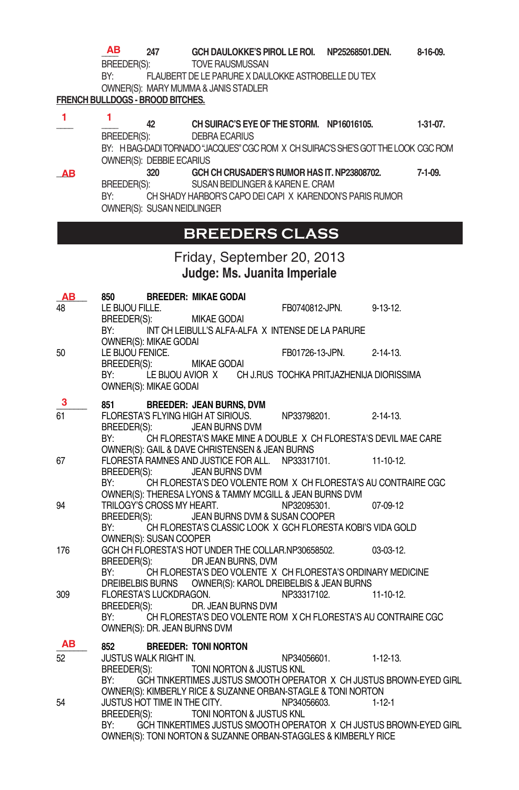**\_\_\_\_ 247 GCH DAULOKKE'S PIROL LE ROI. NP25268501.DEN. 8-16-09.**  TOVE RAUSMUSSAN **AB**

BY: FLAUBERT DE LE PARURE X DAULOKKE ASTROBELLE DU TEX OWNER(S): MARY MUMMA & JANIS STADLER

#### **FRENCH BULLDOGS - BROOD BITCHES.**

**\_\_\_\_ \_\_\_\_ 42 CH SUIRAC'S EYE OF THE STORM. NP16016105. 1-31-07.** BREEDER(S): DEBRA ECARIUS BY: HBAG-DADITORNADO "JACQUES" CGC ROM X CH SUIRAC'S SHE'S GOT THE LOOK CGC ROM OWNER(S): DEBBIE ECARIUS **\_\_\_\_ 320 GCH CH CRUSADER'S RUMOR HAS IT. NP23808702. 7-1-09.** BREEDER(S): SUSAN BEIDLINGER & KARENE. CRAM BY: CH SHADY HARBOR'S CAPO DEI CAPI X KARENDON'S PARIS RUMOR OWNER(S): SUSAN NEIDLINGER **1 1 AB**

### **BREEDERS CLASS**

Friday, September 20, 2013 **Judge: Ms. Juanita Imperiale**

| AB        | 850                                                                                                                            |                              | <b>BREEDER: MIKAE GODAI</b>                          |  |                                                                  |                                                                    |
|-----------|--------------------------------------------------------------------------------------------------------------------------------|------------------------------|------------------------------------------------------|--|------------------------------------------------------------------|--------------------------------------------------------------------|
| 48        | LE BIJOU FILLE.                                                                                                                |                              |                                                      |  | FB0740812-JPN.                                                   | $9 - 13 - 12$ .                                                    |
|           | BREEDER(S):<br>BY:                                                                                                             | OWNER(S): MIKAE GODAI        | MIKAE GODAI                                          |  | INT CH LEIBULL'S ALFA-ALFA X INTENSE DE LA PARURE                |                                                                    |
| 50        | LE BIJOU FENICE.<br>BREEDER(S):                                                                                                |                              | <b>MIKAE GODAI</b>                                   |  | FB01726-13-JPN.                                                  | $2 - 14 - 13$ .                                                    |
|           | BY:                                                                                                                            | OWNER(S): MIKAE GODAI        |                                                      |  | LE BIJOU AVIOR X        CH J.RUS TOCHKA PRITJAZHENIJA DIORISSIMA |                                                                    |
| 3         |                                                                                                                                |                              | 851 BREEDER: JEAN BURNS, DVM                         |  |                                                                  |                                                                    |
| 61        |                                                                                                                                | BREEDER(S):                  | FLORESTA'S FLYING HIGH AT SIRIOUS.<br>JEAN BURNS DVM |  | NP33798201.                                                      | $2 - 14 - 13$ .                                                    |
|           | BY:<br>CH FLORESTA'S MAKE MINE A DOUBLE X CH FLORESTA'S DEVIL MAE CARE                                                         |                              |                                                      |  |                                                                  |                                                                    |
|           |                                                                                                                                |                              | OWNER(S): GAIL & DAVE CHRISTENSEN & JEAN BURNS       |  |                                                                  |                                                                    |
| 67        |                                                                                                                                |                              | FLORESTA RAMNES AND JUSTICE FOR ALL.                 |  | NP33317101.                                                      | $11 - 10 - 12$ .                                                   |
|           | BREEDER(S):<br>BY:                                                                                                             |                              | JEAN BURNS DVM                                       |  |                                                                  |                                                                    |
|           | CH FLORESTA'S DEO VOLENTE ROM X CH FLORESTA'S AU CONTRAIRE CGC<br>OWNER(S): THERESA LYONS & TAMMY MCGILL & JEAN BURNS DVM      |                              |                                                      |  |                                                                  |                                                                    |
| 94        |                                                                                                                                |                              | TRILOGY'S CROSS MY HEART.                            |  | NP32095301.                                                      | 07-09-12                                                           |
|           | BREEDER(S):                                                                                                                    |                              |                                                      |  | JEAN BURNS DVM & SUSAN COOPER                                    |                                                                    |
|           | BY:                                                                                                                            |                              |                                                      |  | CH FLORESTA'S CLASSIC LOOK X GCH FLORESTA KOBI'S VIDA GOLD       |                                                                    |
|           |                                                                                                                                | OWNER(S): SUSAN COOPER       |                                                      |  |                                                                  |                                                                    |
| 176       |                                                                                                                                |                              |                                                      |  | GCH CH FLORESTA'S HOT UNDER THE COLLAR.NP30658502.               | 03-03-12.                                                          |
|           |                                                                                                                                |                              | BREEDER(S): DR JEAN BURNS, DVM                       |  |                                                                  |                                                                    |
|           | BY:<br>CH FLORESTA'S DEO VOLENTE X CH FLORESTA'S ORDINARY MEDICINE<br>DREIBELBIS BURNS OWNER(S): KAROL DREIBELBIS & JEAN BURNS |                              |                                                      |  |                                                                  |                                                                    |
| 309       |                                                                                                                                | FLORESTA'S LUCKDRAGON.       |                                                      |  | NP33317102.                                                      | $11 - 10 - 12$ .                                                   |
|           |                                                                                                                                | BREEDER(S):                  | DR. JEAN BURNS DVM                                   |  |                                                                  |                                                                    |
|           | BY: and the state of the state of the state of the state of the state of the state of the state of the state o                 |                              |                                                      |  | CH FLORESTA'S DEO VOLENTE ROM X CH FLORESTA'S AU CONTRAIRE CGC   |                                                                    |
|           |                                                                                                                                | OWNER(S): DR. JEAN BURNS DVM |                                                      |  |                                                                  |                                                                    |
| <b>AB</b> | 852                                                                                                                            |                              | <b>BREEDER: TONI NORTON</b>                          |  |                                                                  |                                                                    |
| 52        |                                                                                                                                | JUSTUS WALK RIGHT IN.        |                                                      |  | NP34056601.                                                      | $1-12-13.$                                                         |
|           | BREEDER(S):                                                                                                                    |                              | TONI NORTON & JUSTUS KNL                             |  |                                                                  |                                                                    |
|           | BY:                                                                                                                            |                              |                                                      |  |                                                                  | GCH TINKERTIMES JUSTUS SMOOTH OPERATOR X CH JUSTUS BROWN-EYED GIRL |
|           |                                                                                                                                |                              |                                                      |  | OWNER(S): KIMBERLY RICE & SUZANNE ORBAN-STAGLE & TONI NORTON     |                                                                    |
| 54        |                                                                                                                                |                              | JUSTUS HOT TIME IN THE CITY.                         |  | NP34056603.                                                      | $1 - 12 - 1$                                                       |
|           | BY:                                                                                                                            | BREEDER(S):                  | TONI NORTON & JUSTUS KNL                             |  |                                                                  |                                                                    |
|           |                                                                                                                                |                              |                                                      |  | OWNER(S): TONI NORTON & SUZANNE ORBAN-STAGGLES & KIMBERLY RICE   | GCH TINKERTIMES JUSTUS SMOOTH OPERATOR X CH JUSTUS BROWN-EYED GIRL |
|           |                                                                                                                                |                              |                                                      |  |                                                                  |                                                                    |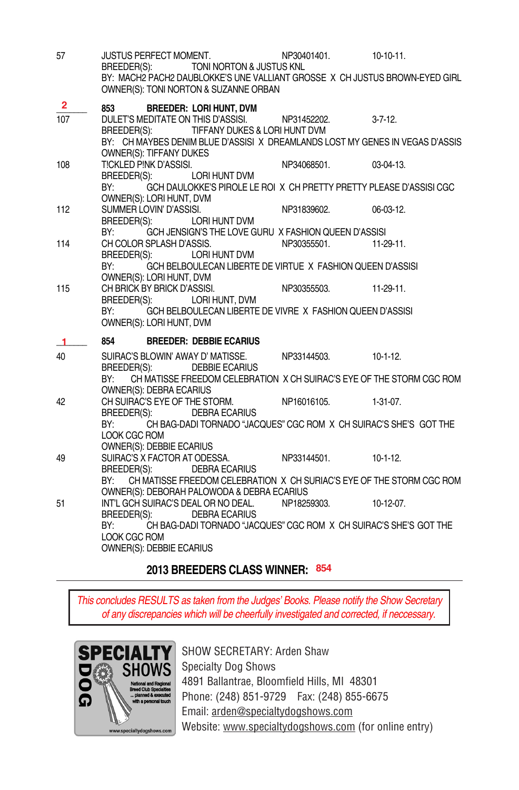| 57                  | JUSTUS PERFECT MOMENT.<br>TONI NORTON & JUSTUS KNL<br>BREEDER(S):<br>BY: MACH2 PACH2 DAUBLOKKE'S UNE VALLIANT GROSSE X CH JUSTUS BROWN-EYED GIRL<br>OWNER(S): TONI NORTON & SUZANNE ORBAN                                                       | NP30401401. | $10 - 10 - 11$ . |
|---------------------|-------------------------------------------------------------------------------------------------------------------------------------------------------------------------------------------------------------------------------------------------|-------------|------------------|
| $\mathbf{2}$<br>107 | 853<br><b>BREEDER: LORI HUNT, DVM</b><br>DULET'S MEDITATE ON THIS D'ASSISI.<br>TIFFANY DUKES & LORI HUNT DVM<br>BREEDER(S):                                                                                                                     | NP31452202. | $3 - 7 - 12$ .   |
| 108                 | BY: CH MAYBES DENIM BLUE D'ASSISIX DREAMLANDS LOST MY GENES IN VEGAS D'ASSIS<br>OWNER(S): TIFFANY DUKES<br>TICKLED PINK D'ASSISI.<br>BREEDER(S):<br>LORI HUNT DVM<br>GCH DAULOKKE'S PIROLE LE ROI X CH PRETTY PRETTY PLEASE D'ASSISI CGC<br>BY: | NP34068501. | $03-04-13.$      |
| 112                 | OWNER(S): LORI HUNT, DVM<br>SUMMER LOVIN' D'ASSISI.<br>LORI HUNT DVM<br>BREEDER(S):<br>GCH JENSIGN'S THE LOVE GURU X FASHION QUEEN D'ASSISI<br>BY:                                                                                              | NP31839602. | 06-03-12.        |
| 114                 | CH COLOR SPLASH D'ASSIS.<br>LORI HUNT DVM<br>BREEDER(S):<br>GCH BELBOULECAN LIBERTE DE VIRTUE X FASHION QUEEN D'ASSISI<br>BY:                                                                                                                   | NP30355501. | $11-29-11$ .     |
| 115                 | OWNER(S): LORI HUNT, DVM<br>CH BRICK BY BRICK D'ASSISI.<br>LORI HUNT, DVM<br>BREEDER(S):<br>GCH BELBOULECAN LIBERTE DE VIVRE X FASHION QUEEN D'ASSISI<br>BY:<br>OWNER(S): LORI HUNT, DVM                                                        | NP30355503. | $11-29-11.$      |
| -1                  | 854<br><b>BREEDER: DEBBIE ECARIUS</b>                                                                                                                                                                                                           |             |                  |
| 40                  | SUIRAC'S BLOWIN' AWAY D' MATISSE.<br>BREEDER(S): DEBBIE ECARIUS                                                                                                                                                                                 | NP33144503. | $10 - 1 - 12$ .  |
|                     | CH MATISSE FREEDOM CELEBRATION X CH SUIRAC'S EYE OF THE STORM CGC ROM<br>BY:<br>OWNER(S): DEBRA ECARIUS                                                                                                                                         |             |                  |
| 42                  | CH SUIRAC'S EYE OF THE STORM.<br><b>DEBRA ECARIUS</b><br>BREEDER(S):                                                                                                                                                                            | NP16016105. | $1-31-07.$       |
|                     |                                                                                                                                                                                                                                                 |             |                  |
|                     | CH BAG-DADI TORNADO "JACQUES" CGC ROM X CH SUIRAC'S SHE'S GOT THE<br>BY:<br>LOOK CGC ROM                                                                                                                                                        |             |                  |
| 49                  | <b>OWNER(S): DEBBIE ECARIUS</b><br>SUIRAC'S X FACTOR AT ODESSA.<br>BREEDER(S):<br><b>DEBRA ECARIUS</b>                                                                                                                                          | NP33144501. | $10-1-12$ .      |
|                     | CH MATISSE FREEDOM CELEBRATION X CH SURIAC'S EYE OF THE STORM CGC ROM<br>BY:                                                                                                                                                                    |             |                  |
| 51                  | OWNER(S): DEBORAH PALOWODA & DEBRA ECARIUS<br>INT'L GCH SUIRAC'S DEAL OR NO DEAL. NP18259303.<br>BREEDER(S):<br><b>DEBRA ECARIUS</b>                                                                                                            |             | $10 - 12 - 07$ . |

### **2013 BREEDERS CLASS WINNER: 854**

*This concludes RESULTS as taken from the Judges' Books. Please notify the Show Secretary of any discrepancies which will be cheerfully investigated and corrected, if neccessary.* 



SHOW SECRETARY: Arden Shaw Specialty Dog Shows 4891 Ballantrae, Bloomfield Hills, MI 48301 Phone: (248) 851-9729 Fax: (248) 855-6675 Email: arden@specialtydogshows.com Website: www.specialtydogshows.com (for online entry)